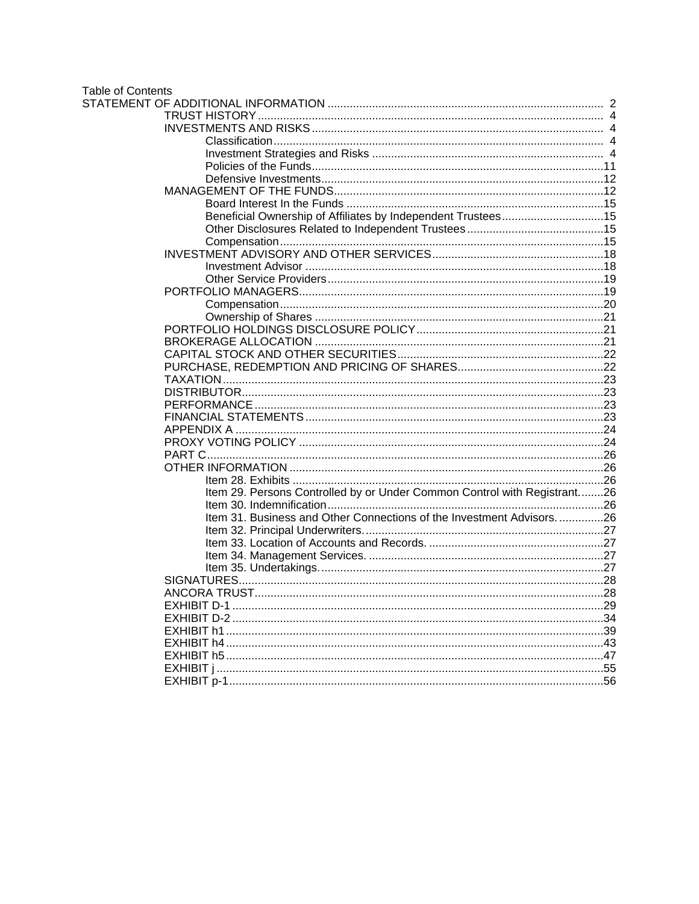# Table of Contents<br>STATEMENT OF

| Beneficial Ownership of Affiliates by Independent Trustees15             |  |
|--------------------------------------------------------------------------|--|
|                                                                          |  |
|                                                                          |  |
|                                                                          |  |
|                                                                          |  |
|                                                                          |  |
|                                                                          |  |
|                                                                          |  |
|                                                                          |  |
|                                                                          |  |
|                                                                          |  |
|                                                                          |  |
|                                                                          |  |
|                                                                          |  |
|                                                                          |  |
|                                                                          |  |
|                                                                          |  |
|                                                                          |  |
|                                                                          |  |
|                                                                          |  |
|                                                                          |  |
|                                                                          |  |
| Item 29. Persons Controlled by or Under Common Control with Registrant26 |  |
|                                                                          |  |
| Item 31. Business and Other Connections of the Investment Advisors26     |  |
|                                                                          |  |
|                                                                          |  |
|                                                                          |  |
|                                                                          |  |
|                                                                          |  |
|                                                                          |  |
|                                                                          |  |
|                                                                          |  |
|                                                                          |  |
|                                                                          |  |
|                                                                          |  |
|                                                                          |  |
|                                                                          |  |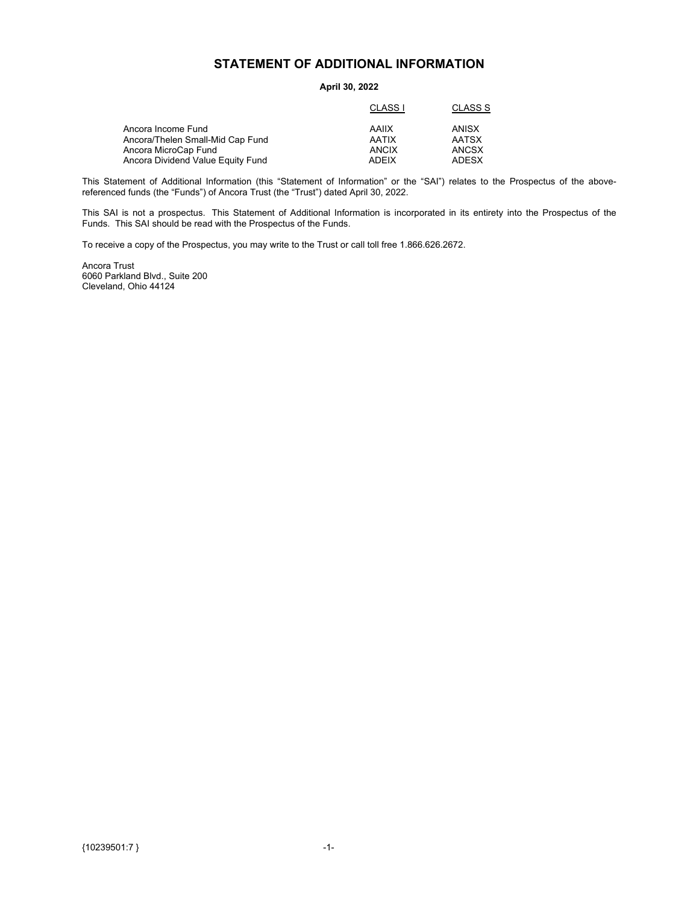## **STATEMENT OF ADDITIONAL INFORMATION**

#### **April 30, 2022**

<span id="page-1-0"></span>

|                                   | CLASS I      | CLASS S      |
|-----------------------------------|--------------|--------------|
| Ancora Income Fund                | AAIIX        | ANISX        |
| Ancora/Thelen Small-Mid Cap Fund  | <b>AATIX</b> | <b>AATSX</b> |
| Ancora MicroCap Fund              | ANCIX        | ANCSX        |
| Ancora Dividend Value Equity Fund | ADEIX        | ADESX        |
|                                   |              |              |

This Statement of Additional Information (this "Statement of Information" or the "SAI") relates to the Prospectus of the abovereferenced funds (the "Funds") of Ancora Trust (the "Trust") dated April 30, 2022.

This SAI is not a prospectus. This Statement of Additional Information is incorporated in its entirety into the Prospectus of the Funds. This SAI should be read with the Prospectus of the Funds.

To receive a copy of the Prospectus, you may write to the Trust or call toll free 1.866.626.2672.

Ancora Trust 6060 Parkland Blvd., Suite 200 Cleveland, Ohio 44124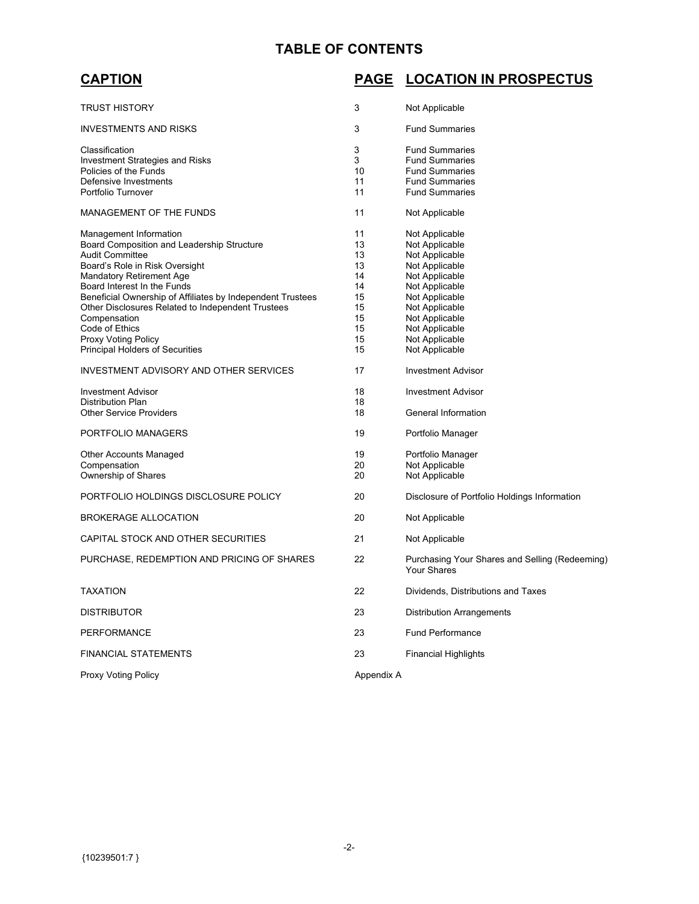# **TABLE OF CONTENTS**

# **PAGE LOCATION IN PROSPECTUS**

| TRUST HISTORY                                                                                                                                                                                                                                                                                                                                                                  | 3                                                              | Not Applicable                                                                                                                                                                                     |
|--------------------------------------------------------------------------------------------------------------------------------------------------------------------------------------------------------------------------------------------------------------------------------------------------------------------------------------------------------------------------------|----------------------------------------------------------------|----------------------------------------------------------------------------------------------------------------------------------------------------------------------------------------------------|
| <b>INVESTMENTS AND RISKS</b>                                                                                                                                                                                                                                                                                                                                                   | 3                                                              | <b>Fund Summaries</b>                                                                                                                                                                              |
| Classification<br><b>Investment Strategies and Risks</b><br>Policies of the Funds<br>Defensive Investments<br>Portfolio Turnover                                                                                                                                                                                                                                               | 3<br>3<br>10<br>11<br>11                                       | <b>Fund Summaries</b><br><b>Fund Summaries</b><br><b>Fund Summaries</b><br><b>Fund Summaries</b><br><b>Fund Summaries</b>                                                                          |
| <b>MANAGEMENT OF THE FUNDS</b>                                                                                                                                                                                                                                                                                                                                                 | 11                                                             | Not Applicable                                                                                                                                                                                     |
| Management Information<br>Board Composition and Leadership Structure<br><b>Audit Committee</b><br>Board's Role in Risk Oversight<br><b>Mandatory Retirement Age</b><br>Board Interest In the Funds<br>Beneficial Ownership of Affiliates by Independent Trustees<br>Other Disclosures Related to Independent Trustees<br>Compensation<br>Code of Ethics<br>Proxy Voting Policy | 11<br>13<br>13<br>13<br>14<br>14<br>15<br>15<br>15<br>15<br>15 | Not Applicable<br>Not Applicable<br>Not Applicable<br>Not Applicable<br>Not Applicable<br>Not Applicable<br>Not Applicable<br>Not Applicable<br>Not Applicable<br>Not Applicable<br>Not Applicable |
| <b>Principal Holders of Securities</b>                                                                                                                                                                                                                                                                                                                                         | 15                                                             | Not Applicable                                                                                                                                                                                     |
| <b>INVESTMENT ADVISORY AND OTHER SERVICES</b>                                                                                                                                                                                                                                                                                                                                  | 17                                                             | <b>Investment Advisor</b>                                                                                                                                                                          |
| <b>Investment Advisor</b><br><b>Distribution Plan</b><br><b>Other Service Providers</b>                                                                                                                                                                                                                                                                                        | 18<br>18<br>18                                                 | <b>Investment Advisor</b><br>General Information                                                                                                                                                   |
| PORTFOLIO MANAGERS                                                                                                                                                                                                                                                                                                                                                             | 19                                                             | Portfolio Manager                                                                                                                                                                                  |
| Other Accounts Managed<br>Compensation<br>Ownership of Shares                                                                                                                                                                                                                                                                                                                  | 19<br>20<br>20                                                 | Portfolio Manager<br>Not Applicable<br>Not Applicable                                                                                                                                              |
| PORTFOLIO HOLDINGS DISCLOSURE POLICY                                                                                                                                                                                                                                                                                                                                           | 20                                                             | Disclosure of Portfolio Holdings Information                                                                                                                                                       |
| <b>BROKERAGE ALLOCATION</b>                                                                                                                                                                                                                                                                                                                                                    | 20                                                             | Not Applicable                                                                                                                                                                                     |
| CAPITAL STOCK AND OTHER SECURITIES                                                                                                                                                                                                                                                                                                                                             | 21                                                             | Not Applicable                                                                                                                                                                                     |
| PURCHASE, REDEMPTION AND PRICING OF SHARES                                                                                                                                                                                                                                                                                                                                     | 22                                                             | Purchasing Your Shares and Selling (Redeeming)<br>Your Shares                                                                                                                                      |
| <b>TAXATION</b>                                                                                                                                                                                                                                                                                                                                                                | 22                                                             | Dividends, Distributions and Taxes                                                                                                                                                                 |
| <b>DISTRIBUTOR</b>                                                                                                                                                                                                                                                                                                                                                             | 23                                                             | Distribution Arrangements                                                                                                                                                                          |
| PERFORMANCE                                                                                                                                                                                                                                                                                                                                                                    | 23                                                             | <b>Fund Performance</b>                                                                                                                                                                            |
| <b>FINANCIAL STATEMENTS</b>                                                                                                                                                                                                                                                                                                                                                    | 23                                                             | <b>Financial Highlights</b>                                                                                                                                                                        |
| <b>Proxy Voting Policy</b>                                                                                                                                                                                                                                                                                                                                                     | Appendix A                                                     |                                                                                                                                                                                                    |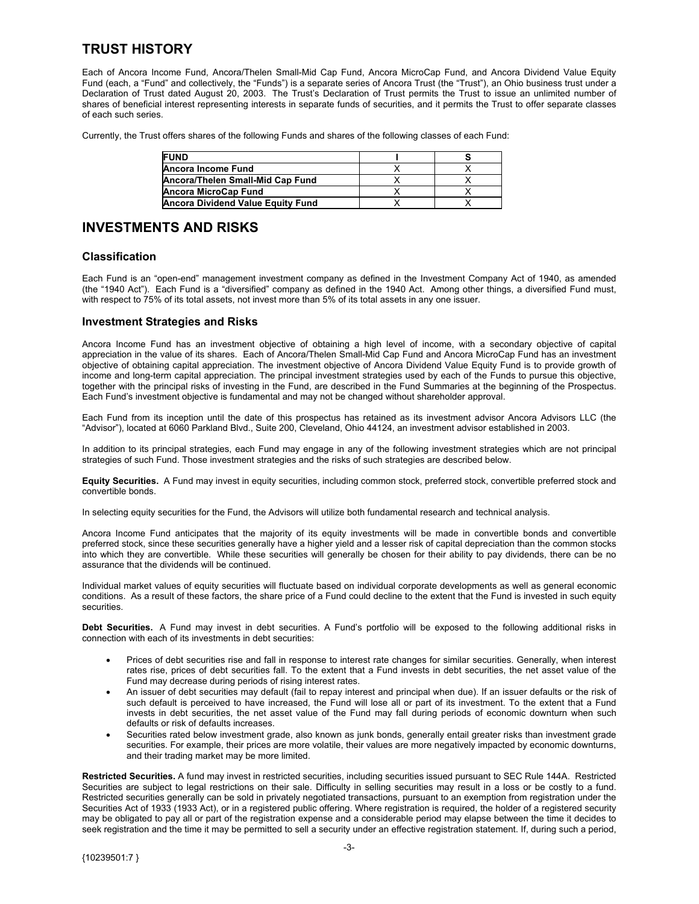# <span id="page-3-0"></span>**TRUST HISTORY**

Each of Ancora Income Fund, Ancora/Thelen Small-Mid Cap Fund, Ancora MicroCap Fund, and Ancora Dividend Value Equity Fund (each, a "Fund" and collectively, the "Funds") is a separate series of Ancora Trust (the "Trust"), an Ohio business trust under a Declaration of Trust dated August 20, 2003. The Trust's Declaration of Trust permits the Trust to issue an unlimited number of shares of beneficial interest representing interests in separate funds of securities, and it permits the Trust to offer separate classes of each such series.

Currently, the Trust offers shares of the following Funds and shares of the following classes of each Fund:

| <b>FUND</b>                              |  |
|------------------------------------------|--|
| Ancora Income Fund                       |  |
| Ancora/Thelen Small-Mid Cap Fund         |  |
| <b>Ancora MicroCap Fund</b>              |  |
| <b>Ancora Dividend Value Equity Fund</b> |  |

### **INVESTMENTS AND RISKS**

#### **Classification**

Each Fund is an "open-end" management investment company as defined in the Investment Company Act of 1940, as amended (the "1940 Act"). Each Fund is a "diversified" company as defined in the 1940 Act. Among other things, a diversified Fund must, with respect to 75% of its total assets, not invest more than 5% of its total assets in any one issuer.

#### **Investment Strategies and Risks**

Ancora Income Fund has an investment objective of obtaining a high level of income, with a secondary objective of capital appreciation in the value of its shares. Each of Ancora/Thelen Small-Mid Cap Fund and Ancora MicroCap Fund has an investment objective of obtaining capital appreciation. The investment objective of Ancora Dividend Value Equity Fund is to provide growth of income and long-term capital appreciation. The principal investment strategies used by each of the Funds to pursue this objective, together with the principal risks of investing in the Fund, are described in the Fund Summaries at the beginning of the Prospectus. Each Fund's investment objective is fundamental and may not be changed without shareholder approval.

Each Fund from its inception until the date of this prospectus has retained as its investment advisor Ancora Advisors LLC (the "Advisor"), located at 6060 Parkland Blvd., Suite 200, Cleveland, Ohio 44124, an investment advisor established in 2003.

In addition to its principal strategies, each Fund may engage in any of the following investment strategies which are not principal strategies of such Fund. Those investment strategies and the risks of such strategies are described below.

**Equity Securities.** A Fund may invest in equity securities, including common stock, preferred stock, convertible preferred stock and convertible bonds.

In selecting equity securities for the Fund, the Advisors will utilize both fundamental research and technical analysis.

Ancora Income Fund anticipates that the majority of its equity investments will be made in convertible bonds and convertible preferred stock, since these securities generally have a higher yield and a lesser risk of capital depreciation than the common stocks into which they are convertible. While these securities will generally be chosen for their ability to pay dividends, there can be no assurance that the dividends will be continued.

Individual market values of equity securities will fluctuate based on individual corporate developments as well as general economic conditions. As a result of these factors, the share price of a Fund could decline to the extent that the Fund is invested in such equity securities.

**Debt Securities.** A Fund may invest in debt securities. A Fund's portfolio will be exposed to the following additional risks in connection with each of its investments in debt securities:

- Prices of debt securities rise and fall in response to interest rate changes for similar securities. Generally, when interest rates rise, prices of debt securities fall. To the extent that a Fund invests in debt securities, the net asset value of the Fund may decrease during periods of rising interest rates.
- An issuer of debt securities may default (fail to repay interest and principal when due). If an issuer defaults or the risk of such default is perceived to have increased, the Fund will lose all or part of its investment. To the extent that a Fund invests in debt securities, the net asset value of the Fund may fall during periods of economic downturn when such defaults or risk of defaults increases.
- Securities rated below investment grade, also known as junk bonds, generally entail greater risks than investment grade securities. For example, their prices are more volatile, their values are more negatively impacted by economic downturns, and their trading market may be more limited.

**Restricted Securities.** A fund may invest in restricted securities, including securities issued pursuant to SEC Rule 144A. Restricted Securities are subject to legal restrictions on their sale. Difficulty in selling securities may result in a loss or be costly to a fund. Restricted securities generally can be sold in privately negotiated transactions, pursuant to an exemption from registration under the Securities Act of 1933 (1933 Act), or in a registered public offering. Where registration is required, the holder of a registered security may be obligated to pay all or part of the registration expense and a considerable period may elapse between the time it decides to seek registration and the time it may be permitted to sell a security under an effective registration statement. If, during such a period,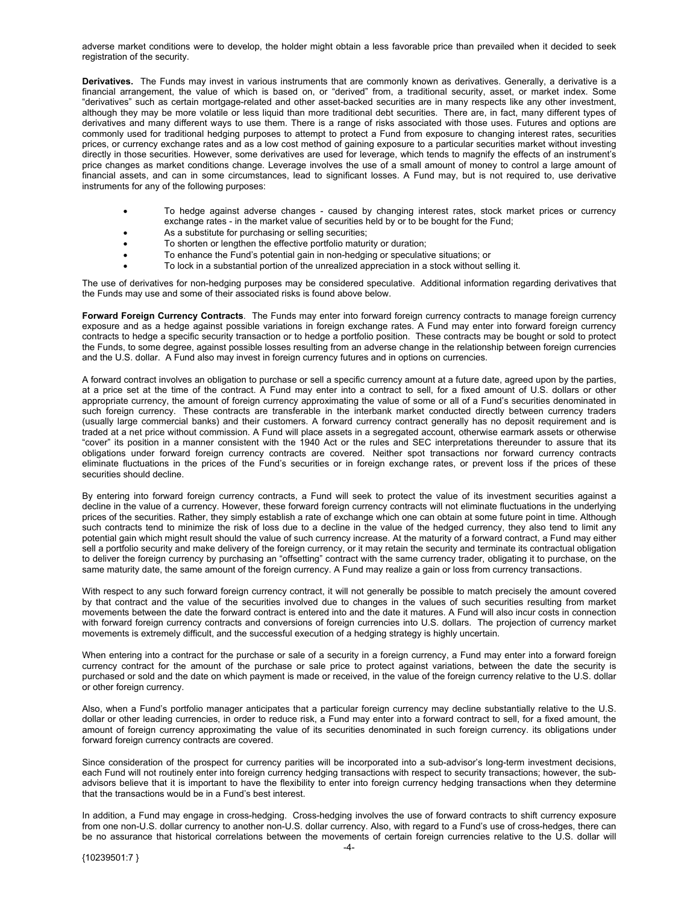adverse market conditions were to develop, the holder might obtain a less favorable price than prevailed when it decided to seek registration of the security.

**Derivatives.** The Funds may invest in various instruments that are commonly known as derivatives. Generally, a derivative is a financial arrangement, the value of which is based on, or "derived" from, a traditional security, asset, or market index. Some "derivatives" such as certain mortgage-related and other asset-backed securities are in many respects like any other investment, although they may be more volatile or less liquid than more traditional debt securities. There are, in fact, many different types of derivatives and many different ways to use them. There is a range of risks associated with those uses. Futures and options are commonly used for traditional hedging purposes to attempt to protect a Fund from exposure to changing interest rates, securities prices, or currency exchange rates and as a low cost method of gaining exposure to a particular securities market without investing directly in those securities. However, some derivatives are used for leverage, which tends to magnify the effects of an instrument's price changes as market conditions change. Leverage involves the use of a small amount of money to control a large amount of financial assets, and can in some circumstances, lead to significant losses. A Fund may, but is not required to, use derivative instruments for any of the following purposes:

- To hedge against adverse changes caused by changing interest rates, stock market prices or currency exchange rates - in the market value of securities held by or to be bought for the Fund;
- As a substitute for purchasing or selling securities;
- To shorten or lengthen the effective portfolio maturity or duration;
- To enhance the Fund's potential gain in non-hedging or speculative situations; or
- To lock in a substantial portion of the unrealized appreciation in a stock without selling it.

The use of derivatives for non-hedging purposes may be considered speculative. Additional information regarding derivatives that the Funds may use and some of their associated risks is found above below.

**Forward Foreign Currency Contracts**. The Funds may enter into forward foreign currency contracts to manage foreign currency exposure and as a hedge against possible variations in foreign exchange rates. A Fund may enter into forward foreign currency contracts to hedge a specific security transaction or to hedge a portfolio position. These contracts may be bought or sold to protect the Funds, to some degree, against possible losses resulting from an adverse change in the relationship between foreign currencies and the U.S. dollar. A Fund also may invest in foreign currency futures and in options on currencies.

A forward contract involves an obligation to purchase or sell a specific currency amount at a future date, agreed upon by the parties, at a price set at the time of the contract. A Fund may enter into a contract to sell, for a fixed amount of U.S. dollars or other appropriate currency, the amount of foreign currency approximating the value of some or all of a Fund's securities denominated in such foreign currency. These contracts are transferable in the interbank market conducted directly between currency traders (usually large commercial banks) and their customers. A forward currency contract generally has no deposit requirement and is traded at a net price without commission. A Fund will place assets in a segregated account, otherwise earmark assets or otherwise "cover" its position in a manner consistent with the 1940 Act or the rules and SEC interpretations thereunder to assure that its obligations under forward foreign currency contracts are covered. Neither spot transactions nor forward currency contracts eliminate fluctuations in the prices of the Fund's securities or in foreign exchange rates, or prevent loss if the prices of these securities should decline.

By entering into forward foreign currency contracts, a Fund will seek to protect the value of its investment securities against a decline in the value of a currency. However, these forward foreign currency contracts will not eliminate fluctuations in the underlying prices of the securities. Rather, they simply establish a rate of exchange which one can obtain at some future point in time. Although such contracts tend to minimize the risk of loss due to a decline in the value of the hedged currency, they also tend to limit any potential gain which might result should the value of such currency increase. At the maturity of a forward contract, a Fund may either sell a portfolio security and make delivery of the foreign currency, or it may retain the security and terminate its contractual obligation to deliver the foreign currency by purchasing an "offsetting" contract with the same currency trader, obligating it to purchase, on the same maturity date, the same amount of the foreign currency. A Fund may realize a gain or loss from currency transactions.

With respect to any such forward foreign currency contract, it will not generally be possible to match precisely the amount covered by that contract and the value of the securities involved due to changes in the values of such securities resulting from market movements between the date the forward contract is entered into and the date it matures. A Fund will also incur costs in connection with forward foreign currency contracts and conversions of foreign currencies into U.S. dollars. The projection of currency market movements is extremely difficult, and the successful execution of a hedging strategy is highly uncertain.

When entering into a contract for the purchase or sale of a security in a foreign currency, a Fund may enter into a forward foreign currency contract for the amount of the purchase or sale price to protect against variations, between the date the security is purchased or sold and the date on which payment is made or received, in the value of the foreign currency relative to the U.S. dollar or other foreign currency.

Also, when a Fund's portfolio manager anticipates that a particular foreign currency may decline substantially relative to the U.S. dollar or other leading currencies, in order to reduce risk, a Fund may enter into a forward contract to sell, for a fixed amount, the amount of foreign currency approximating the value of its securities denominated in such foreign currency. its obligations under forward foreign currency contracts are covered.

Since consideration of the prospect for currency parities will be incorporated into a sub-advisor's long-term investment decisions, each Fund will not routinely enter into foreign currency hedging transactions with respect to security transactions; however, the subadvisors believe that it is important to have the flexibility to enter into foreign currency hedging transactions when they determine that the transactions would be in a Fund's best interest.

In addition, a Fund may engage in cross-hedging. Cross-hedging involves the use of forward contracts to shift currency exposure from one non-U.S. dollar currency to another non-U.S. dollar currency. Also, with regard to a Fund's use of cross-hedges, there can be no assurance that historical correlations between the movements of certain foreign currencies relative to the U.S. dollar will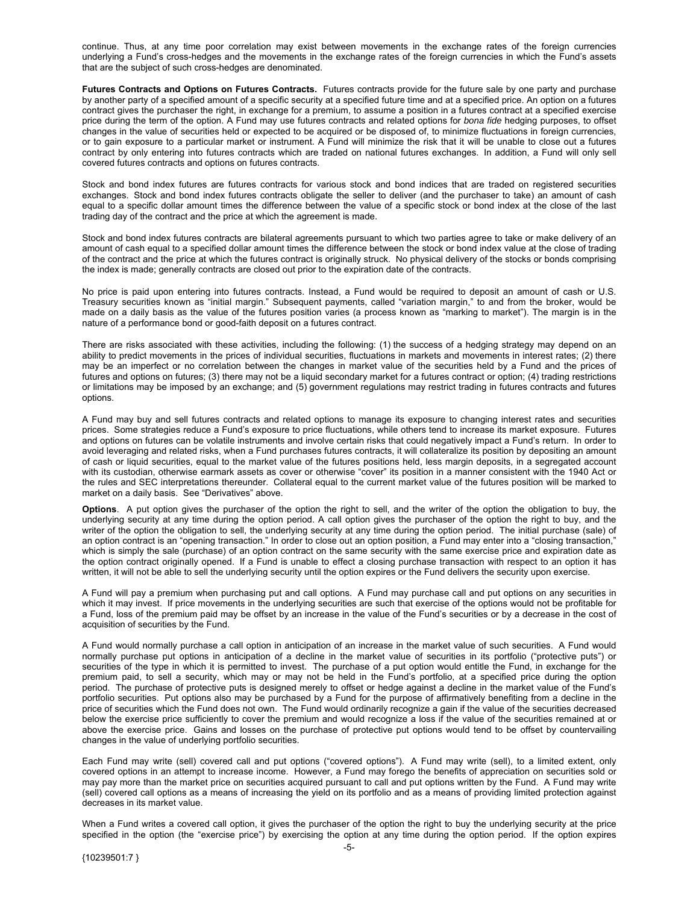continue. Thus, at any time poor correlation may exist between movements in the exchange rates of the foreign currencies underlying a Fund's cross-hedges and the movements in the exchange rates of the foreign currencies in which the Fund's assets that are the subject of such cross-hedges are denominated.

**Futures Contracts and Options on Futures Contracts.** Futures contracts provide for the future sale by one party and purchase by another party of a specified amount of a specific security at a specified future time and at a specified price. An option on a futures contract gives the purchaser the right, in exchange for a premium, to assume a position in a futures contract at a specified exercise price during the term of the option. A Fund may use futures contracts and related options for *bona fide* hedging purposes, to offset changes in the value of securities held or expected to be acquired or be disposed of, to minimize fluctuations in foreign currencies, or to gain exposure to a particular market or instrument. A Fund will minimize the risk that it will be unable to close out a futures contract by only entering into futures contracts which are traded on national futures exchanges. In addition, a Fund will only sell covered futures contracts and options on futures contracts.

Stock and bond index futures are futures contracts for various stock and bond indices that are traded on registered securities exchanges. Stock and bond index futures contracts obligate the seller to deliver (and the purchaser to take) an amount of cash equal to a specific dollar amount times the difference between the value of a specific stock or bond index at the close of the last trading day of the contract and the price at which the agreement is made.

Stock and bond index futures contracts are bilateral agreements pursuant to which two parties agree to take or make delivery of an amount of cash equal to a specified dollar amount times the difference between the stock or bond index value at the close of trading of the contract and the price at which the futures contract is originally struck. No physical delivery of the stocks or bonds comprising the index is made; generally contracts are closed out prior to the expiration date of the contracts.

No price is paid upon entering into futures contracts. Instead, a Fund would be required to deposit an amount of cash or U.S. Treasury securities known as "initial margin." Subsequent payments, called "variation margin," to and from the broker, would be made on a daily basis as the value of the futures position varies (a process known as "marking to market"). The margin is in the nature of a performance bond or good-faith deposit on a futures contract.

There are risks associated with these activities, including the following: (1) the success of a hedging strategy may depend on an ability to predict movements in the prices of individual securities, fluctuations in markets and movements in interest rates; (2) there may be an imperfect or no correlation between the changes in market value of the securities held by a Fund and the prices of futures and options on futures; (3) there may not be a liquid secondary market for a futures contract or option; (4) trading restrictions or limitations may be imposed by an exchange; and (5) government regulations may restrict trading in futures contracts and futures options.

A Fund may buy and sell futures contracts and related options to manage its exposure to changing interest rates and securities prices. Some strategies reduce a Fund's exposure to price fluctuations, while others tend to increase its market exposure. Futures and options on futures can be volatile instruments and involve certain risks that could negatively impact a Fund's return. In order to avoid leveraging and related risks, when a Fund purchases futures contracts, it will collateralize its position by depositing an amount of cash or liquid securities, equal to the market value of the futures positions held, less margin deposits, in a segregated account with its custodian, otherwise earmark assets as cover or otherwise "cover" its position in a manner consistent with the 1940 Act or the rules and SEC interpretations thereunder. Collateral equal to the current market value of the futures position will be marked to market on a daily basis. See "Derivatives" above.

**Options**. A put option gives the purchaser of the option the right to sell, and the writer of the option the obligation to buy, the underlying security at any time during the option period. A call option gives the purchaser of the option the right to buy, and the writer of the option the obligation to sell, the underlying security at any time during the option period. The initial purchase (sale) of an option contract is an "opening transaction." In order to close out an option position, a Fund may enter into a "closing transaction," which is simply the sale (purchase) of an option contract on the same security with the same exercise price and expiration date as the option contract originally opened. If a Fund is unable to effect a closing purchase transaction with respect to an option it has written, it will not be able to sell the underlying security until the option expires or the Fund delivers the security upon exercise.

A Fund will pay a premium when purchasing put and call options. A Fund may purchase call and put options on any securities in which it may invest. If price movements in the underlying securities are such that exercise of the options would not be profitable for a Fund, loss of the premium paid may be offset by an increase in the value of the Fund's securities or by a decrease in the cost of acquisition of securities by the Fund.

A Fund would normally purchase a call option in anticipation of an increase in the market value of such securities. A Fund would normally purchase put options in anticipation of a decline in the market value of securities in its portfolio ("protective puts") or securities of the type in which it is permitted to invest. The purchase of a put option would entitle the Fund, in exchange for the premium paid, to sell a security, which may or may not be held in the Fund's portfolio, at a specified price during the option period. The purchase of protective puts is designed merely to offset or hedge against a decline in the market value of the Fund's portfolio securities. Put options also may be purchased by a Fund for the purpose of affirmatively benefiting from a decline in the price of securities which the Fund does not own. The Fund would ordinarily recognize a gain if the value of the securities decreased below the exercise price sufficiently to cover the premium and would recognize a loss if the value of the securities remained at or above the exercise price. Gains and losses on the purchase of protective put options would tend to be offset by countervailing changes in the value of underlying portfolio securities.

Each Fund may write (sell) covered call and put options ("covered options"). A Fund may write (sell), to a limited extent, only covered options in an attempt to increase income. However, a Fund may forego the benefits of appreciation on securities sold or may pay more than the market price on securities acquired pursuant to call and put options written by the Fund. A Fund may write (sell) covered call options as a means of increasing the yield on its portfolio and as a means of providing limited protection against decreases in its market value.

When a Fund writes a covered call option, it gives the purchaser of the option the right to buy the underlying security at the price specified in the option (the "exercise price") by exercising the option at any time during the option period. If the option expires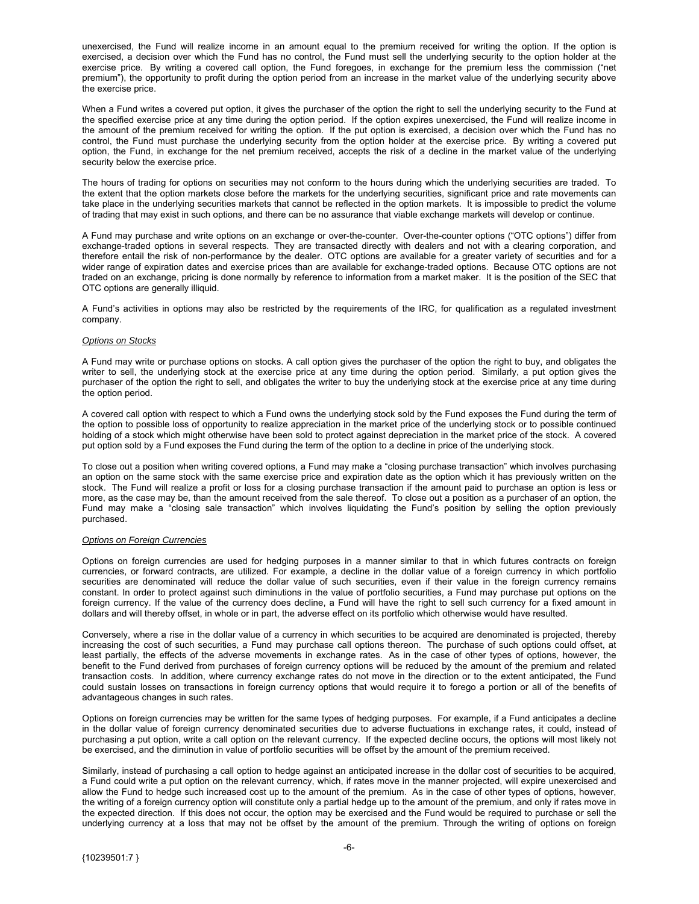unexercised, the Fund will realize income in an amount equal to the premium received for writing the option. If the option is exercised, a decision over which the Fund has no control, the Fund must sell the underlying security to the option holder at the exercise price. By writing a covered call option, the Fund foregoes, in exchange for the premium less the commission ("net premium"), the opportunity to profit during the option period from an increase in the market value of the underlying security above the exercise price.

When a Fund writes a covered put option, it gives the purchaser of the option the right to sell the underlying security to the Fund at the specified exercise price at any time during the option period. If the option expires unexercised, the Fund will realize income in the amount of the premium received for writing the option. If the put option is exercised, a decision over which the Fund has no control, the Fund must purchase the underlying security from the option holder at the exercise price. By writing a covered put option, the Fund, in exchange for the net premium received, accepts the risk of a decline in the market value of the underlying security below the exercise price.

The hours of trading for options on securities may not conform to the hours during which the underlying securities are traded. To the extent that the option markets close before the markets for the underlying securities, significant price and rate movements can take place in the underlying securities markets that cannot be reflected in the option markets. It is impossible to predict the volume of trading that may exist in such options, and there can be no assurance that viable exchange markets will develop or continue.

A Fund may purchase and write options on an exchange or over-the-counter. Over-the-counter options ("OTC options") differ from exchange-traded options in several respects. They are transacted directly with dealers and not with a clearing corporation, and therefore entail the risk of non-performance by the dealer. OTC options are available for a greater variety of securities and for a wider range of expiration dates and exercise prices than are available for exchange-traded options. Because OTC options are not traded on an exchange, pricing is done normally by reference to information from a market maker. It is the position of the SEC that OTC options are generally illiquid.

A Fund's activities in options may also be restricted by the requirements of the IRC, for qualification as a regulated investment company.

#### *Options on Stocks*

A Fund may write or purchase options on stocks. A call option gives the purchaser of the option the right to buy, and obligates the writer to sell, the underlying stock at the exercise price at any time during the option period. Similarly, a put option gives the purchaser of the option the right to sell, and obligates the writer to buy the underlying stock at the exercise price at any time during the option period.

A covered call option with respect to which a Fund owns the underlying stock sold by the Fund exposes the Fund during the term of the option to possible loss of opportunity to realize appreciation in the market price of the underlying stock or to possible continued holding of a stock which might otherwise have been sold to protect against depreciation in the market price of the stock. A covered put option sold by a Fund exposes the Fund during the term of the option to a decline in price of the underlying stock.

To close out a position when writing covered options, a Fund may make a "closing purchase transaction" which involves purchasing an option on the same stock with the same exercise price and expiration date as the option which it has previously written on the stock. The Fund will realize a profit or loss for a closing purchase transaction if the amount paid to purchase an option is less or more, as the case may be, than the amount received from the sale thereof. To close out a position as a purchaser of an option, the Fund may make a "closing sale transaction" which involves liquidating the Fund's position by selling the option previously purchased.

#### *Options on Foreign Currencies*

Options on foreign currencies are used for hedging purposes in a manner similar to that in which futures contracts on foreign currencies, or forward contracts, are utilized. For example, a decline in the dollar value of a foreign currency in which portfolio securities are denominated will reduce the dollar value of such securities, even if their value in the foreign currency remains constant. In order to protect against such diminutions in the value of portfolio securities, a Fund may purchase put options on the foreign currency. If the value of the currency does decline, a Fund will have the right to sell such currency for a fixed amount in dollars and will thereby offset, in whole or in part, the adverse effect on its portfolio which otherwise would have resulted.

Conversely, where a rise in the dollar value of a currency in which securities to be acquired are denominated is projected, thereby increasing the cost of such securities, a Fund may purchase call options thereon. The purchase of such options could offset, at least partially, the effects of the adverse movements in exchange rates. As in the case of other types of options, however, the benefit to the Fund derived from purchases of foreign currency options will be reduced by the amount of the premium and related transaction costs. In addition, where currency exchange rates do not move in the direction or to the extent anticipated, the Fund could sustain losses on transactions in foreign currency options that would require it to forego a portion or all of the benefits of advantageous changes in such rates.

Options on foreign currencies may be written for the same types of hedging purposes. For example, if a Fund anticipates a decline in the dollar value of foreign currency denominated securities due to adverse fluctuations in exchange rates, it could, instead of purchasing a put option, write a call option on the relevant currency. If the expected decline occurs, the options will most likely not be exercised, and the diminution in value of portfolio securities will be offset by the amount of the premium received.

Similarly, instead of purchasing a call option to hedge against an anticipated increase in the dollar cost of securities to be acquired, a Fund could write a put option on the relevant currency, which, if rates move in the manner projected, will expire unexercised and allow the Fund to hedge such increased cost up to the amount of the premium. As in the case of other types of options, however, the writing of a foreign currency option will constitute only a partial hedge up to the amount of the premium, and only if rates move in the expected direction. If this does not occur, the option may be exercised and the Fund would be required to purchase or sell the underlying currency at a loss that may not be offset by the amount of the premium. Through the writing of options on foreign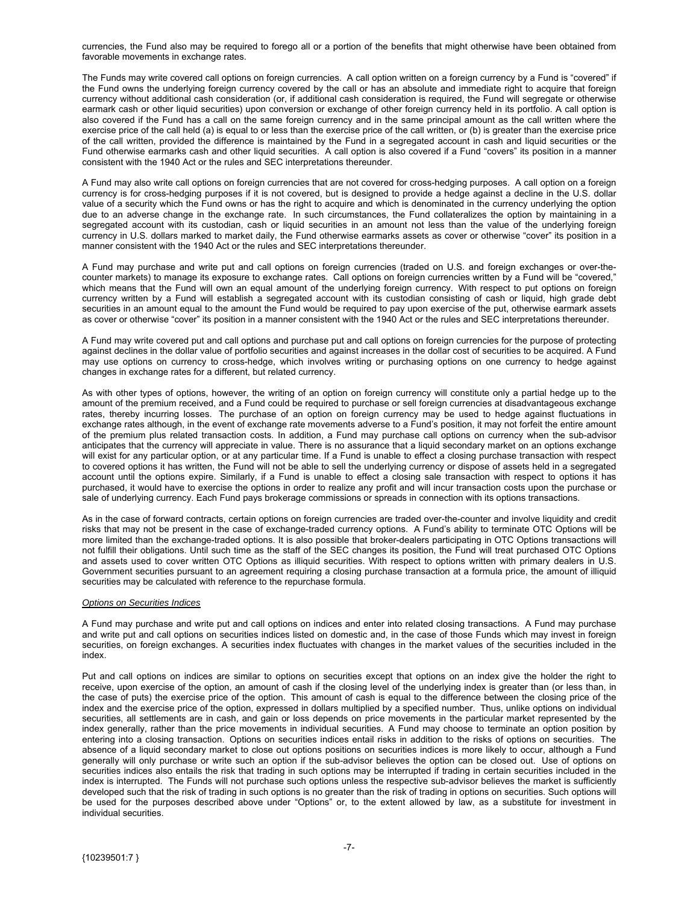currencies, the Fund also may be required to forego all or a portion of the benefits that might otherwise have been obtained from favorable movements in exchange rates.

The Funds may write covered call options on foreign currencies. A call option written on a foreign currency by a Fund is "covered" if the Fund owns the underlying foreign currency covered by the call or has an absolute and immediate right to acquire that foreign currency without additional cash consideration (or, if additional cash consideration is required, the Fund will segregate or otherwise earmark cash or other liquid securities) upon conversion or exchange of other foreign currency held in its portfolio. A call option is also covered if the Fund has a call on the same foreign currency and in the same principal amount as the call written where the exercise price of the call held (a) is equal to or less than the exercise price of the call written, or (b) is greater than the exercise price of the call written, provided the difference is maintained by the Fund in a segregated account in cash and liquid securities or the Fund otherwise earmarks cash and other liquid securities. A call option is also covered if a Fund "covers" its position in a manner consistent with the 1940 Act or the rules and SEC interpretations thereunder.

A Fund may also write call options on foreign currencies that are not covered for cross-hedging purposes. A call option on a foreign currency is for cross-hedging purposes if it is not covered, but is designed to provide a hedge against a decline in the U.S. dollar value of a security which the Fund owns or has the right to acquire and which is denominated in the currency underlying the option due to an adverse change in the exchange rate. In such circumstances, the Fund collateralizes the option by maintaining in a segregated account with its custodian, cash or liquid securities in an amount not less than the value of the underlying foreign currency in U.S. dollars marked to market daily, the Fund otherwise earmarks assets as cover or otherwise "cover" its position in a manner consistent with the 1940 Act or the rules and SEC interpretations thereunder.

A Fund may purchase and write put and call options on foreign currencies (traded on U.S. and foreign exchanges or over-thecounter markets) to manage its exposure to exchange rates. Call options on foreign currencies written by a Fund will be "covered," which means that the Fund will own an equal amount of the underlying foreign currency. With respect to put options on foreign currency written by a Fund will establish a segregated account with its custodian consisting of cash or liquid, high grade debt securities in an amount equal to the amount the Fund would be required to pay upon exercise of the put, otherwise earmark assets as cover or otherwise "cover" its position in a manner consistent with the 1940 Act or the rules and SEC interpretations thereunder.

A Fund may write covered put and call options and purchase put and call options on foreign currencies for the purpose of protecting against declines in the dollar value of portfolio securities and against increases in the dollar cost of securities to be acquired. A Fund may use options on currency to cross-hedge, which involves writing or purchasing options on one currency to hedge against changes in exchange rates for a different, but related currency.

As with other types of options, however, the writing of an option on foreign currency will constitute only a partial hedge up to the amount of the premium received, and a Fund could be required to purchase or sell foreign currencies at disadvantageous exchange rates, thereby incurring losses. The purchase of an option on foreign currency may be used to hedge against fluctuations in exchange rates although, in the event of exchange rate movements adverse to a Fund's position, it may not forfeit the entire amount of the premium plus related transaction costs. In addition, a Fund may purchase call options on currency when the sub-advisor anticipates that the currency will appreciate in value. There is no assurance that a liquid secondary market on an options exchange will exist for any particular option, or at any particular time. If a Fund is unable to effect a closing purchase transaction with respect to covered options it has written, the Fund will not be able to sell the underlying currency or dispose of assets held in a segregated account until the options expire. Similarly, if a Fund is unable to effect a closing sale transaction with respect to options it has purchased, it would have to exercise the options in order to realize any profit and will incur transaction costs upon the purchase or sale of underlying currency. Each Fund pays brokerage commissions or spreads in connection with its options transactions.

As in the case of forward contracts, certain options on foreign currencies are traded over-the-counter and involve liquidity and credit risks that may not be present in the case of exchange-traded currency options. A Fund's ability to terminate OTC Options will be more limited than the exchange-traded options. It is also possible that broker-dealers participating in OTC Options transactions will not fulfill their obligations. Until such time as the staff of the SEC changes its position, the Fund will treat purchased OTC Options and assets used to cover written OTC Options as illiquid securities. With respect to options written with primary dealers in U.S. Government securities pursuant to an agreement requiring a closing purchase transaction at a formula price, the amount of illiquid securities may be calculated with reference to the repurchase formula.

#### *Options on Securities Indices*

A Fund may purchase and write put and call options on indices and enter into related closing transactions. A Fund may purchase and write put and call options on securities indices listed on domestic and, in the case of those Funds which may invest in foreign securities, on foreign exchanges. A securities index fluctuates with changes in the market values of the securities included in the index.

Put and call options on indices are similar to options on securities except that options on an index give the holder the right to receive, upon exercise of the option, an amount of cash if the closing level of the underlying index is greater than (or less than, in the case of puts) the exercise price of the option. This amount of cash is equal to the difference between the closing price of the index and the exercise price of the option, expressed in dollars multiplied by a specified number. Thus, unlike options on individual securities, all settlements are in cash, and gain or loss depends on price movements in the particular market represented by the index generally, rather than the price movements in individual securities. A Fund may choose to terminate an option position by entering into a closing transaction. Options on securities indices entail risks in addition to the risks of options on securities. The absence of a liquid secondary market to close out options positions on securities indices is more likely to occur, although a Fund generally will only purchase or write such an option if the sub-advisor believes the option can be closed out. Use of options on securities indices also entails the risk that trading in such options may be interrupted if trading in certain securities included in the index is interrupted. The Funds will not purchase such options unless the respective sub-advisor believes the market is sufficiently developed such that the risk of trading in such options is no greater than the risk of trading in options on securities. Such options will be used for the purposes described above under "Options" or, to the extent allowed by law, as a substitute for investment in individual securities.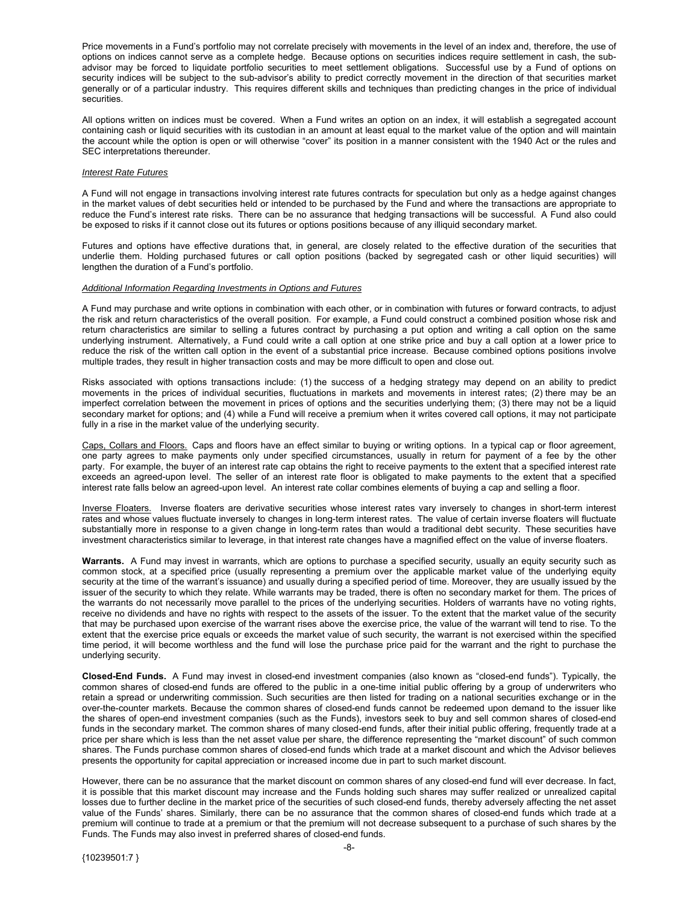Price movements in a Fund's portfolio may not correlate precisely with movements in the level of an index and, therefore, the use of options on indices cannot serve as a complete hedge. Because options on securities indices require settlement in cash, the subadvisor may be forced to liquidate portfolio securities to meet settlement obligations. Successful use by a Fund of options on security indices will be subject to the sub-advisor's ability to predict correctly movement in the direction of that securities market generally or of a particular industry. This requires different skills and techniques than predicting changes in the price of individual securities.

All options written on indices must be covered. When a Fund writes an option on an index, it will establish a segregated account containing cash or liquid securities with its custodian in an amount at least equal to the market value of the option and will maintain the account while the option is open or will otherwise "cover" its position in a manner consistent with the 1940 Act or the rules and SEC interpretations thereunder.

#### *Interest Rate Futures*

A Fund will not engage in transactions involving interest rate futures contracts for speculation but only as a hedge against changes in the market values of debt securities held or intended to be purchased by the Fund and where the transactions are appropriate to reduce the Fund's interest rate risks. There can be no assurance that hedging transactions will be successful. A Fund also could be exposed to risks if it cannot close out its futures or options positions because of any illiquid secondary market.

Futures and options have effective durations that, in general, are closely related to the effective duration of the securities that underlie them. Holding purchased futures or call option positions (backed by segregated cash or other liquid securities) will lengthen the duration of a Fund's portfolio.

#### *Additional Information Regarding Investments in Options and Futures*

A Fund may purchase and write options in combination with each other, or in combination with futures or forward contracts, to adjust the risk and return characteristics of the overall position. For example, a Fund could construct a combined position whose risk and return characteristics are similar to selling a futures contract by purchasing a put option and writing a call option on the same underlying instrument. Alternatively, a Fund could write a call option at one strike price and buy a call option at a lower price to reduce the risk of the written call option in the event of a substantial price increase. Because combined options positions involve multiple trades, they result in higher transaction costs and may be more difficult to open and close out.

Risks associated with options transactions include: (1) the success of a hedging strategy may depend on an ability to predict movements in the prices of individual securities, fluctuations in markets and movements in interest rates; (2) there may be an imperfect correlation between the movement in prices of options and the securities underlying them; (3) there may not be a liquid secondary market for options; and (4) while a Fund will receive a premium when it writes covered call options, it may not participate fully in a rise in the market value of the underlying security.

Caps, Collars and Floors. Caps and floors have an effect similar to buying or writing options. In a typical cap or floor agreement, one party agrees to make payments only under specified circumstances, usually in return for payment of a fee by the other party. For example, the buyer of an interest rate cap obtains the right to receive payments to the extent that a specified interest rate exceeds an agreed-upon level. The seller of an interest rate floor is obligated to make payments to the extent that a specified interest rate falls below an agreed-upon level. An interest rate collar combines elements of buying a cap and selling a floor.

Inverse Floaters. Inverse floaters are derivative securities whose interest rates vary inversely to changes in short-term interest rates and whose values fluctuate inversely to changes in long-term interest rates. The value of certain inverse floaters will fluctuate substantially more in response to a given change in long-term rates than would a traditional debt security. These securities have investment characteristics similar to leverage, in that interest rate changes have a magnified effect on the value of inverse floaters.

**Warrants.** A Fund may invest in warrants, which are options to purchase a specified security, usually an equity security such as common stock, at a specified price (usually representing a premium over the applicable market value of the underlying equity security at the time of the warrant's issuance) and usually during a specified period of time. Moreover, they are usually issued by the issuer of the security to which they relate. While warrants may be traded, there is often no secondary market for them. The prices of the warrants do not necessarily move parallel to the prices of the underlying securities. Holders of warrants have no voting rights, receive no dividends and have no rights with respect to the assets of the issuer. To the extent that the market value of the security that may be purchased upon exercise of the warrant rises above the exercise price, the value of the warrant will tend to rise. To the extent that the exercise price equals or exceeds the market value of such security, the warrant is not exercised within the specified time period, it will become worthless and the fund will lose the purchase price paid for the warrant and the right to purchase the underlying security.

**Closed-End Funds.** A Fund may invest in closed-end investment companies (also known as "closed-end funds"). Typically, the common shares of closed-end funds are offered to the public in a one-time initial public offering by a group of underwriters who retain a spread or underwriting commission. Such securities are then listed for trading on a national securities exchange or in the over-the-counter markets. Because the common shares of closed-end funds cannot be redeemed upon demand to the issuer like the shares of open-end investment companies (such as the Funds), investors seek to buy and sell common shares of closed-end funds in the secondary market. The common shares of many closed-end funds, after their initial public offering, frequently trade at a price per share which is less than the net asset value per share, the difference representing the "market discount" of such common shares. The Funds purchase common shares of closed-end funds which trade at a market discount and which the Advisor believes presents the opportunity for capital appreciation or increased income due in part to such market discount.

However, there can be no assurance that the market discount on common shares of any closed-end fund will ever decrease. In fact, it is possible that this market discount may increase and the Funds holding such shares may suffer realized or unrealized capital losses due to further decline in the market price of the securities of such closed-end funds, thereby adversely affecting the net asset value of the Funds' shares. Similarly, there can be no assurance that the common shares of closed-end funds which trade at a premium will continue to trade at a premium or that the premium will not decrease subsequent to a purchase of such shares by the Funds. The Funds may also invest in preferred shares of closed-end funds.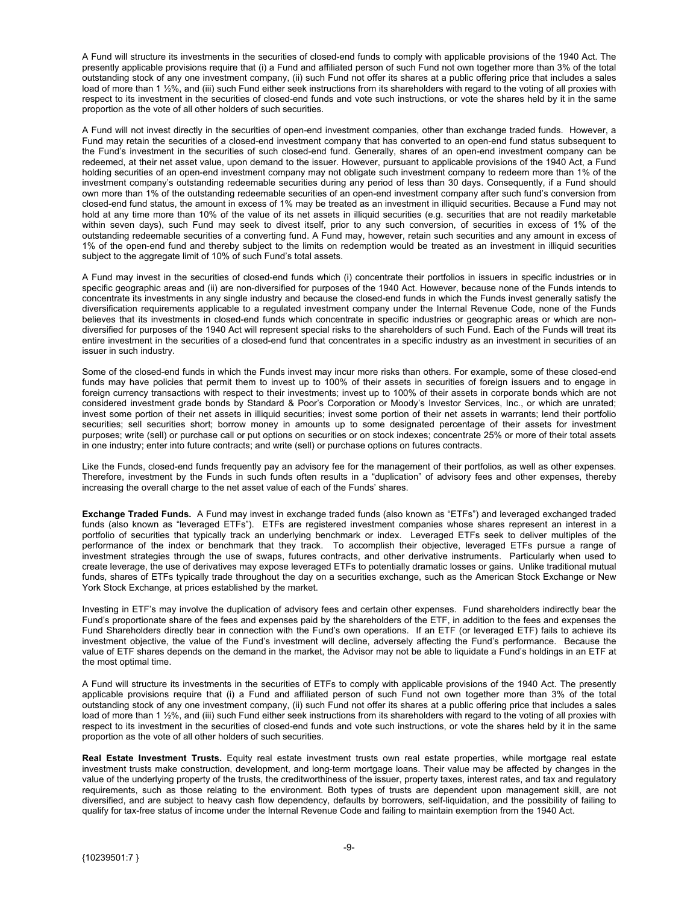A Fund will structure its investments in the securities of closed-end funds to comply with applicable provisions of the 1940 Act. The presently applicable provisions require that (i) a Fund and affiliated person of such Fund not own together more than 3% of the total outstanding stock of any one investment company, (ii) such Fund not offer its shares at a public offering price that includes a sales load of more than 1 ½%, and (iii) such Fund either seek instructions from its shareholders with regard to the voting of all proxies with respect to its investment in the securities of closed-end funds and vote such instructions, or vote the shares held by it in the same proportion as the vote of all other holders of such securities.

A Fund will not invest directly in the securities of open-end investment companies, other than exchange traded funds. However, a Fund may retain the securities of a closed-end investment company that has converted to an open-end fund status subsequent to the Fund's investment in the securities of such closed-end fund. Generally, shares of an open-end investment company can be redeemed, at their net asset value, upon demand to the issuer. However, pursuant to applicable provisions of the 1940 Act, a Fund holding securities of an open-end investment company may not obligate such investment company to redeem more than 1% of the investment company's outstanding redeemable securities during any period of less than 30 days. Consequently, if a Fund should own more than 1% of the outstanding redeemable securities of an open-end investment company after such fund's conversion from closed-end fund status, the amount in excess of 1% may be treated as an investment in illiquid securities. Because a Fund may not hold at any time more than 10% of the value of its net assets in illiquid securities (e.g. securities that are not readily marketable within seven days), such Fund may seek to divest itself, prior to any such conversion, of securities in excess of 1% of the outstanding redeemable securities of a converting fund. A Fund may, however, retain such securities and any amount in excess of 1% of the open-end fund and thereby subject to the limits on redemption would be treated as an investment in illiquid securities subject to the aggregate limit of 10% of such Fund's total assets.

A Fund may invest in the securities of closed-end funds which (i) concentrate their portfolios in issuers in specific industries or in specific geographic areas and (ii) are non-diversified for purposes of the 1940 Act. However, because none of the Funds intends to concentrate its investments in any single industry and because the closed-end funds in which the Funds invest generally satisfy the diversification requirements applicable to a regulated investment company under the Internal Revenue Code, none of the Funds believes that its investments in closed-end funds which concentrate in specific industries or geographic areas or which are nondiversified for purposes of the 1940 Act will represent special risks to the shareholders of such Fund. Each of the Funds will treat its entire investment in the securities of a closed-end fund that concentrates in a specific industry as an investment in securities of an issuer in such industry.

Some of the closed-end funds in which the Funds invest may incur more risks than others. For example, some of these closed-end funds may have policies that permit them to invest up to 100% of their assets in securities of foreign issuers and to engage in foreign currency transactions with respect to their investments; invest up to 100% of their assets in corporate bonds which are not considered investment grade bonds by Standard & Poor's Corporation or Moody's Investor Services, Inc., or which are unrated; invest some portion of their net assets in illiquid securities; invest some portion of their net assets in warrants; lend their portfolio securities; sell securities short; borrow money in amounts up to some designated percentage of their assets for investment purposes; write (sell) or purchase call or put options on securities or on stock indexes; concentrate 25% or more of their total assets in one industry; enter into future contracts; and write (sell) or purchase options on futures contracts.

Like the Funds, closed-end funds frequently pay an advisory fee for the management of their portfolios, as well as other expenses. Therefore, investment by the Funds in such funds often results in a "duplication" of advisory fees and other expenses, thereby increasing the overall charge to the net asset value of each of the Funds' shares.

**Exchange Traded Funds.** A Fund may invest in exchange traded funds (also known as "ETFs") and leveraged exchanged traded funds (also known as "leveraged ETFs"). ETFs are registered investment companies whose shares represent an interest in a portfolio of securities that typically track an underlying benchmark or index. Leveraged ETFs seek to deliver multiples of the performance of the index or benchmark that they track. To accomplish their objective, leveraged ETFs pursue a range of investment strategies through the use of swaps, futures contracts, and other derivative instruments. Particularly when used to create leverage, the use of derivatives may expose leveraged ETFs to potentially dramatic losses or gains. Unlike traditional mutual funds, shares of ETFs typically trade throughout the day on a securities exchange, such as the American Stock Exchange or New York Stock Exchange, at prices established by the market.

Investing in ETF's may involve the duplication of advisory fees and certain other expenses. Fund shareholders indirectly bear the Fund's proportionate share of the fees and expenses paid by the shareholders of the ETF, in addition to the fees and expenses the Fund Shareholders directly bear in connection with the Fund's own operations. If an ETF (or leveraged ETF) fails to achieve its investment objective, the value of the Fund's investment will decline, adversely affecting the Fund's performance. Because the value of ETF shares depends on the demand in the market, the Advisor may not be able to liquidate a Fund's holdings in an ETF at the most optimal time.

A Fund will structure its investments in the securities of ETFs to comply with applicable provisions of the 1940 Act. The presently applicable provisions require that (i) a Fund and affiliated person of such Fund not own together more than 3% of the total outstanding stock of any one investment company, (ii) such Fund not offer its shares at a public offering price that includes a sales load of more than 1 ½%, and (iii) such Fund either seek instructions from its shareholders with regard to the voting of all proxies with respect to its investment in the securities of closed-end funds and vote such instructions, or vote the shares held by it in the same proportion as the vote of all other holders of such securities.

**Real Estate Investment Trusts.** Equity real estate investment trusts own real estate properties, while mortgage real estate investment trusts make construction, development, and long-term mortgage loans. Their value may be affected by changes in the value of the underlying property of the trusts, the creditworthiness of the issuer, property taxes, interest rates, and tax and regulatory requirements, such as those relating to the environment. Both types of trusts are dependent upon management skill, are not diversified, and are subject to heavy cash flow dependency, defaults by borrowers, self-liquidation, and the possibility of failing to qualify for tax-free status of income under the Internal Revenue Code and failing to maintain exemption from the 1940 Act.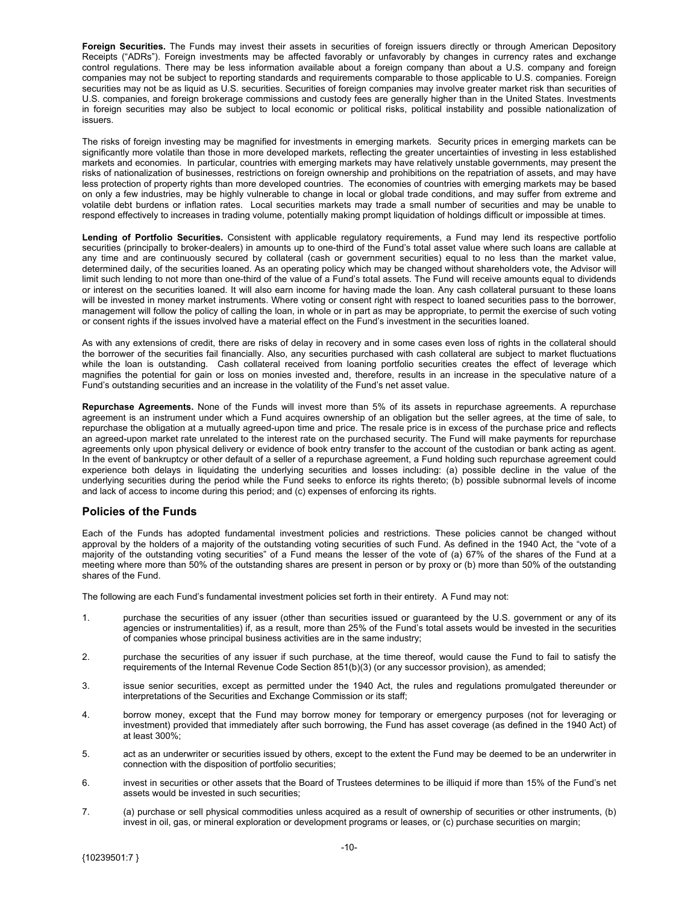<span id="page-10-0"></span>**Foreign Securities.** The Funds may invest their assets in securities of foreign issuers directly or through American Depository Receipts ("ADRs"). Foreign investments may be affected favorably or unfavorably by changes in currency rates and exchange control regulations. There may be less information available about a foreign company than about a U.S. company and foreign companies may not be subject to reporting standards and requirements comparable to those applicable to U.S. companies. Foreign securities may not be as liquid as U.S. securities. Securities of foreign companies may involve greater market risk than securities of U.S. companies, and foreign brokerage commissions and custody fees are generally higher than in the United States. Investments in foreign securities may also be subject to local economic or political risks, political instability and possible nationalization of issuers.

The risks of foreign investing may be magnified for investments in emerging markets. Security prices in emerging markets can be significantly more volatile than those in more developed markets, reflecting the greater uncertainties of investing in less established markets and economies. In particular, countries with emerging markets may have relatively unstable governments, may present the risks of nationalization of businesses, restrictions on foreign ownership and prohibitions on the repatriation of assets, and may have less protection of property rights than more developed countries. The economies of countries with emerging markets may be based on only a few industries, may be highly vulnerable to change in local or global trade conditions, and may suffer from extreme and volatile debt burdens or inflation rates. Local securities markets may trade a small number of securities and may be unable to respond effectively to increases in trading volume, potentially making prompt liquidation of holdings difficult or impossible at times.

**Lending of Portfolio Securities.** Consistent with applicable regulatory requirements, a Fund may lend its respective portfolio securities (principally to broker-dealers) in amounts up to one-third of the Fund's total asset value where such loans are callable at any time and are continuously secured by collateral (cash or government securities) equal to no less than the market value, determined daily, of the securities loaned. As an operating policy which may be changed without shareholders vote, the Advisor will limit such lending to not more than one-third of the value of a Fund's total assets. The Fund will receive amounts equal to dividends or interest on the securities loaned. It will also earn income for having made the loan. Any cash collateral pursuant to these loans will be invested in money market instruments. Where voting or consent right with respect to loaned securities pass to the borrower, management will follow the policy of calling the loan, in whole or in part as may be appropriate, to permit the exercise of such voting or consent rights if the issues involved have a material effect on the Fund's investment in the securities loaned.

As with any extensions of credit, there are risks of delay in recovery and in some cases even loss of rights in the collateral should the borrower of the securities fail financially. Also, any securities purchased with cash collateral are subject to market fluctuations while the loan is outstanding. Cash collateral received from loaning portfolio securities creates the effect of leverage which magnifies the potential for gain or loss on monies invested and, therefore, results in an increase in the speculative nature of a Fund's outstanding securities and an increase in the volatility of the Fund's net asset value.

**Repurchase Agreements.** None of the Funds will invest more than 5% of its assets in repurchase agreements. A repurchase agreement is an instrument under which a Fund acquires ownership of an obligation but the seller agrees, at the time of sale, to repurchase the obligation at a mutually agreed-upon time and price. The resale price is in excess of the purchase price and reflects an agreed-upon market rate unrelated to the interest rate on the purchased security. The Fund will make payments for repurchase agreements only upon physical delivery or evidence of book entry transfer to the account of the custodian or bank acting as agent. In the event of bankruptcy or other default of a seller of a repurchase agreement, a Fund holding such repurchase agreement could experience both delays in liquidating the underlying securities and losses including: (a) possible decline in the value of the underlying securities during the period while the Fund seeks to enforce its rights thereto; (b) possible subnormal levels of income and lack of access to income during this period; and (c) expenses of enforcing its rights.

### **Policies of the Funds**

Each of the Funds has adopted fundamental investment policies and restrictions. These policies cannot be changed without approval by the holders of a majority of the outstanding voting securities of such Fund. As defined in the 1940 Act, the "vote of a majority of the outstanding voting securities" of a Fund means the lesser of the vote of (a) 67% of the shares of the Fund at a meeting where more than 50% of the outstanding shares are present in person or by proxy or (b) more than 50% of the outstanding shares of the Fund.

The following are each Fund's fundamental investment policies set forth in their entirety. A Fund may not:

- 1. purchase the securities of any issuer (other than securities issued or guaranteed by the U.S. government or any of its agencies or instrumentalities) if, as a result, more than 25% of the Fund's total assets would be invested in the securities of companies whose principal business activities are in the same industry;
- 2. purchase the securities of any issuer if such purchase, at the time thereof, would cause the Fund to fail to satisfy the requirements of the Internal Revenue Code Section 851(b)(3) (or any successor provision), as amended;
- 3. issue senior securities, except as permitted under the 1940 Act, the rules and regulations promulgated thereunder or interpretations of the Securities and Exchange Commission or its staff;
- 4. borrow money, except that the Fund may borrow money for temporary or emergency purposes (not for leveraging or investment) provided that immediately after such borrowing, the Fund has asset coverage (as defined in the 1940 Act) of at least 300%;
- 5. act as an underwriter or securities issued by others, except to the extent the Fund may be deemed to be an underwriter in connection with the disposition of portfolio securities;
- 6. invest in securities or other assets that the Board of Trustees determines to be illiquid if more than 15% of the Fund's net assets would be invested in such securities;
- 7. (a) purchase or sell physical commodities unless acquired as a result of ownership of securities or other instruments, (b) invest in oil, gas, or mineral exploration or development programs or leases, or (c) purchase securities on margin;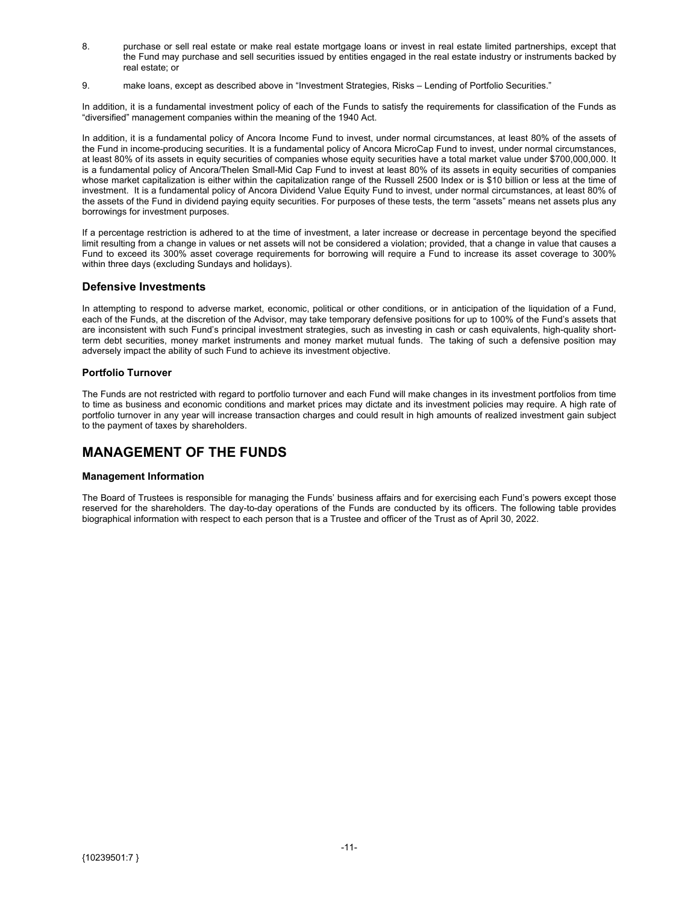- <span id="page-11-0"></span>8. purchase or sell real estate or make real estate mortgage loans or invest in real estate limited partnerships, except that the Fund may purchase and sell securities issued by entities engaged in the real estate industry or instruments backed by real estate; or
- 9. make loans, except as described above in "Investment Strategies, Risks Lending of Portfolio Securities."

In addition, it is a fundamental investment policy of each of the Funds to satisfy the requirements for classification of the Funds as "diversified" management companies within the meaning of the 1940 Act.

In addition, it is a fundamental policy of Ancora Income Fund to invest, under normal circumstances, at least 80% of the assets of the Fund in income-producing securities. It is a fundamental policy of Ancora MicroCap Fund to invest, under normal circumstances, at least 80% of its assets in equity securities of companies whose equity securities have a total market value under \$700,000,000. It is a fundamental policy of Ancora/Thelen Small-Mid Cap Fund to invest at least 80% of its assets in equity securities of companies whose market capitalization is either within the capitalization range of the Russell 2500 Index or is \$10 billion or less at the time of investment. It is a fundamental policy of Ancora Dividend Value Equity Fund to invest, under normal circumstances, at least 80% of the assets of the Fund in dividend paying equity securities. For purposes of these tests, the term "assets" means net assets plus any borrowings for investment purposes.

If a percentage restriction is adhered to at the time of investment, a later increase or decrease in percentage beyond the specified limit resulting from a change in values or net assets will not be considered a violation; provided, that a change in value that causes a Fund to exceed its 300% asset coverage requirements for borrowing will require a Fund to increase its asset coverage to 300% within three days (excluding Sundays and holidays).

#### **Defensive Investments**

In attempting to respond to adverse market, economic, political or other conditions, or in anticipation of the liquidation of a Fund, each of the Funds, at the discretion of the Advisor, may take temporary defensive positions for up to 100% of the Fund's assets that are inconsistent with such Fund's principal investment strategies, such as investing in cash or cash equivalents, high-quality shortterm debt securities, money market instruments and money market mutual funds. The taking of such a defensive position may adversely impact the ability of such Fund to achieve its investment objective.

#### **Portfolio Turnover**

The Funds are not restricted with regard to portfolio turnover and each Fund will make changes in its investment portfolios from time to time as business and economic conditions and market prices may dictate and its investment policies may require. A high rate of portfolio turnover in any year will increase transaction charges and could result in high amounts of realized investment gain subject to the payment of taxes by shareholders.

### **MANAGEMENT OF THE FUNDS**

#### **Management Information**

The Board of Trustees is responsible for managing the Funds' business affairs and for exercising each Fund's powers except those reserved for the shareholders. The day-to-day operations of the Funds are conducted by its officers. The following table provides biographical information with respect to each person that is a Trustee and officer of the Trust as of April 30, 2022.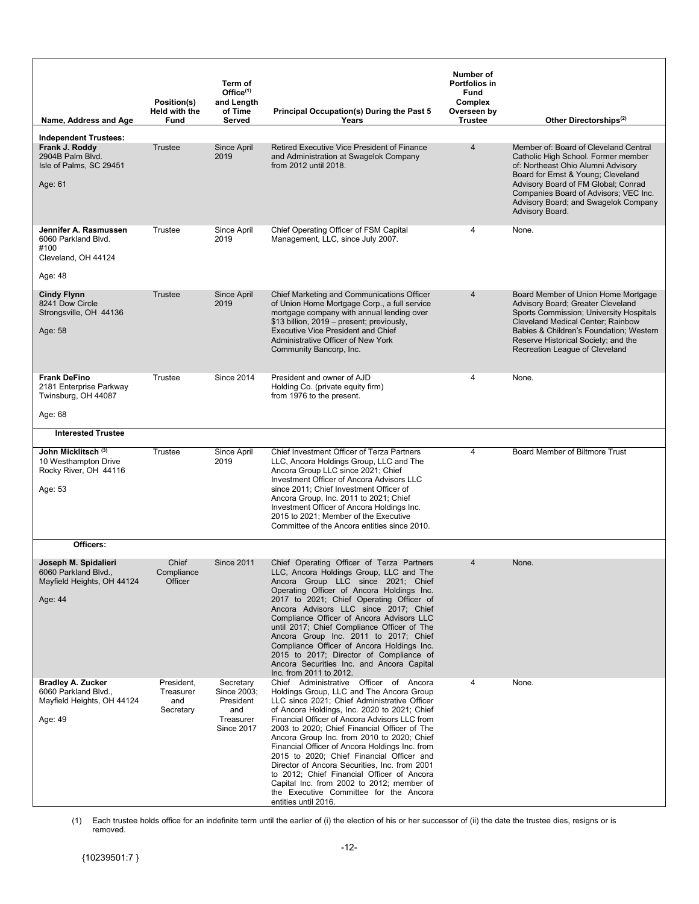| Name, Address and Age                                                                      | Position(s)<br><b>Held with the</b><br>Fund | Term of<br>Office $(1)$<br>and Length<br>of Time<br>Served                     | <b>Principal Occupation(s) During the Past 5</b><br>Years                                                                                                                                                                                                                                                                                                                                                                                                                                                                                                                                                                                      | Number of<br><b>Portfolios in</b><br>Fund<br>Complex<br>Overseen by<br><b>Trustee</b> | Other Directorships <sup>(2)</sup>                                                                                                                                                                                                                                                                  |
|--------------------------------------------------------------------------------------------|---------------------------------------------|--------------------------------------------------------------------------------|------------------------------------------------------------------------------------------------------------------------------------------------------------------------------------------------------------------------------------------------------------------------------------------------------------------------------------------------------------------------------------------------------------------------------------------------------------------------------------------------------------------------------------------------------------------------------------------------------------------------------------------------|---------------------------------------------------------------------------------------|-----------------------------------------------------------------------------------------------------------------------------------------------------------------------------------------------------------------------------------------------------------------------------------------------------|
| <b>Independent Trustees:</b>                                                               |                                             |                                                                                |                                                                                                                                                                                                                                                                                                                                                                                                                                                                                                                                                                                                                                                |                                                                                       |                                                                                                                                                                                                                                                                                                     |
| Frank J. Roddy<br>2904B Palm Blvd.<br>Isle of Palms, SC 29451<br>Age: 61                   | Trustee                                     | Since April<br>2019                                                            | Retired Executive Vice President of Finance<br>and Administration at Swagelok Company<br>from 2012 until 2018.                                                                                                                                                                                                                                                                                                                                                                                                                                                                                                                                 | 4                                                                                     | Member of: Board of Cleveland Central<br>Catholic High School. Former member<br>of: Northeast Ohio Alumni Advisory<br>Board for Ernst & Young; Cleveland<br>Advisory Board of FM Global; Conrad<br>Companies Board of Advisors; VEC Inc.<br>Advisory Board; and Swagelok Company<br>Advisory Board. |
| Jennifer A. Rasmussen<br>6060 Parkland Blvd.<br>#100<br>Cleveland, OH 44124<br>Age: 48     | Trustee                                     | Since April<br>2019                                                            | Chief Operating Officer of FSM Capital<br>Management, LLC, since July 2007.                                                                                                                                                                                                                                                                                                                                                                                                                                                                                                                                                                    | 4                                                                                     | None.                                                                                                                                                                                                                                                                                               |
| <b>Cindy Flynn</b><br>8241 Dow Circle<br>Strongsville, OH 44136<br>Age: 58                 | Trustee                                     | Since April<br>2019                                                            | Chief Marketing and Communications Officer<br>of Union Home Mortgage Corp., a full service<br>mortgage company with annual lending over<br>\$13 billion, 2019 - present; previously,<br><b>Executive Vice President and Chief</b><br>Administrative Officer of New York<br>Community Bancorp, Inc.                                                                                                                                                                                                                                                                                                                                             | 4                                                                                     | Board Member of Union Home Mortgage<br>Advisory Board; Greater Cleveland<br>Sports Commission; University Hospitals<br><b>Cleveland Medical Center; Rainbow</b><br>Babies & Children's Foundation; Western<br>Reserve Historical Society; and the<br>Recreation League of Cleveland                 |
| <b>Frank DeFino</b><br>2181 Enterprise Parkway<br>Twinsburg, OH 44087<br>Age: 68           | Trustee                                     | <b>Since 2014</b>                                                              | President and owner of AJD<br>Holding Co. (private equity firm)<br>from 1976 to the present.                                                                                                                                                                                                                                                                                                                                                                                                                                                                                                                                                   | 4                                                                                     | None.                                                                                                                                                                                                                                                                                               |
| <b>Interested Trustee</b>                                                                  |                                             |                                                                                |                                                                                                                                                                                                                                                                                                                                                                                                                                                                                                                                                                                                                                                |                                                                                       |                                                                                                                                                                                                                                                                                                     |
| John Micklitsch <sup>(3)</sup><br>10 Westhampton Drive<br>Rocky River, OH 44116<br>Age: 53 | Trustee                                     | Since April<br>2019                                                            | Chief Investment Officer of Terza Partners<br>LLC, Ancora Holdings Group, LLC and The<br>Ancora Group LLC since 2021; Chief<br>Investment Officer of Ancora Advisors LLC<br>since 2011; Chief Investment Officer of<br>Ancora Group, Inc. 2011 to 2021; Chief<br>Investment Officer of Ancora Holdings Inc.<br>2015 to 2021; Member of the Executive<br>Committee of the Ancora entities since 2010.                                                                                                                                                                                                                                           | $\overline{4}$                                                                        | Board Member of Biltmore Trust                                                                                                                                                                                                                                                                      |
| Officers:                                                                                  |                                             |                                                                                |                                                                                                                                                                                                                                                                                                                                                                                                                                                                                                                                                                                                                                                |                                                                                       |                                                                                                                                                                                                                                                                                                     |
| Joseph M. Spidalieri<br>6060 Parkland Blvd.,<br>Mayfield Heights, OH 44124<br>Age: 44      | Chief<br>Compliance<br>Officer              | <b>Since 2011</b>                                                              | Chief Operating Officer of Terza Partners<br>LLC, Ancora Holdings Group, LLC and The<br>Ancora Group LLC since 2021; Chief<br>Operating Officer of Ancora Holdings Inc.<br>2017 to 2021; Chief Operating Officer of<br>Ancora Advisors LLC since 2017; Chief<br>Compliance Officer of Ancora Advisors LLC<br>until 2017; Chief Compliance Officer of The<br>Ancora Group Inc. 2011 to 2017; Chief<br>Compliance Officer of Ancora Holdings Inc.<br>2015 to 2017; Director of Compliance of<br>Ancora Securities Inc. and Ancora Capital<br>Inc. from 2011 to 2012.                                                                             | 4                                                                                     | None.                                                                                                                                                                                                                                                                                               |
| <b>Bradley A. Zucker</b><br>6060 Parkland Blvd.,<br>Mayfield Heights, OH 44124<br>Age: 49  | President,<br>Treasurer<br>and<br>Secretary | Secretary<br>Since 2003;<br>President<br>and<br>Treasurer<br><b>Since 2017</b> | Chief Administrative Officer of Ancora<br>Holdings Group, LLC and The Ancora Group<br>LLC since 2021; Chief Administrative Officer<br>of Ancora Holdings, Inc. 2020 to 2021; Chief<br>Financial Officer of Ancora Advisors LLC from<br>2003 to 2020; Chief Financial Officer of The<br>Ancora Group Inc. from 2010 to 2020; Chief<br>Financial Officer of Ancora Holdings Inc. from<br>2015 to 2020; Chief Financial Officer and<br>Director of Ancora Securities, Inc. from 2001<br>to 2012; Chief Financial Officer of Ancora<br>Capital Inc. from 2002 to 2012; member of<br>the Executive Committee for the Ancora<br>entities until 2016. | 4                                                                                     | None.                                                                                                                                                                                                                                                                                               |

(1) Each trustee holds office for an indefinite term until the earlier of (i) the election of his or her successor of (ii) the date the trustee dies, resigns or is removed.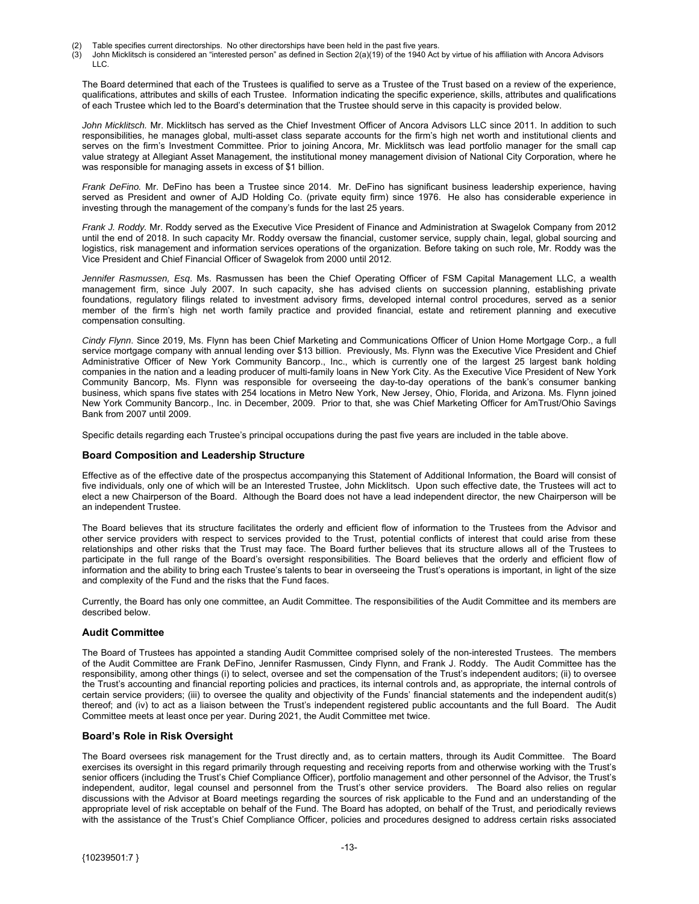- (2) Table specifies current directorships. No other directorships have been held in the past five years.<br>(3) John Micklitsch is considered an "interested person" as defined in Section 2(a)(19) of the 1940 Act
- (3) John Micklitsch is considered an "interested person" as defined in Section 2(a)(19) of the 1940 Act by virtue of his affiliation with Ancora Advisors LLC.

The Board determined that each of the Trustees is qualified to serve as a Trustee of the Trust based on a review of the experience, qualifications, attributes and skills of each Trustee. Information indicating the specific experience, skills, attributes and qualifications of each Trustee which led to the Board's determination that the Trustee should serve in this capacity is provided below.

*John Micklitsch.* Mr. Micklitsch has served as the Chief Investment Officer of Ancora Advisors LLC since 2011. In addition to such responsibilities, he manages global, multi-asset class separate accounts for the firm's high net worth and institutional clients and serves on the firm's Investment Committee. Prior to joining Ancora, Mr. Micklitsch was lead portfolio manager for the small cap value strategy at Allegiant Asset Management, the institutional money management division of National City Corporation, where he was responsible for managing assets in excess of \$1 billion.

*Frank DeFino.* Mr. DeFino has been a Trustee since 2014. Mr. DeFino has significant business leadership experience, having served as President and owner of AJD Holding Co. (private equity firm) since 1976. He also has considerable experience in investing through the management of the company's funds for the last 25 years.

*Frank J. Roddy.* Mr. Roddy served as the Executive Vice President of Finance and Administration at Swagelok Company from 2012 until the end of 2018. In such capacity Mr. Roddy oversaw the financial, customer service, supply chain, legal, global sourcing and logistics, risk management and information services operations of the organization. Before taking on such role, Mr. Roddy was the Vice President and Chief Financial Officer of Swagelok from 2000 until 2012.

*Jennifer Rasmussen, Esq*. Ms. Rasmussen has been the Chief Operating Officer of FSM Capital Management LLC, a wealth management firm, since July 2007. In such capacity, she has advised clients on succession planning, establishing private foundations, regulatory filings related to investment advisory firms, developed internal control procedures, served as a senior member of the firm's high net worth family practice and provided financial, estate and retirement planning and executive compensation consulting.

*Cindy Flynn*. Since 2019, Ms. Flynn has been Chief Marketing and Communications Officer of Union Home Mortgage Corp., a full service mortgage company with annual lending over \$13 billion. Previously, Ms. Flynn was the Executive Vice President and Chief Administrative Officer of New York Community Bancorp., Inc., which is currently one of the largest 25 largest bank holding companies in the nation and a leading producer of multi-family loans in New York City. As the Executive Vice President of New York Community Bancorp, Ms. Flynn was responsible for overseeing the day-to-day operations of the bank's consumer banking business, which spans five states with 254 locations in Metro New York, New Jersey, Ohio, Florida, and Arizona. Ms. Flynn joined New York Community Bancorp., Inc. in December, 2009. Prior to that, she was Chief Marketing Officer for AmTrust/Ohio Savings Bank from 2007 until 2009.

Specific details regarding each Trustee's principal occupations during the past five years are included in the table above.

#### **Board Composition and Leadership Structure**

Effective as of the effective date of the prospectus accompanying this Statement of Additional Information, the Board will consist of five individuals, only one of which will be an Interested Trustee, John Micklitsch. Upon such effective date, the Trustees will act to elect a new Chairperson of the Board. Although the Board does not have a lead independent director, the new Chairperson will be an independent Trustee.

The Board believes that its structure facilitates the orderly and efficient flow of information to the Trustees from the Advisor and other service providers with respect to services provided to the Trust, potential conflicts of interest that could arise from these relationships and other risks that the Trust may face. The Board further believes that its structure allows all of the Trustees to participate in the full range of the Board's oversight responsibilities. The Board believes that the orderly and efficient flow of information and the ability to bring each Trustee's talents to bear in overseeing the Trust's operations is important, in light of the size and complexity of the Fund and the risks that the Fund faces.

Currently, the Board has only one committee, an Audit Committee. The responsibilities of the Audit Committee and its members are described below.

#### **Audit Committee**

The Board of Trustees has appointed a standing Audit Committee comprised solely of the non-interested Trustees. The members of the Audit Committee are Frank DeFino, Jennifer Rasmussen, Cindy Flynn, and Frank J. Roddy. The Audit Committee has the responsibility, among other things (i) to select, oversee and set the compensation of the Trust's independent auditors; (ii) to oversee the Trust's accounting and financial reporting policies and practices, its internal controls and, as appropriate, the internal controls of certain service providers; (iii) to oversee the quality and objectivity of the Funds' financial statements and the independent audit(s) thereof; and (iv) to act as a liaison between the Trust's independent registered public accountants and the full Board. The Audit Committee meets at least once per year. During 2021, the Audit Committee met twice.

#### **Board's Role in Risk Oversight**

The Board oversees risk management for the Trust directly and, as to certain matters, through its Audit Committee. The Board exercises its oversight in this regard primarily through requesting and receiving reports from and otherwise working with the Trust's senior officers (including the Trust's Chief Compliance Officer), portfolio management and other personnel of the Advisor, the Trust's independent, auditor, legal counsel and personnel from the Trust's other service providers. The Board also relies on regular discussions with the Advisor at Board meetings regarding the sources of risk applicable to the Fund and an understanding of the appropriate level of risk acceptable on behalf of the Fund. The Board has adopted, on behalf of the Trust, and periodically reviews with the assistance of the Trust's Chief Compliance Officer, policies and procedures designed to address certain risks associated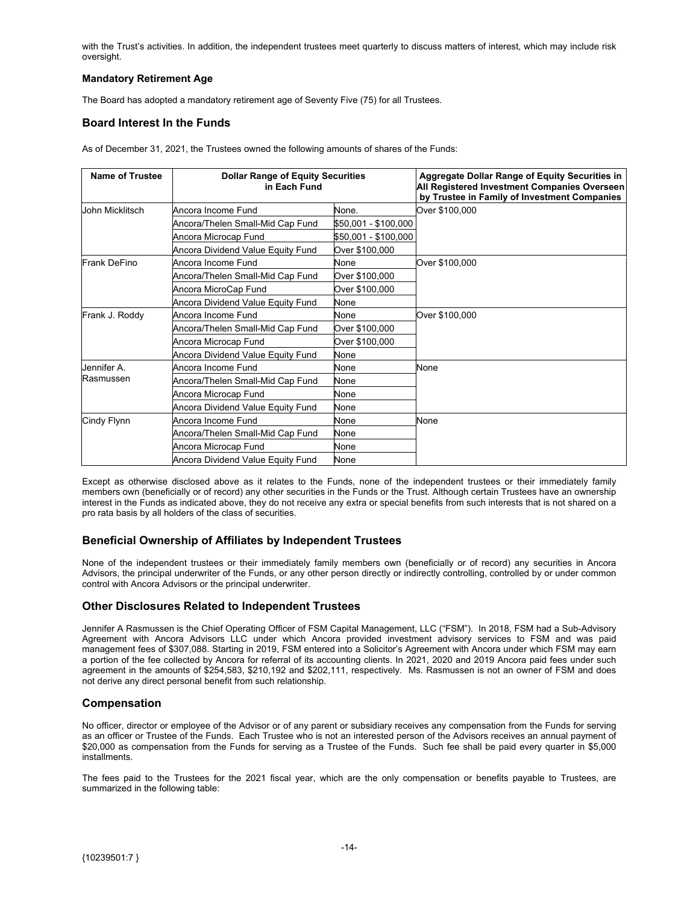<span id="page-14-0"></span>with the Trust's activities. In addition, the independent trustees meet quarterly to discuss matters of interest, which may include risk oversight.

### **Mandatory Retirement Age**

The Board has adopted a mandatory retirement age of Seventy Five (75) for all Trustees.

### **Board Interest In the Funds**

As of December 31, 2021, the Trustees owned the following amounts of shares of the Funds:

| <b>Name of Trustee</b> | <b>Dollar Range of Equity Securities</b><br>in Each Fund |                      | <b>Aggregate Dollar Range of Equity Securities in</b><br>All Registered Investment Companies Overseen<br>by Trustee in Family of Investment Companies |
|------------------------|----------------------------------------------------------|----------------------|-------------------------------------------------------------------------------------------------------------------------------------------------------|
| John Micklitsch        | Ancora Income Fund                                       | None.                | Over \$100,000                                                                                                                                        |
|                        | Ancora/Thelen Small-Mid Cap Fund                         | \$50,001 - \$100,000 |                                                                                                                                                       |
|                        | Ancora Microcap Fund                                     | \$50,001 - \$100,000 |                                                                                                                                                       |
|                        | Ancora Dividend Value Equity Fund                        | Over \$100,000       |                                                                                                                                                       |
| Frank DeFino           | Ancora Income Fund                                       | None                 | Over \$100,000                                                                                                                                        |
|                        | Ancora/Thelen Small-Mid Cap Fund                         | Over \$100,000       |                                                                                                                                                       |
|                        | Ancora MicroCap Fund                                     | Over \$100,000       |                                                                                                                                                       |
|                        | Ancora Dividend Value Equity Fund                        | None                 |                                                                                                                                                       |
| Frank J. Roddy         | Ancora Income Fund                                       | None                 | Over \$100,000                                                                                                                                        |
|                        | Ancora/Thelen Small-Mid Cap Fund                         | Over \$100,000       |                                                                                                                                                       |
|                        | Ancora Microcap Fund                                     | Over \$100,000       |                                                                                                                                                       |
|                        | Ancora Dividend Value Equity Fund                        | None                 |                                                                                                                                                       |
| Jennifer A.            | Ancora Income Fund                                       | None                 | None                                                                                                                                                  |
| Rasmussen              | Ancora/Thelen Small-Mid Cap Fund                         | None                 |                                                                                                                                                       |
|                        | Ancora Microcap Fund                                     | None                 |                                                                                                                                                       |
|                        | Ancora Dividend Value Equity Fund                        | None                 |                                                                                                                                                       |
| Cindy Flynn            | Ancora Income Fund                                       | None                 | None                                                                                                                                                  |
|                        | Ancora/Thelen Small-Mid Cap Fund                         | None                 |                                                                                                                                                       |
|                        | Ancora Microcap Fund                                     | None                 |                                                                                                                                                       |
|                        | Ancora Dividend Value Equity Fund                        | None                 |                                                                                                                                                       |

Except as otherwise disclosed above as it relates to the Funds, none of the independent trustees or their immediately family members own (beneficially or of record) any other securities in the Funds or the Trust. Although certain Trustees have an ownership interest in the Funds as indicated above, they do not receive any extra or special benefits from such interests that is not shared on a pro rata basis by all holders of the class of securities.

### **Beneficial Ownership of Affiliates by Independent Trustees**

None of the independent trustees or their immediately family members own (beneficially or of record) any securities in Ancora Advisors, the principal underwriter of the Funds, or any other person directly or indirectly controlling, controlled by or under common control with Ancora Advisors or the principal underwriter.

#### **Other Disclosures Related to Independent Trustees**

Jennifer A Rasmussen is the Chief Operating Officer of FSM Capital Management, LLC ("FSM"). In 2018, FSM had a Sub-Advisory Agreement with Ancora Advisors LLC under which Ancora provided investment advisory services to FSM and was paid management fees of \$307,088. Starting in 2019, FSM entered into a Solicitor's Agreement with Ancora under which FSM may earn a portion of the fee collected by Ancora for referral of its accounting clients. In 2021, 2020 and 2019 Ancora paid fees under such agreement in the amounts of \$254,583, \$210,192 and \$202,111, respectively. Ms. Rasmussen is not an owner of FSM and does not derive any direct personal benefit from such relationship.

### **Compensation**

No officer, director or employee of the Advisor or of any parent or subsidiary receives any compensation from the Funds for serving as an officer or Trustee of the Funds. Each Trustee who is not an interested person of the Advisors receives an annual payment of \$20,000 as compensation from the Funds for serving as a Trustee of the Funds. Such fee shall be paid every quarter in \$5,000 installments.

The fees paid to the Trustees for the 2021 fiscal year, which are the only compensation or benefits payable to Trustees, are summarized in the following table: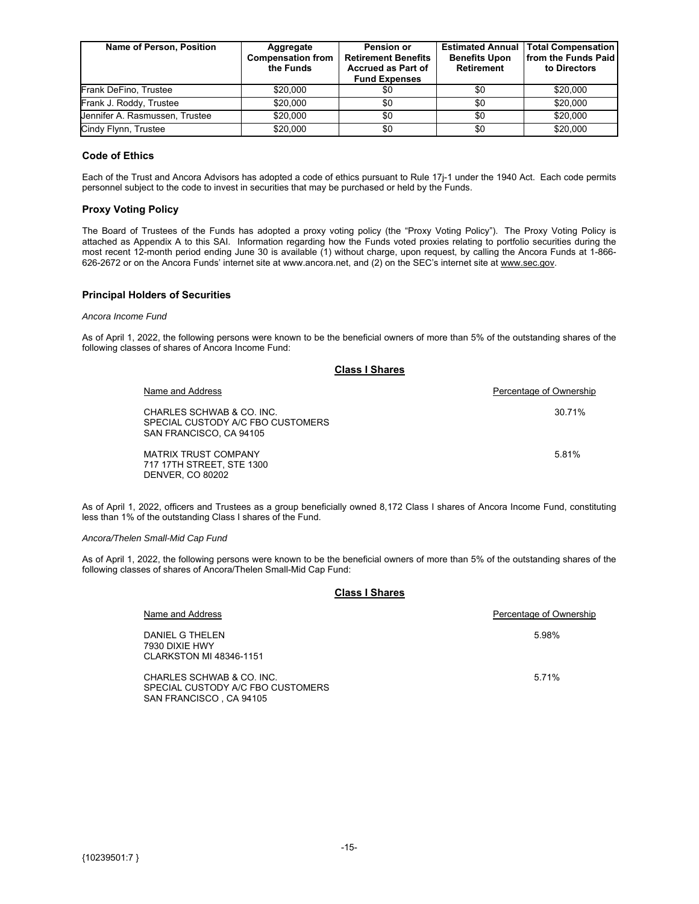| Name of Person, Position       | Aggregate<br><b>Compensation from</b><br>the Funds | <b>Pension or</b><br><b>Retirement Benefits</b><br><b>Accrued as Part of</b><br><b>Fund Expenses</b> | <b>Estimated Annual  </b><br><b>Benefits Upon</b><br><b>Retirement</b> | <b>Total Compensation</b><br><b>from the Funds Paid</b><br>to Directors |
|--------------------------------|----------------------------------------------------|------------------------------------------------------------------------------------------------------|------------------------------------------------------------------------|-------------------------------------------------------------------------|
| Frank DeFino, Trustee          | \$20,000                                           | \$0                                                                                                  | \$0                                                                    | \$20,000                                                                |
| Frank J. Roddy, Trustee        | \$20,000                                           | \$0                                                                                                  | \$0                                                                    | \$20,000                                                                |
| Jennifer A. Rasmussen, Trustee | \$20,000                                           | \$0                                                                                                  | \$0                                                                    | \$20,000                                                                |
| Cindy Flynn, Trustee           | \$20,000                                           | \$0                                                                                                  | \$0                                                                    | \$20,000                                                                |

#### **Code of Ethics**

Each of the Trust and Ancora Advisors has adopted a code of ethics pursuant to Rule 17j-1 under the 1940 Act. Each code permits personnel subject to the code to invest in securities that may be purchased or held by the Funds.

#### **Proxy Voting Policy**

The Board of Trustees of the Funds has adopted a proxy voting policy (the "Proxy Voting Policy"). The Proxy Voting Policy is attached as Appendix A to this SAI. Information regarding how the Funds voted proxies relating to portfolio securities during the most recent 12-month period ending June 30 is available (1) without charge, upon request, by calling the Ancora Funds at 1-866- 626-2672 or on the Ancora Funds' internet site at www.ancora.net, and (2) on the SEC's internet site at www.sec.gov.

#### **Principal Holders of Securities**

#### *Ancora Income Fund*

As of April 1, 2022, the following persons were known to be the beneficial owners of more than 5% of the outstanding shares of the following classes of shares of Ancora Income Fund:

#### **Class I Shares**

| Name and Address                                                                          | Percentage of Ownership |
|-------------------------------------------------------------------------------------------|-------------------------|
| CHARLES SCHWAB & CO. INC.<br>SPECIAL CUSTODY A/C FBO CUSTOMERS<br>SAN FRANCISCO, CA 94105 | 30 71%                  |
| MATRIX TRUST COMPANY<br>717 17TH STREET, STE 1300<br><b>DENVER, CO 80202</b>              | 581%                    |

As of April 1, 2022, officers and Trustees as a group beneficially owned 8,172 Class I shares of Ancora Income Fund, constituting less than 1% of the outstanding Class I shares of the Fund.

#### *Ancora/Thelen Small-Mid Cap Fund*

As of April 1, 2022, the following persons were known to be the beneficial owners of more than 5% of the outstanding shares of the following classes of shares of Ancora/Thelen Small-Mid Cap Fund:

#### **Class I Shares**

| Name and Address                                                                           | Percentage of Ownership |
|--------------------------------------------------------------------------------------------|-------------------------|
| DANIEL G THELEN<br>7930 DIXIE HWY<br><b>CLARKSTON MI 48346-1151</b>                        | 5.98%                   |
| CHARLES SCHWAB & CO. INC.<br>SPECIAL CUSTODY A/C FBO CUSTOMERS<br>SAN FRANCISCO . CA 94105 | 5.71%                   |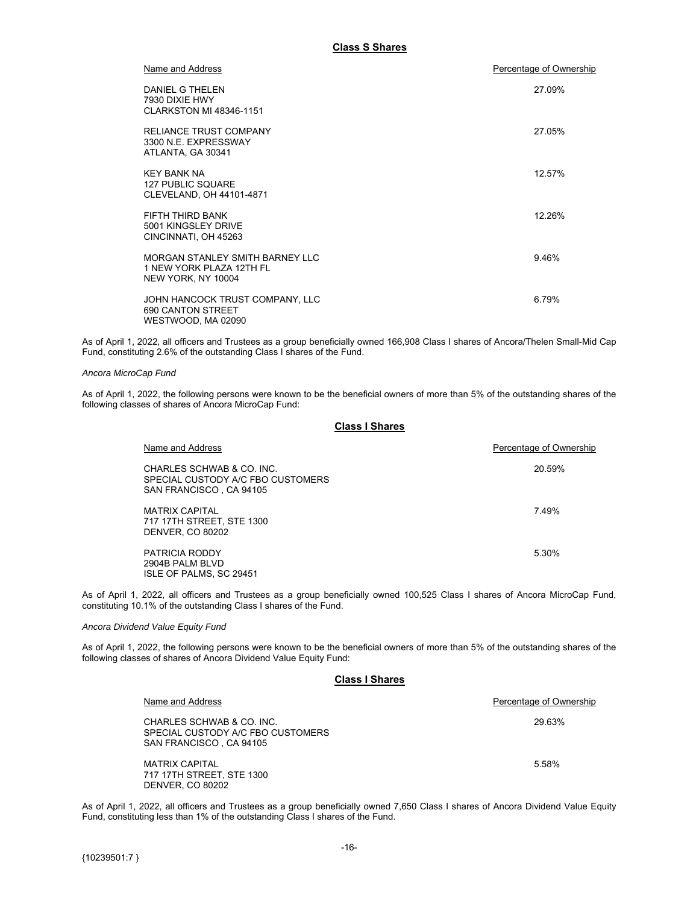| Name and Address                                                                  | Percentage of Ownership |
|-----------------------------------------------------------------------------------|-------------------------|
| DANIEL G THELEN<br>7930 DIXIE HWY<br><b>CLARKSTON MI 48346-1151</b>               | 27.09%                  |
| <b>RELIANCE TRUST COMPANY</b><br>3300 N.E. EXPRESSWAY<br>ATLANTA, GA 30341        | 27.05%                  |
| <b>KFY BANK NA</b><br><b>127 PUBLIC SQUARE</b><br>CLEVELAND, OH 44101-4871        | 12.57%                  |
| FIFTH THIRD BANK<br>5001 KINGSLEY DRIVE<br>CINCINNATI, OH 45263                   | 12.26%                  |
| MORGAN STANLEY SMITH BARNEY LLC<br>1 NEW YORK PLAZA 12TH FL<br>NEW YORK, NY 10004 | 9.46%                   |
| JOHN HANCOCK TRUST COMPANY, LLC<br><b>690 CANTON STREET</b><br>WESTWOOD, MA 02090 | 6.79%                   |

As of April 1, 2022, all officers and Trustees as a group beneficially owned 166,908 Class I shares of Ancora/Thelen Small-Mid Cap Fund, constituting 2.6% of the outstanding Class I shares of the Fund.

#### *Ancora MicroCap Fund*

As of April 1, 2022, the following persons were known to be the beneficial owners of more than 5% of the outstanding shares of the following classes of shares of Ancora MicroCap Fund:

#### **Class I Shares**

| Name and Address                                                                          | Percentage of Ownership |
|-------------------------------------------------------------------------------------------|-------------------------|
| CHARLES SCHWAB & CO. INC.<br>SPECIAL CUSTODY A/C FBO CUSTOMERS<br>SAN FRANCISCO, CA 94105 | 20.59%                  |
| <b>MATRIX CAPITAL</b><br>717 17TH STREET, STE 1300<br><b>DENVER, CO 80202</b>             | 7.49%                   |
| <b>PATRICIA RODDY</b><br>2904B PALM BLVD<br>ISLE OF PALMS, SC 29451                       | 5.30%                   |

As of April 1, 2022, all officers and Trustees as a group beneficially owned 100,525 Class I shares of Ancora MicroCap Fund, constituting 10.1% of the outstanding Class I shares of the Fund.

#### *Ancora Dividend Value Equity Fund*

As of April 1, 2022, the following persons were known to be the beneficial owners of more than 5% of the outstanding shares of the following classes of shares of Ancora Dividend Value Equity Fund:

### **Class I Shares**

| Name and Address                                                                          | Percentage of Ownership |
|-------------------------------------------------------------------------------------------|-------------------------|
| CHARLES SCHWAB & CO. INC.<br>SPECIAL CUSTODY A/C FBO CUSTOMERS<br>SAN FRANCISCO, CA 94105 | 29.63%                  |
| <b>MATRIX CAPITAL</b><br>717 17TH STREET, STE 1300<br><b>DENVER, CO 80202</b>             | 5.58%                   |

As of April 1, 2022, all officers and Trustees as a group beneficially owned 7,650 Class I shares of Ancora Dividend Value Equity Fund, constituting less than 1% of the outstanding Class I shares of the Fund.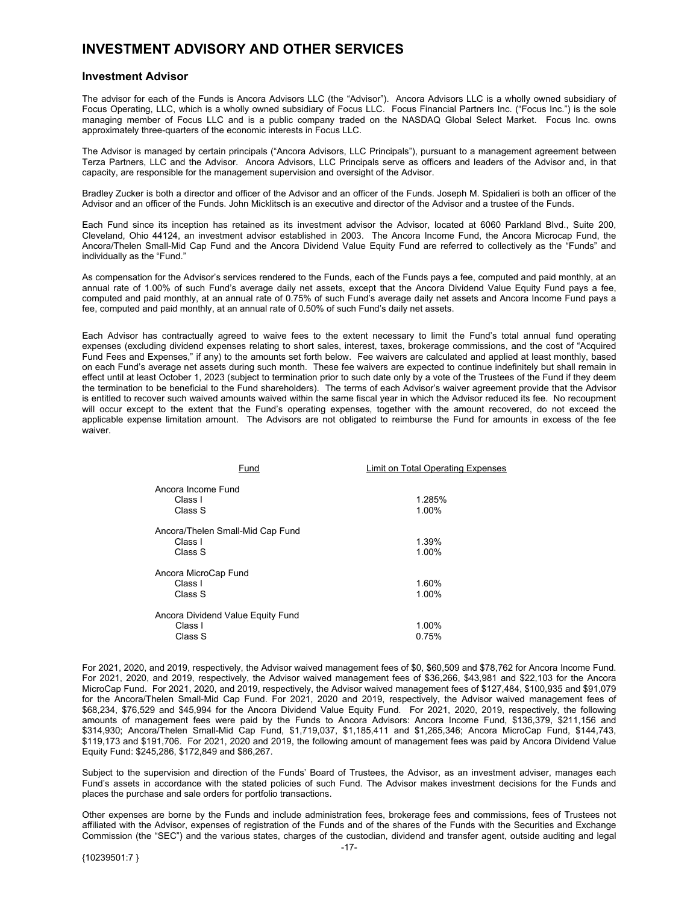# <span id="page-17-0"></span>**INVESTMENT ADVISORY AND OTHER SERVICES**

#### **Investment Advisor**

The advisor for each of the Funds is Ancora Advisors LLC (the "Advisor"). Ancora Advisors LLC is a wholly owned subsidiary of Focus Operating, LLC, which is a wholly owned subsidiary of Focus LLC. Focus Financial Partners Inc. ("Focus Inc.") is the sole managing member of Focus LLC and is a public company traded on the NASDAQ Global Select Market. Focus Inc. owns approximately three-quarters of the economic interests in Focus LLC.

The Advisor is managed by certain principals ("Ancora Advisors, LLC Principals"), pursuant to a management agreement between Terza Partners, LLC and the Advisor. Ancora Advisors, LLC Principals serve as officers and leaders of the Advisor and, in that capacity, are responsible for the management supervision and oversight of the Advisor.

Bradley Zucker is both a director and officer of the Advisor and an officer of the Funds. Joseph M. Spidalieri is both an officer of the Advisor and an officer of the Funds. John Micklitsch is an executive and director of the Advisor and a trustee of the Funds.

Each Fund since its inception has retained as its investment advisor the Advisor, located at 6060 Parkland Blvd., Suite 200, Cleveland, Ohio 44124, an investment advisor established in 2003. The Ancora Income Fund, the Ancora Microcap Fund, the Ancora/Thelen Small-Mid Cap Fund and the Ancora Dividend Value Equity Fund are referred to collectively as the "Funds" and individually as the "Fund."

As compensation for the Advisor's services rendered to the Funds, each of the Funds pays a fee, computed and paid monthly, at an annual rate of 1.00% of such Fund's average daily net assets, except that the Ancora Dividend Value Equity Fund pays a fee, computed and paid monthly, at an annual rate of 0.75% of such Fund's average daily net assets and Ancora Income Fund pays a fee, computed and paid monthly, at an annual rate of 0.50% of such Fund's daily net assets.

Each Advisor has contractually agreed to waive fees to the extent necessary to limit the Fund's total annual fund operating expenses (excluding dividend expenses relating to short sales, interest, taxes, brokerage commissions, and the cost of "Acquired Fund Fees and Expenses," if any) to the amounts set forth below. Fee waivers are calculated and applied at least monthly, based on each Fund's average net assets during such month. These fee waivers are expected to continue indefinitely but shall remain in effect until at least October 1, 2023 (subject to termination prior to such date only by a vote of the Trustees of the Fund if they deem the termination to be beneficial to the Fund shareholders). The terms of each Advisor's waiver agreement provide that the Advisor is entitled to recover such waived amounts waived within the same fiscal year in which the Advisor reduced its fee. No recoupment will occur except to the extent that the Fund's operating expenses, together with the amount recovered, do not exceed the applicable expense limitation amount. The Advisors are not obligated to reimburse the Fund for amounts in excess of the fee waiver.

| Fund                              | Limit on Total Operating Expenses |
|-----------------------------------|-----------------------------------|
| Ancora Income Fund<br>Class I     | 1.285%                            |
| Class S                           | 1.00%                             |
| Ancora/Thelen Small-Mid Cap Fund  |                                   |
| Class I                           | 1.39%                             |
| Class S                           | 1.00%                             |
| Ancora MicroCap Fund              |                                   |
| Class I                           | 1.60%                             |
| Class S                           | 1.00%                             |
| Ancora Dividend Value Equity Fund |                                   |
| Class I                           | 1.00%                             |
| Class S                           | 0.75%                             |

For 2021, 2020, and 2019, respectively, the Advisor waived management fees of \$0, \$60,509 and \$78,762 for Ancora Income Fund. For 2021, 2020, and 2019, respectively, the Advisor waived management fees of \$36,266, \$43,981 and \$22,103 for the Ancora MicroCap Fund. For 2021, 2020, and 2019, respectively, the Advisor waived management fees of \$127,484, \$100,935 and \$91,079 for the Ancora/Thelen Small-Mid Cap Fund. For 2021, 2020 and 2019, respectively, the Advisor waived management fees of \$68,234, \$76,529 and \$45,994 for the Ancora Dividend Value Equity Fund. For 2021, 2020, 2019, respectively, the following amounts of management fees were paid by the Funds to Ancora Advisors: Ancora Income Fund, \$136,379, \$211,156 and \$314,930; Ancora/Thelen Small-Mid Cap Fund, \$1,719,037, \$1,185,411 and \$1,265,346; Ancora MicroCap Fund, \$144,743, \$119,173 and \$191,706. For 2021, 2020 and 2019, the following amount of management fees was paid by Ancora Dividend Value Equity Fund: \$245,286, \$172,849 and \$86,267.

Subject to the supervision and direction of the Funds' Board of Trustees, the Advisor, as an investment adviser, manages each Fund's assets in accordance with the stated policies of such Fund. The Advisor makes investment decisions for the Funds and places the purchase and sale orders for portfolio transactions.

Other expenses are borne by the Funds and include administration fees, brokerage fees and commissions, fees of Trustees not affiliated with the Advisor, expenses of registration of the Funds and of the shares of the Funds with the Securities and Exchange Commission (the "SEC") and the various states, charges of the custodian, dividend and transfer agent, outside auditing and legal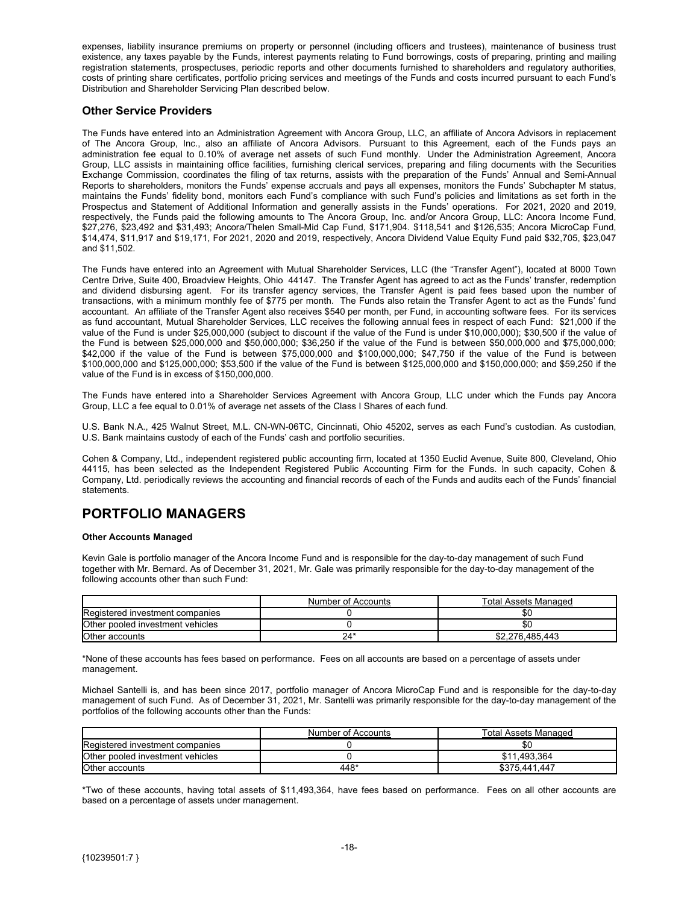<span id="page-18-0"></span>expenses, liability insurance premiums on property or personnel (including officers and trustees), maintenance of business trust existence, any taxes payable by the Funds, interest payments relating to Fund borrowings, costs of preparing, printing and mailing registration statements, prospectuses, periodic reports and other documents furnished to shareholders and regulatory authorities, costs of printing share certificates, portfolio pricing services and meetings of the Funds and costs incurred pursuant to each Fund's Distribution and Shareholder Servicing Plan described below.

#### **Other Service Providers**

The Funds have entered into an Administration Agreement with Ancora Group, LLC, an affiliate of Ancora Advisors in replacement of The Ancora Group, Inc., also an affiliate of Ancora Advisors. Pursuant to this Agreement, each of the Funds pays an administration fee equal to 0.10% of average net assets of such Fund monthly. Under the Administration Agreement, Ancora Group, LLC assists in maintaining office facilities, furnishing clerical services, preparing and filing documents with the Securities Exchange Commission, coordinates the filing of tax returns, assists with the preparation of the Funds' Annual and Semi-Annual Reports to shareholders, monitors the Funds' expense accruals and pays all expenses, monitors the Funds' Subchapter M status, maintains the Funds' fidelity bond, monitors each Fund's compliance with such Fund's policies and limitations as set forth in the Prospectus and Statement of Additional Information and generally assists in the Funds' operations. For 2021, 2020 and 2019, respectively, the Funds paid the following amounts to The Ancora Group, Inc. and/or Ancora Group, LLC: Ancora Income Fund, \$27,276, \$23,492 and \$31,493; Ancora/Thelen Small-Mid Cap Fund, \$171,904. \$118,541 and \$126,535; Ancora MicroCap Fund, \$14,474, \$11,917 and \$19,171, For 2021, 2020 and 2019, respectively, Ancora Dividend Value Equity Fund paid \$32,705, \$23,047 and \$11,502.

The Funds have entered into an Agreement with Mutual Shareholder Services, LLC (the "Transfer Agent"), located at 8000 Town Centre Drive, Suite 400, Broadview Heights, Ohio 44147. The Transfer Agent has agreed to act as the Funds' transfer, redemption and dividend disbursing agent. For its transfer agency services, the Transfer Agent is paid fees based upon the number of transactions, with a minimum monthly fee of \$775 per month. The Funds also retain the Transfer Agent to act as the Funds' fund accountant. An affiliate of the Transfer Agent also receives \$540 per month, per Fund, in accounting software fees. For its services as fund accountant, Mutual Shareholder Services, LLC receives the following annual fees in respect of each Fund: \$21,000 if the value of the Fund is under \$25,000,000 (subject to discount if the value of the Fund is under \$10,000,000); \$30,500 if the value of the Fund is between \$25,000,000 and \$50,000,000; \$36,250 if the value of the Fund is between \$50,000,000 and \$75,000,000; \$42,000 if the value of the Fund is between \$75,000,000 and \$100,000,000; \$47,750 if the value of the Fund is between \$100,000,000 and \$125,000,000; \$53,500 if the value of the Fund is between \$125,000,000 and \$150,000,000; and \$59,250 if the value of the Fund is in excess of \$150,000,000.

The Funds have entered into a Shareholder Services Agreement with Ancora Group, LLC under which the Funds pay Ancora Group, LLC a fee equal to 0.01% of average net assets of the Class I Shares of each fund.

U.S. Bank N.A., 425 Walnut Street, M.L. CN-WN-06TC, Cincinnati, Ohio 45202, serves as each Fund's custodian. As custodian, U.S. Bank maintains custody of each of the Funds' cash and portfolio securities.

Cohen & Company, Ltd., independent registered public accounting firm, located at 1350 Euclid Avenue, Suite 800, Cleveland, Ohio 44115, has been selected as the Independent Registered Public Accounting Firm for the Funds. In such capacity, Cohen & Company, Ltd. periodically reviews the accounting and financial records of each of the Funds and audits each of the Funds' financial **statements** 

# **PORTFOLIO MANAGERS**

#### **Other Accounts Managed**

Kevin Gale is portfolio manager of the Ancora Income Fund and is responsible for the day-to-day management of such Fund together with Mr. Bernard. As of December 31, 2021, Mr. Gale was primarily responsible for the day-to-day management of the following accounts other than such Fund:

|                                  | Number of Accounts | Total Assets Managed |
|----------------------------------|--------------------|----------------------|
| Registered investment companies  |                    | \$0                  |
| Other pooled investment vehicles |                    | \$0                  |
| Other accounts                   | 24'                | \$2,276,485,443      |

\*None of these accounts has fees based on performance. Fees on all accounts are based on a percentage of assets under management.

Michael Santelli is, and has been since 2017, portfolio manager of Ancora MicroCap Fund and is responsible for the day-to-day management of such Fund. As of December 31, 2021, Mr. Santelli was primarily responsible for the day-to-day management of the portfolios of the following accounts other than the Funds:

|                                  | Number of Accounts | Total Assets Managed |
|----------------------------------|--------------------|----------------------|
| Registered investment companies  |                    | \$0                  |
| Other pooled investment vehicles |                    | \$11.493.364         |
| Other accounts                   | 448*               | \$375.441.447        |

\*Two of these accounts, having total assets of \$11,493,364, have fees based on performance. Fees on all other accounts are based on a percentage of assets under management.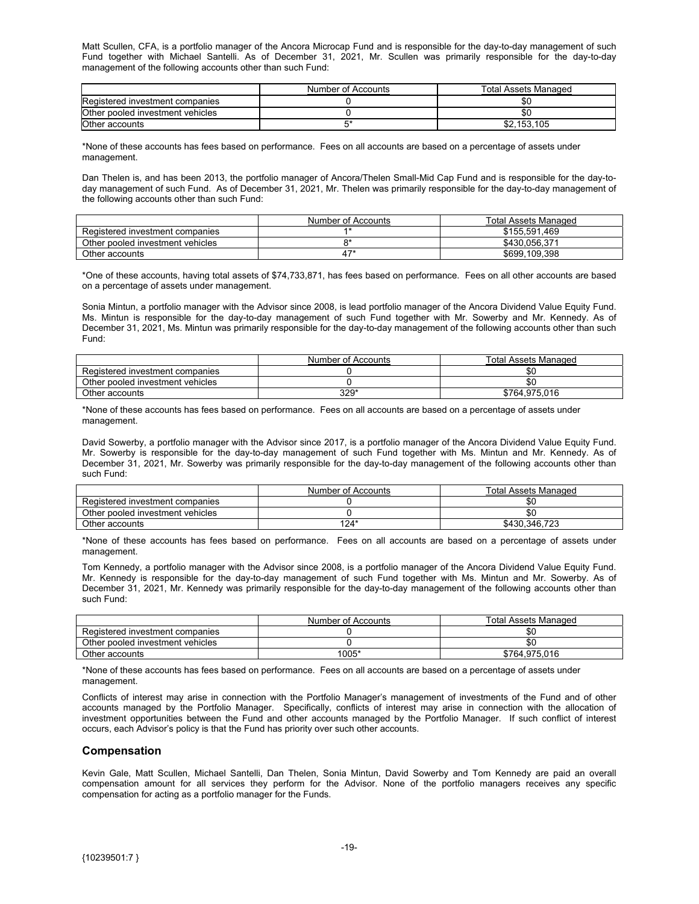<span id="page-19-0"></span>Matt Scullen, CFA, is a portfolio manager of the Ancora Microcap Fund and is responsible for the day-to-day management of such Fund together with Michael Santelli. As of December 31, 2021, Mr. Scullen was primarily responsible for the day-to-day management of the following accounts other than such Fund:

|                                  | Number of Accounts | Total Assets Managed |
|----------------------------------|--------------------|----------------------|
| Registered investment companies  |                    | \$C                  |
| Other pooled investment vehicles |                    | \$0                  |
| Other accounts                   |                    | \$2.153.105          |

\*None of these accounts has fees based on performance. Fees on all accounts are based on a percentage of assets under management.

Dan Thelen is, and has been 2013, the portfolio manager of Ancora/Thelen Small-Mid Cap Fund and is responsible for the day-today management of such Fund. As of December 31, 2021, Mr. Thelen was primarily responsible for the day-to-day management of the following accounts other than such Fund:

|                                  | Number of Accounts | <b>Total Assets Managed</b> |
|----------------------------------|--------------------|-----------------------------|
| Registered investment companies  |                    | \$155,591.469               |
| Other pooled investment vehicles |                    | \$430.056.371               |
| Other accounts                   |                    | \$699.109.398               |

\*One of these accounts, having total assets of \$74,733,871, has fees based on performance. Fees on all other accounts are based on a percentage of assets under management.

Sonia Mintun, a portfolio manager with the Advisor since 2008, is lead portfolio manager of the Ancora Dividend Value Equity Fund. Ms. Mintun is responsible for the day-to-day management of such Fund together with Mr. Sowerby and Mr. Kennedy. As of December 31, 2021, Ms. Mintun was primarily responsible for the day-to-day management of the following accounts other than such Fund:

|                                  | Number of Accounts | <b>Total Assets Managed</b> |
|----------------------------------|--------------------|-----------------------------|
| Registered investment companies  |                    | უი                          |
| Other pooled investment vehicles |                    |                             |
| Other accounts                   | $329*$             | \$764,975,016               |

\*None of these accounts has fees based on performance. Fees on all accounts are based on a percentage of assets under management.

David Sowerby, a portfolio manager with the Advisor since 2017, is a portfolio manager of the Ancora Dividend Value Equity Fund. Mr. Sowerby is responsible for the day-to-day management of such Fund together with Ms. Mintun and Mr. Kennedy. As of December 31, 2021, Mr. Sowerby was primarily responsible for the day-to-day management of the following accounts other than such Fund:

|                                  | Number of Accounts | <b>Total Assets Managed</b> |
|----------------------------------|--------------------|-----------------------------|
| Registered investment companies  |                    | SC.                         |
| Other pooled investment vehicles |                    |                             |
| Other accounts                   | 124*               | \$430.346.723               |

\*None of these accounts has fees based on performance. Fees on all accounts are based on a percentage of assets under management.

Tom Kennedy, a portfolio manager with the Advisor since 2008, is a portfolio manager of the Ancora Dividend Value Equity Fund. Mr. Kennedy is responsible for the day-to-day management of such Fund together with Ms. Mintun and Mr. Sowerby. As of December 31, 2021, Mr. Kennedy was primarily responsible for the day-to-day management of the following accounts other than such Fund:

|                                  | Number of Accounts | <b>Total Assets Managed</b> |
|----------------------------------|--------------------|-----------------------------|
| Registered investment companies  |                    |                             |
| Other pooled investment vehicles |                    | -SC                         |
| Other accounts                   | 1005*              | \$764.975.016               |

\*None of these accounts has fees based on performance. Fees on all accounts are based on a percentage of assets under management.

Conflicts of interest may arise in connection with the Portfolio Manager's management of investments of the Fund and of other accounts managed by the Portfolio Manager. Specifically, conflicts of interest may arise in connection with the allocation of investment opportunities between the Fund and other accounts managed by the Portfolio Manager. If such conflict of interest occurs, each Advisor's policy is that the Fund has priority over such other accounts.

#### **Compensation**

Kevin Gale, Matt Scullen, Michael Santelli, Dan Thelen, Sonia Mintun, David Sowerby and Tom Kennedy are paid an overall compensation amount for all services they perform for the Advisor. None of the portfolio managers receives any specific compensation for acting as a portfolio manager for the Funds.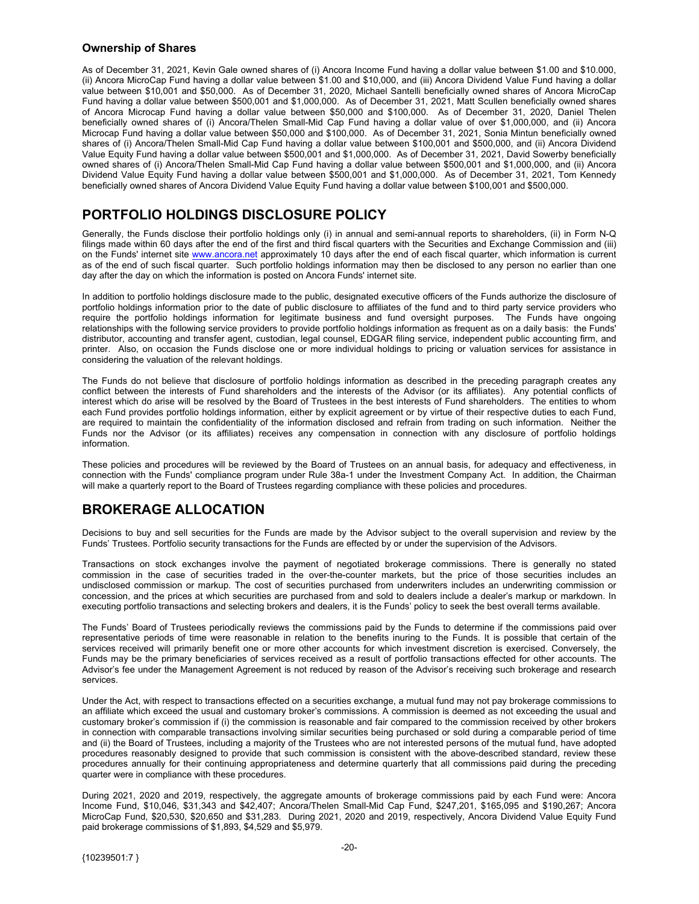#### <span id="page-20-0"></span>**Ownership of Shares**

As of December 31, 2021, Kevin Gale owned shares of (i) Ancora Income Fund having a dollar value between \$1.00 and \$10.000, (ii) Ancora MicroCap Fund having a dollar value between \$1.00 and \$10,000, and (iii) Ancora Dividend Value Fund having a dollar value between \$10,001 and \$50,000. As of December 31, 2020, Michael Santelli beneficially owned shares of Ancora MicroCap Fund having a dollar value between \$500,001 and \$1,000,000. As of December 31, 2021, Matt Scullen beneficially owned shares of Ancora Microcap Fund having a dollar value between \$50,000 and \$100,000. As of December 31, 2020, Daniel Thelen beneficially owned shares of (i) Ancora/Thelen Small-Mid Cap Fund having a dollar value of over \$1,000,000, and (ii) Ancora Microcap Fund having a dollar value between \$50,000 and \$100,000. As of December 31, 2021, Sonia Mintun beneficially owned shares of (i) Ancora/Thelen Small-Mid Cap Fund having a dollar value between \$100,001 and \$500,000, and (ii) Ancora Dividend Value Equity Fund having a dollar value between \$500,001 and \$1,000,000. As of December 31, 2021, David Sowerby beneficially owned shares of (i) Ancora/Thelen Small-Mid Cap Fund having a dollar value between \$500,001 and \$1,000,000, and (ii) Ancora Dividend Value Equity Fund having a dollar value between \$500,001 and \$1,000,000. As of December 31, 2021, Tom Kennedy beneficially owned shares of Ancora Dividend Value Equity Fund having a dollar value between \$100,001 and \$500,000.

# **PORTFOLIO HOLDINGS DISCLOSURE POLICY**

Generally, the Funds disclose their portfolio holdings only (i) in annual and semi-annual reports to shareholders, (ii) in Form N-Q filings made within 60 days after the end of the first and third fiscal quarters with the Securities and Exchange Commission and (iii) on the Funds' internet site www.ancora.net approximately 10 days after the end of each fiscal quarter, which information is current as of the end of such fiscal quarter. Such portfolio holdings information may then be disclosed to any person no earlier than one day after the day on which the information is posted on Ancora Funds' internet site.

In addition to portfolio holdings disclosure made to the public, designated executive officers of the Funds authorize the disclosure of portfolio holdings information prior to the date of public disclosure to affiliates of the fund and to third party service providers who require the portfolio holdings information for legitimate business and fund oversight purposes. The Funds have ongoing relationships with the following service providers to provide portfolio holdings information as frequent as on a daily basis: the Funds' distributor, accounting and transfer agent, custodian, legal counsel, EDGAR filing service, independent public accounting firm, and printer. Also, on occasion the Funds disclose one or more individual holdings to pricing or valuation services for assistance in considering the valuation of the relevant holdings.

The Funds do not believe that disclosure of portfolio holdings information as described in the preceding paragraph creates any conflict between the interests of Fund shareholders and the interests of the Advisor (or its affiliates). Any potential conflicts of interest which do arise will be resolved by the Board of Trustees in the best interests of Fund shareholders. The entities to whom each Fund provides portfolio holdings information, either by explicit agreement or by virtue of their respective duties to each Fund, are required to maintain the confidentiality of the information disclosed and refrain from trading on such information. Neither the Funds nor the Advisor (or its affiliates) receives any compensation in connection with any disclosure of portfolio holdings information.

These policies and procedures will be reviewed by the Board of Trustees on an annual basis, for adequacy and effectiveness, in connection with the Funds' compliance program under Rule 38a-1 under the Investment Company Act. In addition, the Chairman will make a quarterly report to the Board of Trustees regarding compliance with these policies and procedures.

# **BROKERAGE ALLOCATION**

Decisions to buy and sell securities for the Funds are made by the Advisor subject to the overall supervision and review by the Funds' Trustees. Portfolio security transactions for the Funds are effected by or under the supervision of the Advisors.

Transactions on stock exchanges involve the payment of negotiated brokerage commissions. There is generally no stated commission in the case of securities traded in the over-the-counter markets, but the price of those securities includes an undisclosed commission or markup. The cost of securities purchased from underwriters includes an underwriting commission or concession, and the prices at which securities are purchased from and sold to dealers include a dealer's markup or markdown. In executing portfolio transactions and selecting brokers and dealers, it is the Funds' policy to seek the best overall terms available.

The Funds' Board of Trustees periodically reviews the commissions paid by the Funds to determine if the commissions paid over representative periods of time were reasonable in relation to the benefits inuring to the Funds. It is possible that certain of the services received will primarily benefit one or more other accounts for which investment discretion is exercised. Conversely, the Funds may be the primary beneficiaries of services received as a result of portfolio transactions effected for other accounts. The Advisor's fee under the Management Agreement is not reduced by reason of the Advisor's receiving such brokerage and research services.

Under the Act, with respect to transactions effected on a securities exchange, a mutual fund may not pay brokerage commissions to an affiliate which exceed the usual and customary broker's commissions. A commission is deemed as not exceeding the usual and customary broker's commission if (i) the commission is reasonable and fair compared to the commission received by other brokers in connection with comparable transactions involving similar securities being purchased or sold during a comparable period of time and (ii) the Board of Trustees, including a majority of the Trustees who are not interested persons of the mutual fund, have adopted procedures reasonably designed to provide that such commission is consistent with the above-described standard, review these procedures annually for their continuing appropriateness and determine quarterly that all commissions paid during the preceding quarter were in compliance with these procedures.

During 2021, 2020 and 2019, respectively, the aggregate amounts of brokerage commissions paid by each Fund were: Ancora Income Fund, \$10,046, \$31,343 and \$42,407; Ancora/Thelen Small-Mid Cap Fund, \$247,201, \$165,095 and \$190,267; Ancora MicroCap Fund, \$20,530, \$20,650 and \$31,283. During 2021, 2020 and 2019, respectively, Ancora Dividend Value Equity Fund paid brokerage commissions of \$1,893, \$4,529 and \$5,979.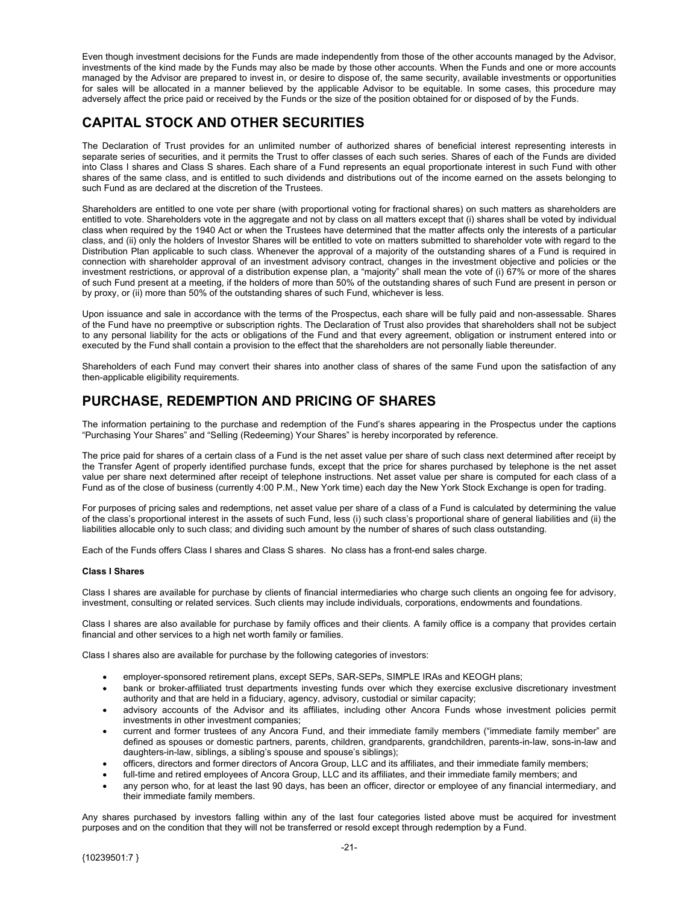<span id="page-21-0"></span>Even though investment decisions for the Funds are made independently from those of the other accounts managed by the Advisor, investments of the kind made by the Funds may also be made by those other accounts. When the Funds and one or more accounts managed by the Advisor are prepared to invest in, or desire to dispose of, the same security, available investments or opportunities for sales will be allocated in a manner believed by the applicable Advisor to be equitable. In some cases, this procedure may adversely affect the price paid or received by the Funds or the size of the position obtained for or disposed of by the Funds.

# **CAPITAL STOCK AND OTHER SECURITIES**

The Declaration of Trust provides for an unlimited number of authorized shares of beneficial interest representing interests in separate series of securities, and it permits the Trust to offer classes of each such series. Shares of each of the Funds are divided into Class I shares and Class S shares. Each share of a Fund represents an equal proportionate interest in such Fund with other shares of the same class, and is entitled to such dividends and distributions out of the income earned on the assets belonging to such Fund as are declared at the discretion of the Trustees.

Shareholders are entitled to one vote per share (with proportional voting for fractional shares) on such matters as shareholders are entitled to vote. Shareholders vote in the aggregate and not by class on all matters except that (i) shares shall be voted by individual class when required by the 1940 Act or when the Trustees have determined that the matter affects only the interests of a particular class, and (ii) only the holders of Investor Shares will be entitled to vote on matters submitted to shareholder vote with regard to the Distribution Plan applicable to such class. Whenever the approval of a majority of the outstanding shares of a Fund is required in connection with shareholder approval of an investment advisory contract, changes in the investment objective and policies or the investment restrictions, or approval of a distribution expense plan, a "majority" shall mean the vote of (i) 67% or more of the shares of such Fund present at a meeting, if the holders of more than 50% of the outstanding shares of such Fund are present in person or by proxy, or (ii) more than 50% of the outstanding shares of such Fund, whichever is less.

Upon issuance and sale in accordance with the terms of the Prospectus, each share will be fully paid and non-assessable. Shares of the Fund have no preemptive or subscription rights. The Declaration of Trust also provides that shareholders shall not be subject to any personal liability for the acts or obligations of the Fund and that every agreement, obligation or instrument entered into or executed by the Fund shall contain a provision to the effect that the shareholders are not personally liable thereunder.

Shareholders of each Fund may convert their shares into another class of shares of the same Fund upon the satisfaction of any then-applicable eligibility requirements.

# **PURCHASE, REDEMPTION AND PRICING OF SHARES**

The information pertaining to the purchase and redemption of the Fund's shares appearing in the Prospectus under the captions "Purchasing Your Shares" and "Selling (Redeeming) Your Shares" is hereby incorporated by reference.

The price paid for shares of a certain class of a Fund is the net asset value per share of such class next determined after receipt by the Transfer Agent of properly identified purchase funds, except that the price for shares purchased by telephone is the net asset value per share next determined after receipt of telephone instructions. Net asset value per share is computed for each class of a Fund as of the close of business (currently 4:00 P.M., New York time) each day the New York Stock Exchange is open for trading.

For purposes of pricing sales and redemptions, net asset value per share of a class of a Fund is calculated by determining the value of the class's proportional interest in the assets of such Fund, less (i) such class's proportional share of general liabilities and (ii) the liabilities allocable only to such class; and dividing such amount by the number of shares of such class outstanding.

Each of the Funds offers Class I shares and Class S shares. No class has a front-end sales charge.

#### **Class I Shares**

Class I shares are available for purchase by clients of financial intermediaries who charge such clients an ongoing fee for advisory, investment, consulting or related services. Such clients may include individuals, corporations, endowments and foundations.

Class I shares are also available for purchase by family offices and their clients. A family office is a company that provides certain financial and other services to a high net worth family or families.

Class I shares also are available for purchase by the following categories of investors:

- employer-sponsored retirement plans, except SEPs, SAR-SEPs, SIMPLE IRAs and KEOGH plans;
- bank or broker-affiliated trust departments investing funds over which they exercise exclusive discretionary investment authority and that are held in a fiduciary, agency, advisory, custodial or similar capacity;
- advisory accounts of the Advisor and its affiliates, including other Ancora Funds whose investment policies permit investments in other investment companies;
- current and former trustees of any Ancora Fund, and their immediate family members ("immediate family member" are defined as spouses or domestic partners, parents, children, grandparents, grandchildren, parents-in-law, sons-in-law and daughters-in-law, siblings, a sibling's spouse and spouse's siblings);
- officers, directors and former directors of Ancora Group, LLC and its affiliates, and their immediate family members;
- full-time and retired employees of Ancora Group, LLC and its affiliates, and their immediate family members; and
- any person who, for at least the last 90 days, has been an officer, director or employee of any financial intermediary, and their immediate family members.

Any shares purchased by investors falling within any of the last four categories listed above must be acquired for investment purposes and on the condition that they will not be transferred or resold except through redemption by a Fund.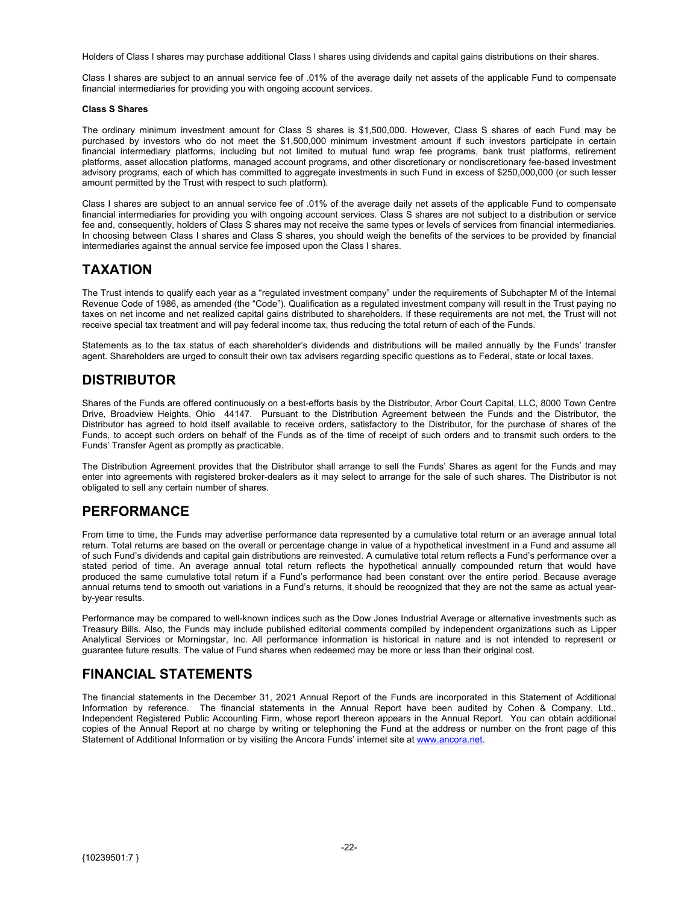<span id="page-22-0"></span>Holders of Class I shares may purchase additional Class I shares using dividends and capital gains distributions on their shares.

Class I shares are subject to an annual service fee of .01% of the average daily net assets of the applicable Fund to compensate financial intermediaries for providing you with ongoing account services.

#### **Class S Shares**

The ordinary minimum investment amount for Class S shares is \$1,500,000. However, Class S shares of each Fund may be purchased by investors who do not meet the \$1,500,000 minimum investment amount if such investors participate in certain financial intermediary platforms, including but not limited to mutual fund wrap fee programs, bank trust platforms, retirement platforms, asset allocation platforms, managed account programs, and other discretionary or nondiscretionary fee-based investment advisory programs, each of which has committed to aggregate investments in such Fund in excess of \$250,000,000 (or such lesser amount permitted by the Trust with respect to such platform).

Class I shares are subject to an annual service fee of .01% of the average daily net assets of the applicable Fund to compensate financial intermediaries for providing you with ongoing account services. Class S shares are not subject to a distribution or service fee and, consequently, holders of Class S shares may not receive the same types or levels of services from financial intermediaries. In choosing between Class I shares and Class S shares, you should weigh the benefits of the services to be provided by financial intermediaries against the annual service fee imposed upon the Class I shares.

### **TAXATION**

The Trust intends to qualify each year as a "regulated investment company" under the requirements of Subchapter M of the Internal Revenue Code of 1986, as amended (the "Code"). Qualification as a regulated investment company will result in the Trust paying no taxes on net income and net realized capital gains distributed to shareholders. If these requirements are not met, the Trust will not receive special tax treatment and will pay federal income tax, thus reducing the total return of each of the Funds.

Statements as to the tax status of each shareholder's dividends and distributions will be mailed annually by the Funds' transfer agent. Shareholders are urged to consult their own tax advisers regarding specific questions as to Federal, state or local taxes.

### **DISTRIBUTOR**

Shares of the Funds are offered continuously on a best-efforts basis by the Distributor, Arbor Court Capital, LLC, 8000 Town Centre Drive, Broadview Heights, Ohio 44147. Pursuant to the Distribution Agreement between the Funds and the Distributor, the Distributor has agreed to hold itself available to receive orders, satisfactory to the Distributor, for the purchase of shares of the Funds, to accept such orders on behalf of the Funds as of the time of receipt of such orders and to transmit such orders to the Funds' Transfer Agent as promptly as practicable.

The Distribution Agreement provides that the Distributor shall arrange to sell the Funds' Shares as agent for the Funds and may enter into agreements with registered broker-dealers as it may select to arrange for the sale of such shares. The Distributor is not obligated to sell any certain number of shares.

### **PERFORMANCE**

From time to time, the Funds may advertise performance data represented by a cumulative total return or an average annual total return. Total returns are based on the overall or percentage change in value of a hypothetical investment in a Fund and assume all of such Fund's dividends and capital gain distributions are reinvested. A cumulative total return reflects a Fund's performance over a stated period of time. An average annual total return reflects the hypothetical annually compounded return that would have produced the same cumulative total return if a Fund's performance had been constant over the entire period. Because average annual returns tend to smooth out variations in a Fund's returns, it should be recognized that they are not the same as actual yearby-year results.

Performance may be compared to well-known indices such as the Dow Jones Industrial Average or alternative investments such as Treasury Bills. Also, the Funds may include published editorial comments compiled by independent organizations such as Lipper Analytical Services or Morningstar, Inc. All performance information is historical in nature and is not intended to represent or guarantee future results. The value of Fund shares when redeemed may be more or less than their original cost.

### **FINANCIAL STATEMENTS**

The financial statements in the December 31, 2021 Annual Report of the Funds are incorporated in this Statement of Additional Information by reference. The financial statements in the Annual Report have been audited by Cohen & Company, Ltd., Independent Registered Public Accounting Firm, whose report thereon appears in the Annual Report. You can obtain additional copies of the Annual Report at no charge by writing or telephoning the Fund at the address or number on the front page of this Statement of Additional Information or by visiting the Ancora Funds' internet site at www.ancora.net.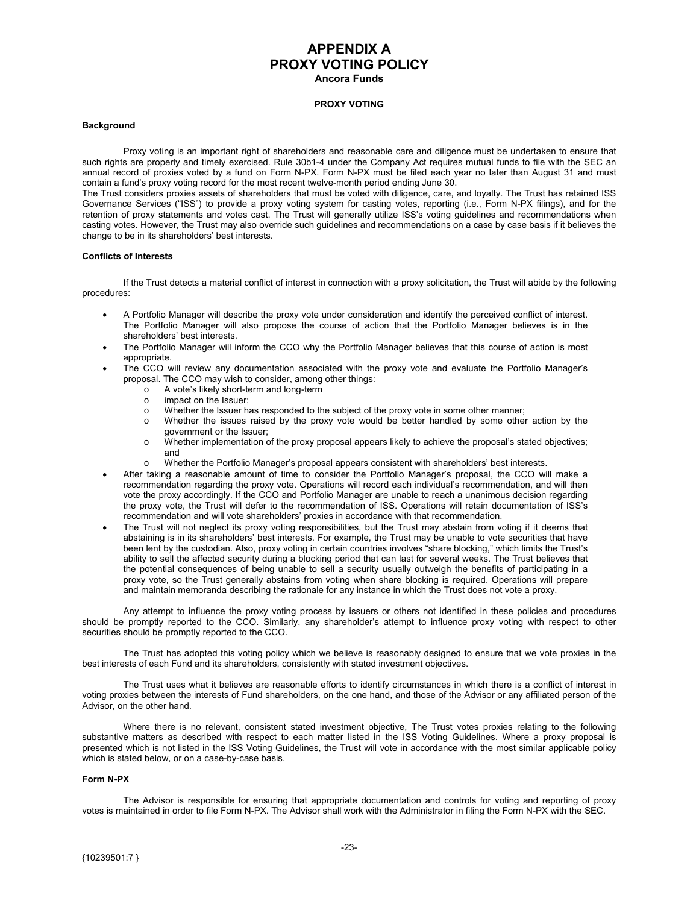### **APPENDIX A PROXY VOTING POLICY Ancora Funds**

#### **PROXY VOTING**

#### <span id="page-23-0"></span>**Background**

Proxy voting is an important right of shareholders and reasonable care and diligence must be undertaken to ensure that such rights are properly and timely exercised. Rule 30b1-4 under the Company Act requires mutual funds to file with the SEC an annual record of proxies voted by a fund on Form N-PX. Form N-PX must be filed each year no later than August 31 and must contain a fund's proxy voting record for the most recent twelve-month period ending June 30.

The Trust considers proxies assets of shareholders that must be voted with diligence, care, and loyalty. The Trust has retained ISS Governance Services ("ISS") to provide a proxy voting system for casting votes, reporting (i.e., Form N-PX filings), and for the retention of proxy statements and votes cast. The Trust will generally utilize ISS's voting guidelines and recommendations when casting votes. However, the Trust may also override such guidelines and recommendations on a case by case basis if it believes the change to be in its shareholders' best interests.

#### **Conflicts of Interests**

If the Trust detects a material conflict of interest in connection with a proxy solicitation, the Trust will abide by the following procedures:

- A Portfolio Manager will describe the proxy vote under consideration and identify the perceived conflict of interest. The Portfolio Manager will also propose the course of action that the Portfolio Manager believes is in the shareholders' best interests.
- The Portfolio Manager will inform the CCO why the Portfolio Manager believes that this course of action is most appropriate.
- The CCO will review any documentation associated with the proxy vote and evaluate the Portfolio Manager's proposal. The CCO may wish to consider, among other things:
	- o A vote's likely short-term and long-term
	- o impact on the Issuer;
	- o Whether the Issuer has responded to the subject of the proxy vote in some other manner;
	- o Whether the issues raised by the proxy vote would be better handled by some other action by the government or the Issuer;
	- o Whether implementation of the proxy proposal appears likely to achieve the proposal's stated objectives; and
	- o Whether the Portfolio Manager's proposal appears consistent with shareholders' best interests.
- After taking a reasonable amount of time to consider the Portfolio Manager's proposal, the CCO will make a recommendation regarding the proxy vote. Operations will record each individual's recommendation, and will then vote the proxy accordingly. If the CCO and Portfolio Manager are unable to reach a unanimous decision regarding the proxy vote, the Trust will defer to the recommendation of ISS. Operations will retain documentation of ISS's recommendation and will vote shareholders' proxies in accordance with that recommendation.
- The Trust will not neglect its proxy voting responsibilities, but the Trust may abstain from voting if it deems that abstaining is in its shareholders' best interests. For example, the Trust may be unable to vote securities that have been lent by the custodian. Also, proxy voting in certain countries involves "share blocking," which limits the Trust's ability to sell the affected security during a blocking period that can last for several weeks. The Trust believes that the potential consequences of being unable to sell a security usually outweigh the benefits of participating in a proxy vote, so the Trust generally abstains from voting when share blocking is required. Operations will prepare and maintain memoranda describing the rationale for any instance in which the Trust does not vote a proxy.

Any attempt to influence the proxy voting process by issuers or others not identified in these policies and procedures should be promptly reported to the CCO. Similarly, any shareholder's attempt to influence proxy voting with respect to other securities should be promptly reported to the CCO.

The Trust has adopted this voting policy which we believe is reasonably designed to ensure that we vote proxies in the best interests of each Fund and its shareholders, consistently with stated investment objectives.

The Trust uses what it believes are reasonable efforts to identify circumstances in which there is a conflict of interest in voting proxies between the interests of Fund shareholders, on the one hand, and those of the Advisor or any affiliated person of the Advisor, on the other hand.

Where there is no relevant, consistent stated investment objective, The Trust votes proxies relating to the following substantive matters as described with respect to each matter listed in the ISS Voting Guidelines. Where a proxy proposal is presented which is not listed in the ISS Voting Guidelines, the Trust will vote in accordance with the most similar applicable policy which is stated below, or on a case-by-case basis.

#### **Form N-PX**

The Advisor is responsible for ensuring that appropriate documentation and controls for voting and reporting of proxy votes is maintained in order to file Form N-PX. The Advisor shall work with the Administrator in filing the Form N-PX with the SEC.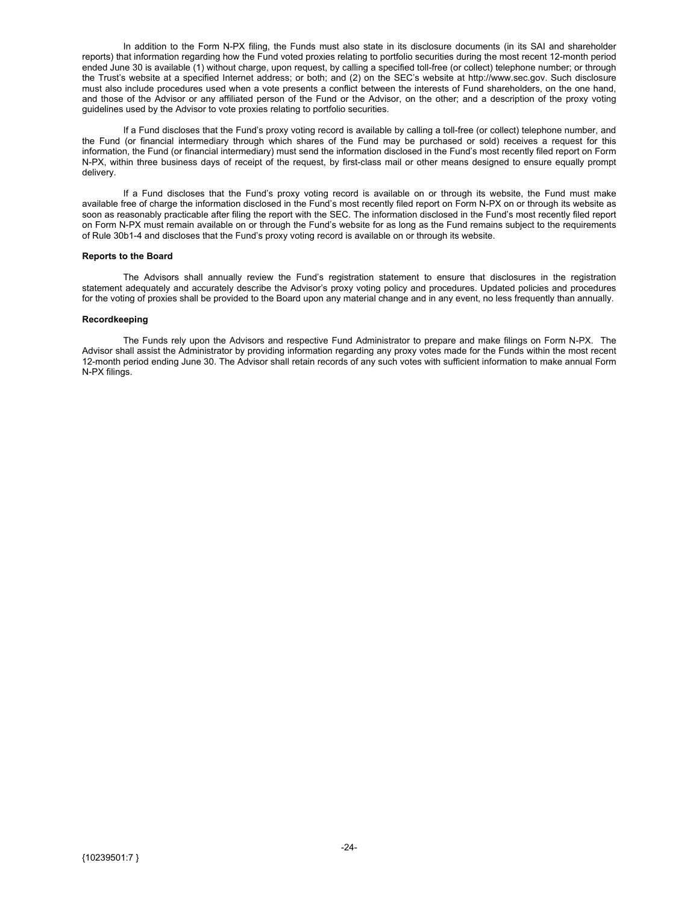In addition to the Form N-PX filing, the Funds must also state in its disclosure documents (in its SAI and shareholder reports) that information regarding how the Fund voted proxies relating to portfolio securities during the most recent 12-month period ended June 30 is available (1) without charge, upon request, by calling a specified toll-free (or collect) telephone number; or through the Trust's website at a specified Internet address; or both; and (2) on the SEC's website at http://www.sec.gov. Such disclosure must also include procedures used when a vote presents a conflict between the interests of Fund shareholders, on the one hand, and those of the Advisor or any affiliated person of the Fund or the Advisor, on the other; and a description of the proxy voting guidelines used by the Advisor to vote proxies relating to portfolio securities.

If a Fund discloses that the Fund's proxy voting record is available by calling a toll-free (or collect) telephone number, and the Fund (or financial intermediary through which shares of the Fund may be purchased or sold) receives a request for this information, the Fund (or financial intermediary) must send the information disclosed in the Fund's most recently filed report on Form N-PX, within three business days of receipt of the request, by first-class mail or other means designed to ensure equally prompt delivery.

If a Fund discloses that the Fund's proxy voting record is available on or through its website, the Fund must make available free of charge the information disclosed in the Fund's most recently filed report on Form N-PX on or through its website as soon as reasonably practicable after filing the report with the SEC. The information disclosed in the Fund's most recently filed report on Form N-PX must remain available on or through the Fund's website for as long as the Fund remains subject to the requirements of Rule 30b1-4 and discloses that the Fund's proxy voting record is available on or through its website.

#### **Reports to the Board**

The Advisors shall annually review the Fund's registration statement to ensure that disclosures in the registration statement adequately and accurately describe the Advisor's proxy voting policy and procedures. Updated policies and procedures for the voting of proxies shall be provided to the Board upon any material change and in any event, no less frequently than annually.

#### **Recordkeeping**

 The Funds rely upon the Advisors and respective Fund Administrator to prepare and make filings on Form N-PX. The Advisor shall assist the Administrator by providing information regarding any proxy votes made for the Funds within the most recent 12-month period ending June 30. The Advisor shall retain records of any such votes with sufficient information to make annual Form N-PX filings.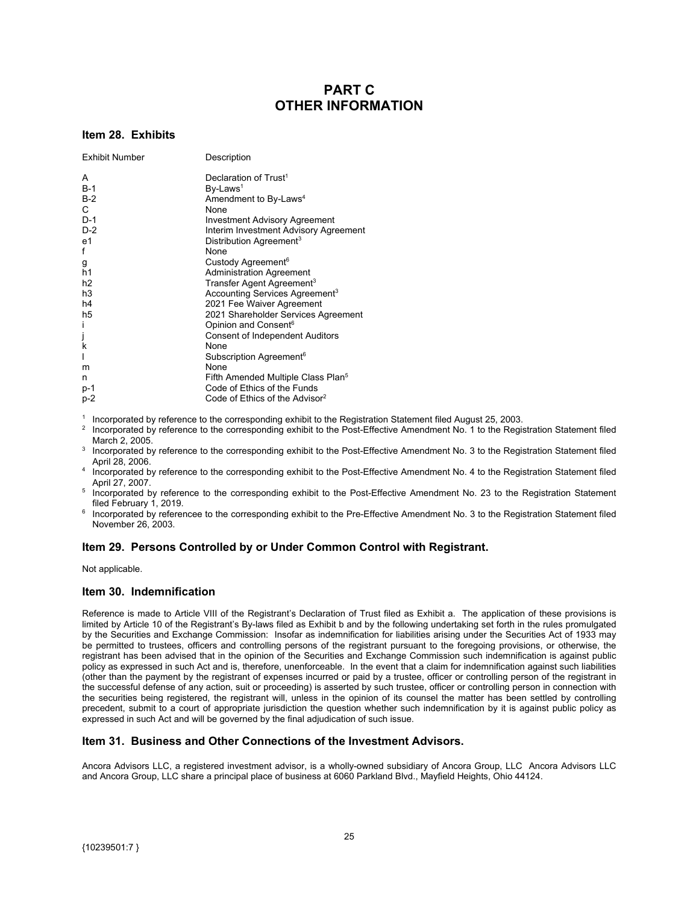### **PART C OTHER INFORMATION**

#### <span id="page-25-0"></span>**Item 28. Exhibits**

| <b>Exhibit Number</b> | Description                                    |
|-----------------------|------------------------------------------------|
| A                     | Declaration of Trust <sup>1</sup>              |
| $B-1$                 | By-Laws <sup>1</sup>                           |
| $B-2$                 | Amendment to By-Laws <sup>4</sup>              |
| $\mathsf{C}$          | None                                           |
| $D-1$                 | <b>Investment Advisory Agreement</b>           |
| $D-2$                 | Interim Investment Advisory Agreement          |
| e1                    | Distribution Agreement <sup>3</sup>            |
| f                     | None                                           |
| g                     | Custody Agreement <sup>6</sup>                 |
| h1                    | <b>Administration Agreement</b>                |
| h <sub>2</sub>        | Transfer Agent Agreement <sup>3</sup>          |
| h <sub>3</sub>        | Accounting Services Agreement <sup>3</sup>     |
| h4                    | 2021 Fee Waiver Agreement                      |
| h5                    | 2021 Shareholder Services Agreement            |
| i                     | Opinion and Consent <sup>6</sup>               |
| j<br>k                | <b>Consent of Independent Auditors</b>         |
|                       | None                                           |
|                       | Subscription Agreement <sup>6</sup>            |
| m                     | None                                           |
| n                     | Fifth Amended Multiple Class Plan <sup>5</sup> |
| $p-1$                 | Code of Ethics of the Funds                    |
| p-2                   | Code of Ethics of the Advisor <sup>2</sup>     |

1 <sup>1</sup> Incorporated by reference to the corresponding exhibit to the Registration Statement filed August 25, 2003.<br><sup>2</sup> Incorporated by reference to the corresponding exhibit to the Post-Effective Amendment No. 1 to the Regis

- Incorporated by reference to the corresponding exhibit to the Post-Effective Amendment No. 1 to the Registration Statement filed March 2, 2005.
- March 2, 2005. 3 Incorporated by reference to the corresponding exhibit to the Post-Effective Amendment No. 3 to the Registration Statement filed
- April 28, 2006.<br>4 Incorporated by reference to the corresponding exhibit to the Post-Effective Amendment No. 4 to the Registration Statement filed
- April 27, 2007.<br><sup>5</sup> Incorporated by reference to the corresponding exhibit to the Post-Effective Amendment No. 23 to the Registration Statement
- filed February 1, 2019.<br><sup>6</sup> Incorporated by referencee to the corresponding exhibit to the Pre-Effective Amendment No. 3 to the Registration Statement filed November 26, 2003.

### **Item 29. Persons Controlled by or Under Common Control with Registrant.**

Not applicable.

#### **Item 30. Indemnification**

Reference is made to Article VIII of the Registrant's Declaration of Trust filed as Exhibit a. The application of these provisions is limited by Article 10 of the Registrant's By-laws filed as Exhibit b and by the following undertaking set forth in the rules promulgated by the Securities and Exchange Commission: Insofar as indemnification for liabilities arising under the Securities Act of 1933 may be permitted to trustees, officers and controlling persons of the registrant pursuant to the foregoing provisions, or otherwise, the registrant has been advised that in the opinion of the Securities and Exchange Commission such indemnification is against public policy as expressed in such Act and is, therefore, unenforceable. In the event that a claim for indemnification against such liabilities (other than the payment by the registrant of expenses incurred or paid by a trustee, officer or controlling person of the registrant in the successful defense of any action, suit or proceeding) is asserted by such trustee, officer or controlling person in connection with the securities being registered, the registrant will, unless in the opinion of its counsel the matter has been settled by controlling precedent, submit to a court of appropriate jurisdiction the question whether such indemnification by it is against public policy as expressed in such Act and will be governed by the final adjudication of such issue.

### **Item 31. Business and Other Connections of the Investment Advisors.**

Ancora Advisors LLC, a registered investment advisor, is a wholly-owned subsidiary of Ancora Group, LLC Ancora Advisors LLC and Ancora Group, LLC share a principal place of business at 6060 Parkland Blvd., Mayfield Heights, Ohio 44124.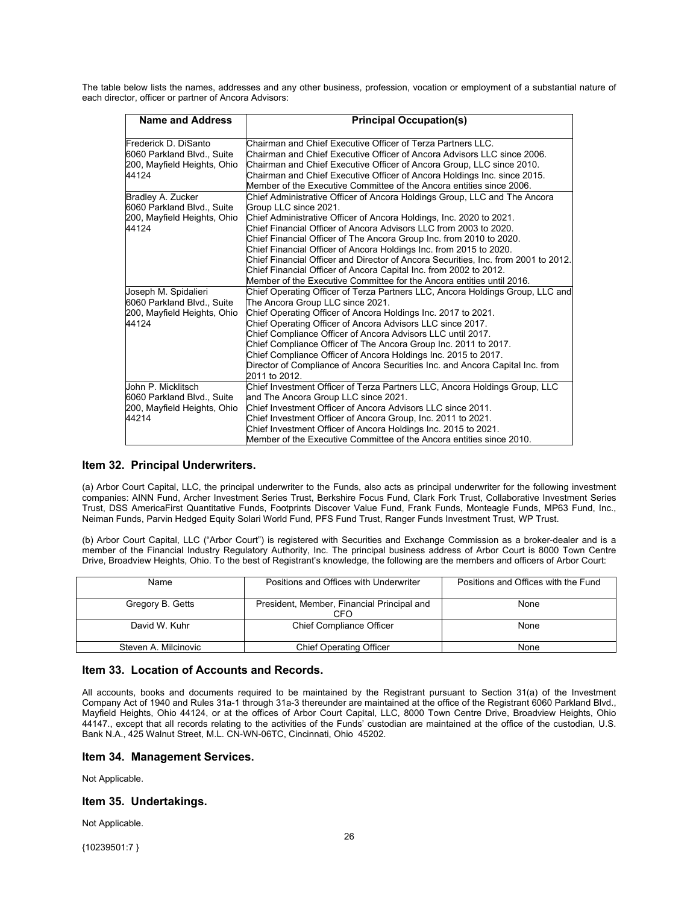<span id="page-26-0"></span>The table below lists the names, addresses and any other business, profession, vocation or employment of a substantial nature of each director, officer or partner of Ancora Advisors:

| <b>Name and Address</b>                         | <b>Principal Occupation(s)</b>                                                                     |
|-------------------------------------------------|----------------------------------------------------------------------------------------------------|
| Frederick D. DiSanto                            | Chairman and Chief Executive Officer of Terza Partners LLC.                                        |
| 6060 Parkland Blvd., Suite                      | Chairman and Chief Executive Officer of Ancora Advisors LLC since 2006.                            |
| 200, Mayfield Heights, Ohio                     | Chairman and Chief Executive Officer of Ancora Group, LLC since 2010.                              |
| 44124                                           | Chairman and Chief Executive Officer of Ancora Holdings Inc. since 2015.                           |
|                                                 | Member of the Executive Committee of the Ancora entities since 2006.                               |
| Bradley A. Zucker<br>6060 Parkland Blvd., Suite | Chief Administrative Officer of Ancora Holdings Group, LLC and The Ancora<br>Group LLC since 2021. |
| 200, Mayfield Heights, Ohio                     | Chief Administrative Officer of Ancora Holdings, Inc. 2020 to 2021.                                |
| 44124                                           | Chief Financial Officer of Ancora Advisors LLC from 2003 to 2020.                                  |
|                                                 | Chief Financial Officer of The Ancora Group Inc. from 2010 to 2020.                                |
|                                                 | Chief Financial Officer of Ancora Holdings Inc. from 2015 to 2020.                                 |
|                                                 | Chief Financial Officer and Director of Ancora Securities, Inc. from 2001 to 2012.                 |
|                                                 | Chief Financial Officer of Ancora Capital Inc. from 2002 to 2012.                                  |
|                                                 | Member of the Executive Committee for the Ancora entities until 2016.                              |
| Joseph M. Spidalieri                            | Chief Operating Officer of Terza Partners LLC, Ancora Holdings Group, LLC and                      |
| 6060 Parkland Blvd., Suite                      | The Ancora Group LLC since 2021.                                                                   |
| 200, Mayfield Heights, Ohio                     | Chief Operating Officer of Ancora Holdings Inc. 2017 to 2021.                                      |
| 44124                                           | Chief Operating Officer of Ancora Advisors LLC since 2017.                                         |
|                                                 | Chief Compliance Officer of Ancora Advisors LLC until 2017.                                        |
|                                                 | Chief Compliance Officer of The Ancora Group Inc. 2011 to 2017.                                    |
|                                                 | Chief Compliance Officer of Ancora Holdings Inc. 2015 to 2017.                                     |
|                                                 | Director of Compliance of Ancora Securities Inc. and Ancora Capital Inc. from                      |
|                                                 | 2011 to 2012.                                                                                      |
| John P. Micklitsch                              | Chief Investment Officer of Terza Partners LLC, Ancora Holdings Group, LLC                         |
| 6060 Parkland Blvd., Suite                      | and The Ancora Group LLC since 2021.                                                               |
| 200, Mayfield Heights, Ohio                     | Chief Investment Officer of Ancora Advisors LLC since 2011.                                        |
| 44214                                           | Chief Investment Officer of Ancora Group, Inc. 2011 to 2021.                                       |
|                                                 | Chief Investment Officer of Ancora Holdings Inc. 2015 to 2021.                                     |
|                                                 | Member of the Executive Committee of the Ancora entities since 2010.                               |

### **Item 32. Principal Underwriters.**

(a) Arbor Court Capital, LLC, the principal underwriter to the Funds, also acts as principal underwriter for the following investment companies: AINN Fund, Archer Investment Series Trust, Berkshire Focus Fund, Clark Fork Trust, Collaborative Investment Series Trust, DSS AmericaFirst Quantitative Funds, Footprints Discover Value Fund, Frank Funds, Monteagle Funds, MP63 Fund, Inc., Neiman Funds, Parvin Hedged Equity Solari World Fund, PFS Fund Trust, Ranger Funds Investment Trust, WP Trust.

(b) Arbor Court Capital, LLC ("Arbor Court") is registered with Securities and Exchange Commission as a broker-dealer and is a member of the Financial Industry Regulatory Authority, Inc. The principal business address of Arbor Court is 8000 Town Centre Drive, Broadview Heights, Ohio. To the best of Registrant's knowledge, the following are the members and officers of Arbor Court:

| Name                 | Positions and Offices with Underwriter            | Positions and Offices with the Fund |
|----------------------|---------------------------------------------------|-------------------------------------|
| Gregory B. Getts     | President, Member, Financial Principal and<br>CFO | None                                |
| David W. Kuhr        | <b>Chief Compliance Officer</b>                   | None                                |
| Steven A. Milcinovic | <b>Chief Operating Officer</b>                    | None                                |

#### **Item 33. Location of Accounts and Records.**

All accounts, books and documents required to be maintained by the Registrant pursuant to Section 31(a) of the Investment Company Act of 1940 and Rules 31a-1 through 31a-3 thereunder are maintained at the office of the Registrant 6060 Parkland Blvd., Mayfield Heights, Ohio 44124, or at the offices of Arbor Court Capital, LLC, 8000 Town Centre Drive, Broadview Heights, Ohio 44147., except that all records relating to the activities of the Funds' custodian are maintained at the office of the custodian, U.S. Bank N.A., 425 Walnut Street, M.L. CN-WN-06TC, Cincinnati, Ohio 45202.

#### **Item 34. Management Services.**

Not Applicable.

#### **Item 35. Undertakings.**

Not Applicable.

{10239501:7 }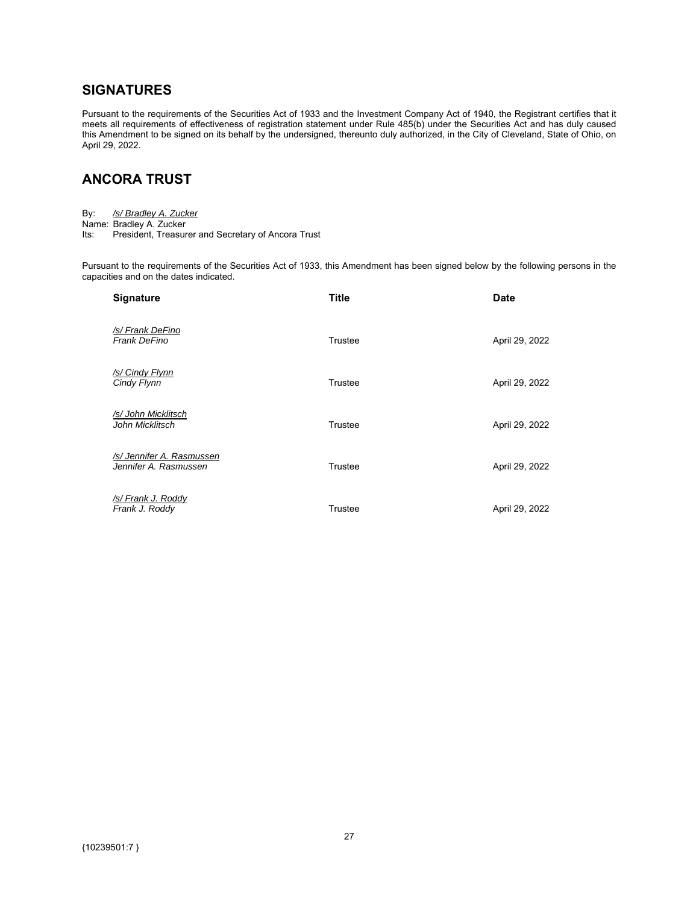# <span id="page-27-0"></span>**SIGNATURES**

Pursuant to the requirements of the Securities Act of 1933 and the Investment Company Act of 1940, the Registrant certifies that it meets all requirements of effectiveness of registration statement under Rule 485(b) under the Securities Act and has duly caused this Amendment to be signed on its behalf by the undersigned, thereunto duly authorized, in the City of Cleveland, State of Ohio, on April 29, 2022.

# **ANCORA TRUST**

| By: | /s/ Bradley A. Zucker |  |
|-----|-----------------------|--|
|     |                       |  |

Name: Bradley A. Zucker

Its: President, Treasurer and Secretary of Ancora Trust

Pursuant to the requirements of the Securities Act of 1933, this Amendment has been signed below by the following persons in the capacities and on the dates indicated.

| <b>Signature</b>                                   | <b>Title</b> | <b>Date</b>    |
|----------------------------------------------------|--------------|----------------|
| /s/ Frank DeFino<br>Frank DeFino                   | Trustee      | April 29, 2022 |
| /s/ Cindy Flynn<br>Cindy Flynn                     | Trustee      | April 29, 2022 |
| /s/ John Micklitsch<br>John Micklitsch             | Trustee      | April 29, 2022 |
| /s/ Jennifer A. Rasmussen<br>Jennifer A. Rasmussen | Trustee      | April 29, 2022 |
| /s/ Frank J. Roddy<br>Frank J. Roddy               | Trustee      | April 29, 2022 |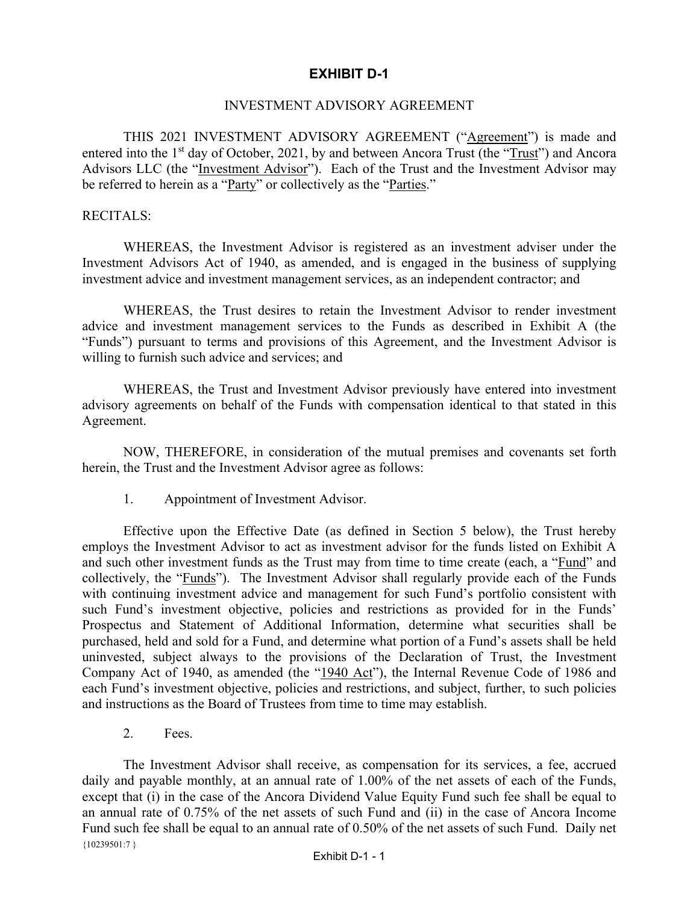# **EXHIBIT D-1**

### INVESTMENT ADVISORY AGREEMENT

<span id="page-28-0"></span>THIS 2021 INVESTMENT ADVISORY AGREEMENT ("Agreement") is made and entered into the 1<sup>st</sup> day of October, 2021, by and between Ancora Trust (the "Trust") and Ancora Advisors LLC (the "Investment Advisor"). Each of the Trust and the Investment Advisor may be referred to herein as a "Party" or collectively as the "Parties."

### RECITALS:

WHEREAS, the Investment Advisor is registered as an investment adviser under the Investment Advisors Act of 1940, as amended, and is engaged in the business of supplying investment advice and investment management services, as an independent contractor; and

WHEREAS, the Trust desires to retain the Investment Advisor to render investment advice and investment management services to the Funds as described in Exhibit A (the "Funds") pursuant to terms and provisions of this Agreement, and the Investment Advisor is willing to furnish such advice and services; and

WHEREAS, the Trust and Investment Advisor previously have entered into investment advisory agreements on behalf of the Funds with compensation identical to that stated in this Agreement.

NOW, THEREFORE, in consideration of the mutual premises and covenants set forth herein, the Trust and the Investment Advisor agree as follows:

1. Appointment of Investment Advisor.

Effective upon the Effective Date (as defined in Section 5 below), the Trust hereby employs the Investment Advisor to act as investment advisor for the funds listed on Exhibit A and such other investment funds as the Trust may from time to time create (each, a "Fund" and collectively, the "Funds"). The Investment Advisor shall regularly provide each of the Funds with continuing investment advice and management for such Fund's portfolio consistent with such Fund's investment objective, policies and restrictions as provided for in the Funds' Prospectus and Statement of Additional Information, determine what securities shall be purchased, held and sold for a Fund, and determine what portion of a Fund's assets shall be held uninvested, subject always to the provisions of the Declaration of Trust, the Investment Company Act of 1940, as amended (the "1940 Act"), the Internal Revenue Code of 1986 and each Fund's investment objective, policies and restrictions, and subject, further, to such policies and instructions as the Board of Trustees from time to time may establish.

2. Fees.

 ${10239501:7}$ The Investment Advisor shall receive, as compensation for its services, a fee, accrued daily and payable monthly, at an annual rate of 1.00% of the net assets of each of the Funds, except that (i) in the case of the Ancora Dividend Value Equity Fund such fee shall be equal to an annual rate of 0.75% of the net assets of such Fund and (ii) in the case of Ancora Income Fund such fee shall be equal to an annual rate of 0.50% of the net assets of such Fund. Daily net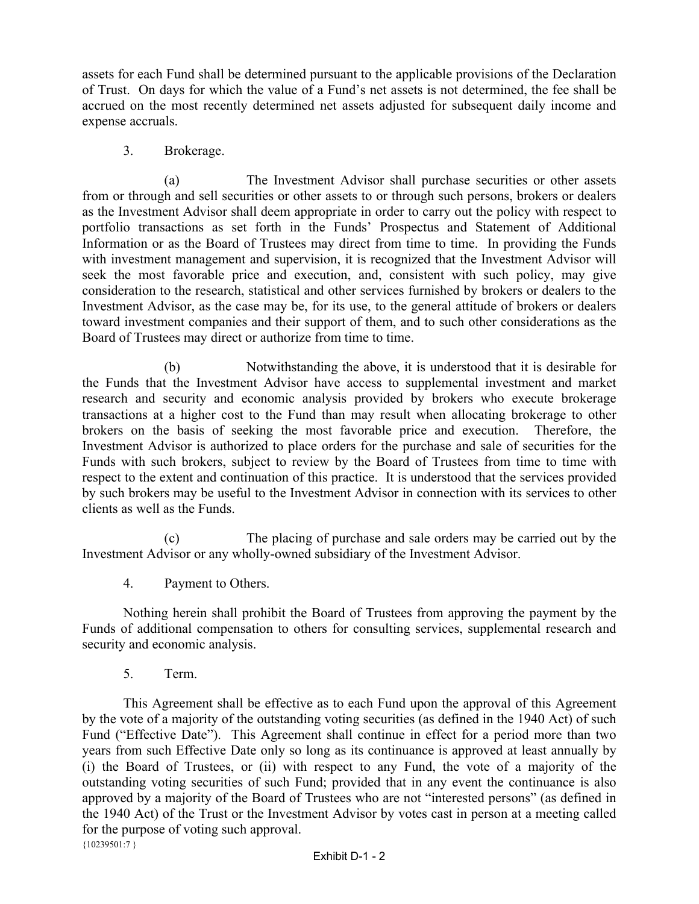assets for each Fund shall be determined pursuant to the applicable provisions of the Declaration of Trust. On days for which the value of a Fund's net assets is not determined, the fee shall be accrued on the most recently determined net assets adjusted for subsequent daily income and expense accruals.

3. Brokerage.

(a) The Investment Advisor shall purchase securities or other assets from or through and sell securities or other assets to or through such persons, brokers or dealers as the Investment Advisor shall deem appropriate in order to carry out the policy with respect to portfolio transactions as set forth in the Funds' Prospectus and Statement of Additional Information or as the Board of Trustees may direct from time to time. In providing the Funds with investment management and supervision, it is recognized that the Investment Advisor will seek the most favorable price and execution, and, consistent with such policy, may give consideration to the research, statistical and other services furnished by brokers or dealers to the Investment Advisor, as the case may be, for its use, to the general attitude of brokers or dealers toward investment companies and their support of them, and to such other considerations as the Board of Trustees may direct or authorize from time to time.

(b) Notwithstanding the above, it is understood that it is desirable for the Funds that the Investment Advisor have access to supplemental investment and market research and security and economic analysis provided by brokers who execute brokerage transactions at a higher cost to the Fund than may result when allocating brokerage to other brokers on the basis of seeking the most favorable price and execution. Therefore, the Investment Advisor is authorized to place orders for the purchase and sale of securities for the Funds with such brokers, subject to review by the Board of Trustees from time to time with respect to the extent and continuation of this practice. It is understood that the services provided by such brokers may be useful to the Investment Advisor in connection with its services to other clients as well as the Funds.

(c) The placing of purchase and sale orders may be carried out by the Investment Advisor or any wholly-owned subsidiary of the Investment Advisor.

4. Payment to Others.

Nothing herein shall prohibit the Board of Trustees from approving the payment by the Funds of additional compensation to others for consulting services, supplemental research and security and economic analysis.

5. Term.

 ${10239501:7}$ This Agreement shall be effective as to each Fund upon the approval of this Agreement by the vote of a majority of the outstanding voting securities (as defined in the 1940 Act) of such Fund ("Effective Date"). This Agreement shall continue in effect for a period more than two years from such Effective Date only so long as its continuance is approved at least annually by (i) the Board of Trustees, or (ii) with respect to any Fund, the vote of a majority of the outstanding voting securities of such Fund; provided that in any event the continuance is also approved by a majority of the Board of Trustees who are not "interested persons" (as defined in the 1940 Act) of the Trust or the Investment Advisor by votes cast in person at a meeting called for the purpose of voting such approval.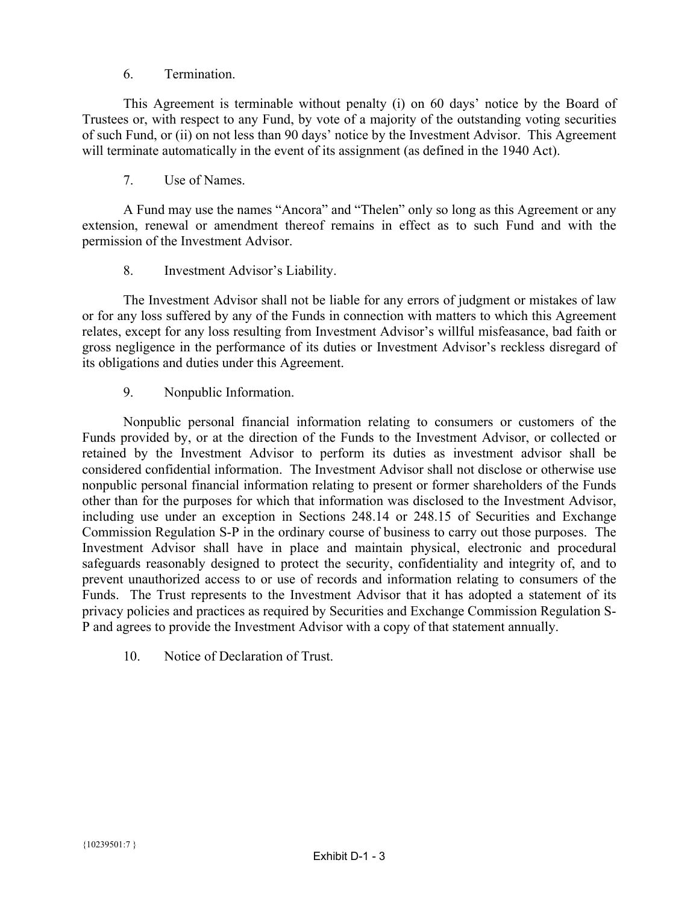### 6. Termination.

This Agreement is terminable without penalty (i) on 60 days' notice by the Board of Trustees or, with respect to any Fund, by vote of a majority of the outstanding voting securities of such Fund, or (ii) on not less than 90 days' notice by the Investment Advisor. This Agreement will terminate automatically in the event of its assignment (as defined in the 1940 Act).

7. Use of Names.

A Fund may use the names "Ancora" and "Thelen" only so long as this Agreement or any extension, renewal or amendment thereof remains in effect as to such Fund and with the permission of the Investment Advisor.

8. Investment Advisor's Liability.

The Investment Advisor shall not be liable for any errors of judgment or mistakes of law or for any loss suffered by any of the Funds in connection with matters to which this Agreement relates, except for any loss resulting from Investment Advisor's willful misfeasance, bad faith or gross negligence in the performance of its duties or Investment Advisor's reckless disregard of its obligations and duties under this Agreement.

9. Nonpublic Information.

Nonpublic personal financial information relating to consumers or customers of the Funds provided by, or at the direction of the Funds to the Investment Advisor, or collected or retained by the Investment Advisor to perform its duties as investment advisor shall be considered confidential information. The Investment Advisor shall not disclose or otherwise use nonpublic personal financial information relating to present or former shareholders of the Funds other than for the purposes for which that information was disclosed to the Investment Advisor, including use under an exception in Sections 248.14 or 248.15 of Securities and Exchange Commission Regulation S-P in the ordinary course of business to carry out those purposes. The Investment Advisor shall have in place and maintain physical, electronic and procedural safeguards reasonably designed to protect the security, confidentiality and integrity of, and to prevent unauthorized access to or use of records and information relating to consumers of the Funds. The Trust represents to the Investment Advisor that it has adopted a statement of its privacy policies and practices as required by Securities and Exchange Commission Regulation S-P and agrees to provide the Investment Advisor with a copy of that statement annually.

10. Notice of Declaration of Trust.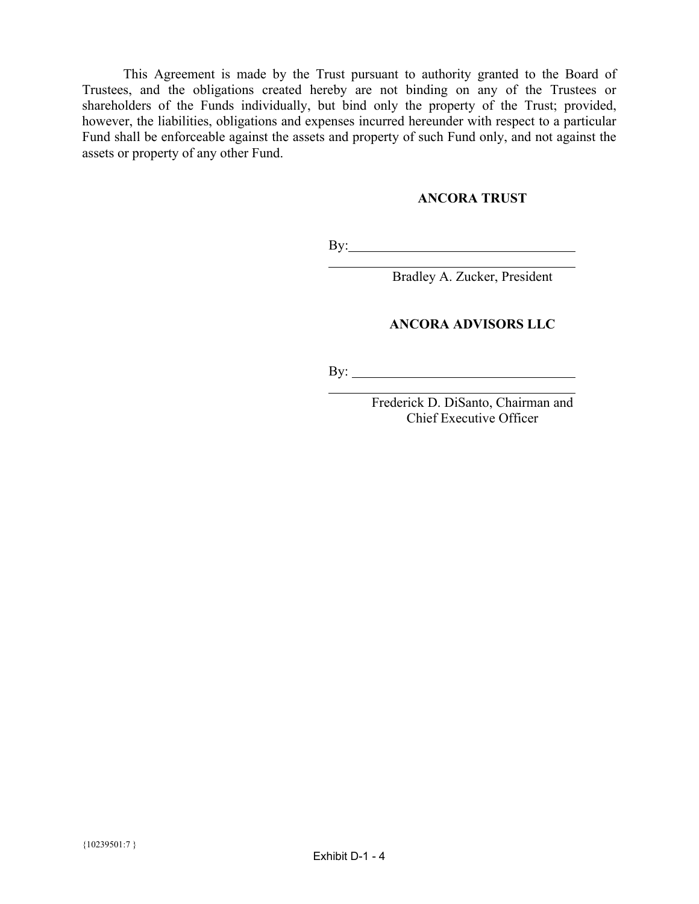This Agreement is made by the Trust pursuant to authority granted to the Board of Trustees, and the obligations created hereby are not binding on any of the Trustees or shareholders of the Funds individually, but bind only the property of the Trust; provided, however, the liabilities, obligations and expenses incurred hereunder with respect to a particular Fund shall be enforceable against the assets and property of such Fund only, and not against the assets or property of any other Fund.

### **ANCORA TRUST**

By: The contract of the contract of the contract of the contract of the contract of the contract of the contract of the contract of the contract of the contract of the contract of the contract of the contract of the contra

Bradley A. Zucker, President

### **ANCORA ADVISORS LLC**

By: l

l

Frederick D. DiSanto, Chairman and Chief Executive Officer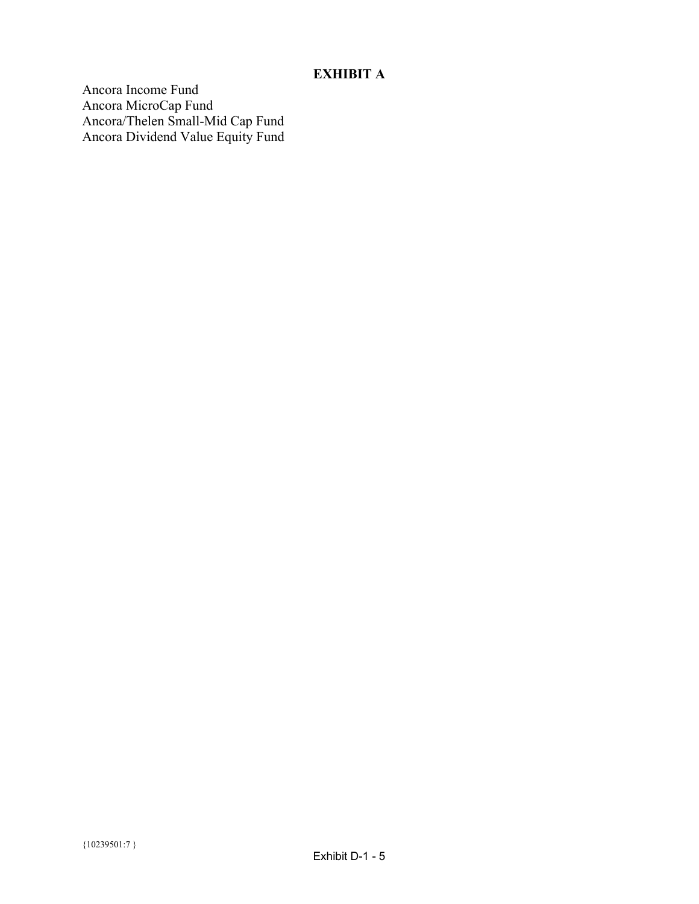# **EXHIBIT A**

Ancora Income Fund Ancora MicroCap Fund Ancora/Thelen Small-Mid Cap Fund Ancora Dividend Value Equity Fund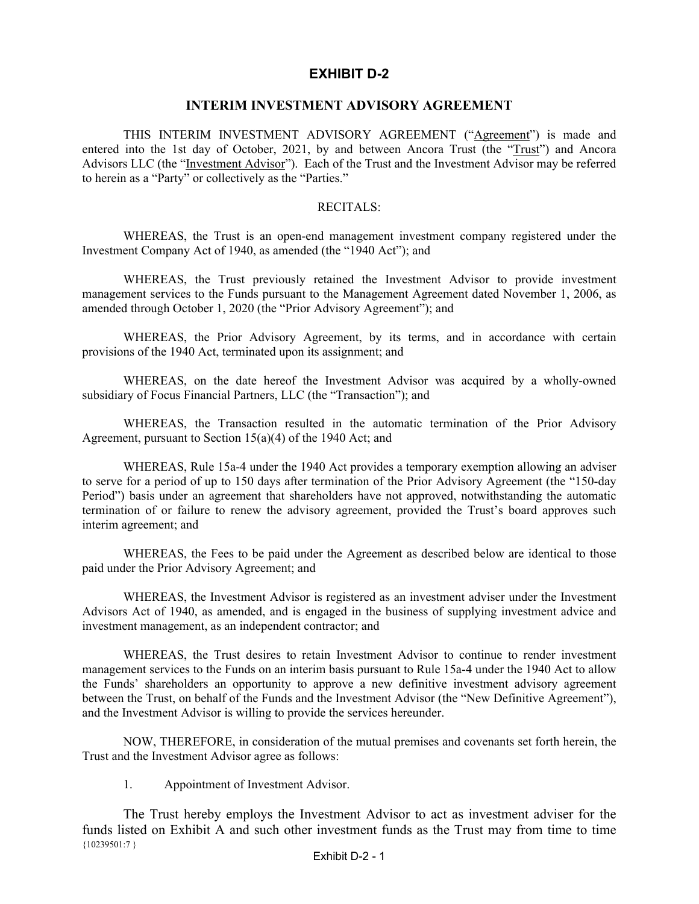# **EXHIBIT D-2**

### **INTERIM INVESTMENT ADVISORY AGREEMENT**

<span id="page-33-0"></span>THIS INTERIM INVESTMENT ADVISORY AGREEMENT ("Agreement") is made and entered into the 1st day of October, 2021, by and between Ancora Trust (the "Trust") and Ancora Advisors LLC (the "Investment Advisor"). Each of the Trust and the Investment Advisor may be referred to herein as a "Party" or collectively as the "Parties."

### RECITALS:

WHEREAS, the Trust is an open-end management investment company registered under the Investment Company Act of 1940, as amended (the "1940 Act"); and

WHEREAS, the Trust previously retained the Investment Advisor to provide investment management services to the Funds pursuant to the Management Agreement dated November 1, 2006, as amended through October 1, 2020 (the "Prior Advisory Agreement"); and

WHEREAS, the Prior Advisory Agreement, by its terms, and in accordance with certain provisions of the 1940 Act, terminated upon its assignment; and

WHEREAS, on the date hereof the Investment Advisor was acquired by a wholly-owned subsidiary of Focus Financial Partners, LLC (the "Transaction"); and

WHEREAS, the Transaction resulted in the automatic termination of the Prior Advisory Agreement, pursuant to Section 15(a)(4) of the 1940 Act; and

WHEREAS, Rule 15a-4 under the 1940 Act provides a temporary exemption allowing an adviser to serve for a period of up to 150 days after termination of the Prior Advisory Agreement (the "150-day Period") basis under an agreement that shareholders have not approved, notwithstanding the automatic termination of or failure to renew the advisory agreement, provided the Trust's board approves such interim agreement; and

WHEREAS, the Fees to be paid under the Agreement as described below are identical to those paid under the Prior Advisory Agreement; and

WHEREAS, the Investment Advisor is registered as an investment adviser under the Investment Advisors Act of 1940, as amended, and is engaged in the business of supplying investment advice and investment management, as an independent contractor; and

WHEREAS, the Trust desires to retain Investment Advisor to continue to render investment management services to the Funds on an interim basis pursuant to Rule 15a-4 under the 1940 Act to allow the Funds' shareholders an opportunity to approve a new definitive investment advisory agreement between the Trust, on behalf of the Funds and the Investment Advisor (the "New Definitive Agreement"), and the Investment Advisor is willing to provide the services hereunder.

NOW, THEREFORE, in consideration of the mutual premises and covenants set forth herein, the Trust and the Investment Advisor agree as follows:

1. Appointment of Investment Advisor.

{10239501:7 } The Trust hereby employs the Investment Advisor to act as investment adviser for the funds listed on Exhibit A and such other investment funds as the Trust may from time to time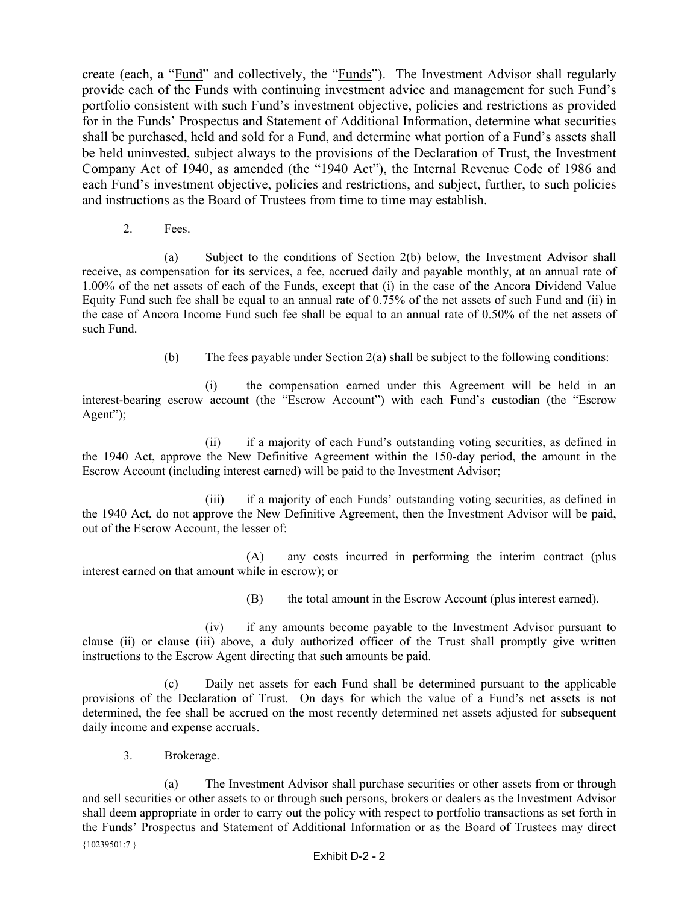create (each, a "Fund" and collectively, the "Funds"). The Investment Advisor shall regularly provide each of the Funds with continuing investment advice and management for such Fund's portfolio consistent with such Fund's investment objective, policies and restrictions as provided for in the Funds' Prospectus and Statement of Additional Information, determine what securities shall be purchased, held and sold for a Fund, and determine what portion of a Fund's assets shall be held uninvested, subject always to the provisions of the Declaration of Trust, the Investment Company Act of 1940, as amended (the "1940 Act"), the Internal Revenue Code of 1986 and each Fund's investment objective, policies and restrictions, and subject, further, to such policies and instructions as the Board of Trustees from time to time may establish.

2. Fees.

(a) Subject to the conditions of Section 2(b) below, the Investment Advisor shall receive, as compensation for its services, a fee, accrued daily and payable monthly, at an annual rate of 1.00% of the net assets of each of the Funds, except that (i) in the case of the Ancora Dividend Value Equity Fund such fee shall be equal to an annual rate of 0.75% of the net assets of such Fund and (ii) in the case of Ancora Income Fund such fee shall be equal to an annual rate of 0.50% of the net assets of such Fund.

(b) The fees payable under Section 2(a) shall be subject to the following conditions:

(i) the compensation earned under this Agreement will be held in an interest-bearing escrow account (the "Escrow Account") with each Fund's custodian (the "Escrow Agent");

(ii) if a majority of each Fund's outstanding voting securities, as defined in the 1940 Act, approve the New Definitive Agreement within the 150-day period, the amount in the Escrow Account (including interest earned) will be paid to the Investment Advisor;

(iii) if a majority of each Funds' outstanding voting securities, as defined in the 1940 Act, do not approve the New Definitive Agreement, then the Investment Advisor will be paid, out of the Escrow Account, the lesser of:

 (A) any costs incurred in performing the interim contract (plus interest earned on that amount while in escrow); or

(B) the total amount in the Escrow Account (plus interest earned).

(iv) if any amounts become payable to the Investment Advisor pursuant to clause (ii) or clause (iii) above, a duly authorized officer of the Trust shall promptly give written instructions to the Escrow Agent directing that such amounts be paid.

(c) Daily net assets for each Fund shall be determined pursuant to the applicable provisions of the Declaration of Trust. On days for which the value of a Fund's net assets is not determined, the fee shall be accrued on the most recently determined net assets adjusted for subsequent daily income and expense accruals.

3. Brokerage.

 ${10239501:7}$ (a) The Investment Advisor shall purchase securities or other assets from or through and sell securities or other assets to or through such persons, brokers or dealers as the Investment Advisor shall deem appropriate in order to carry out the policy with respect to portfolio transactions as set forth in the Funds' Prospectus and Statement of Additional Information or as the Board of Trustees may direct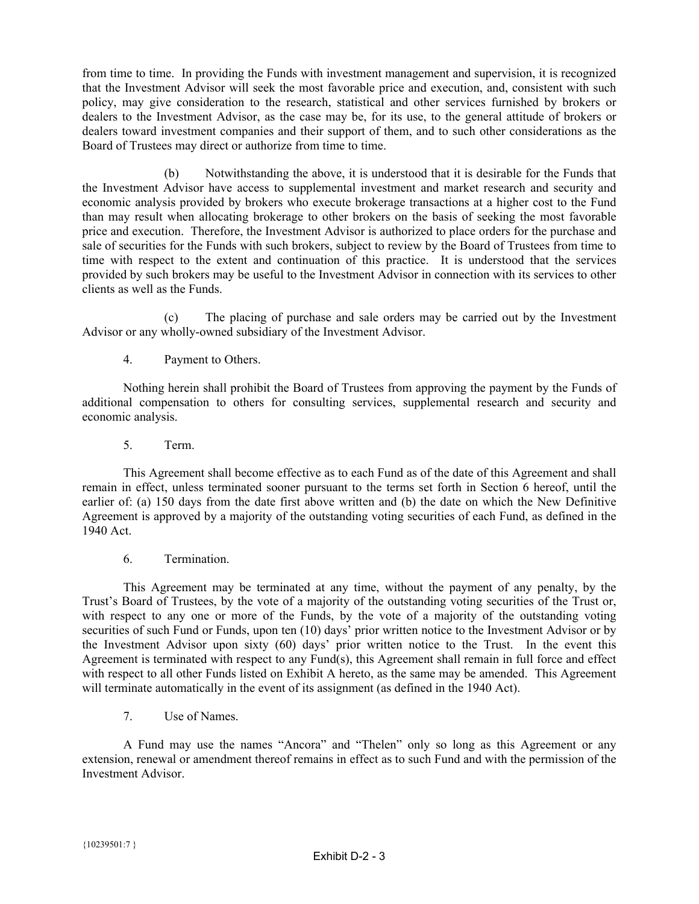from time to time. In providing the Funds with investment management and supervision, it is recognized that the Investment Advisor will seek the most favorable price and execution, and, consistent with such policy, may give consideration to the research, statistical and other services furnished by brokers or dealers to the Investment Advisor, as the case may be, for its use, to the general attitude of brokers or dealers toward investment companies and their support of them, and to such other considerations as the Board of Trustees may direct or authorize from time to time.

(b) Notwithstanding the above, it is understood that it is desirable for the Funds that the Investment Advisor have access to supplemental investment and market research and security and economic analysis provided by brokers who execute brokerage transactions at a higher cost to the Fund than may result when allocating brokerage to other brokers on the basis of seeking the most favorable price and execution. Therefore, the Investment Advisor is authorized to place orders for the purchase and sale of securities for the Funds with such brokers, subject to review by the Board of Trustees from time to time with respect to the extent and continuation of this practice. It is understood that the services provided by such brokers may be useful to the Investment Advisor in connection with its services to other clients as well as the Funds.

(c) The placing of purchase and sale orders may be carried out by the Investment Advisor or any wholly-owned subsidiary of the Investment Advisor.

4. Payment to Others.

Nothing herein shall prohibit the Board of Trustees from approving the payment by the Funds of additional compensation to others for consulting services, supplemental research and security and economic analysis.

5. Term.

This Agreement shall become effective as to each Fund as of the date of this Agreement and shall remain in effect, unless terminated sooner pursuant to the terms set forth in Section 6 hereof, until the earlier of: (a) 150 days from the date first above written and (b) the date on which the New Definitive Agreement is approved by a majority of the outstanding voting securities of each Fund, as defined in the 1940 Act.

6. Termination.

This Agreement may be terminated at any time, without the payment of any penalty, by the Trust's Board of Trustees, by the vote of a majority of the outstanding voting securities of the Trust or, with respect to any one or more of the Funds, by the vote of a majority of the outstanding voting securities of such Fund or Funds, upon ten (10) days' prior written notice to the Investment Advisor or by the Investment Advisor upon sixty (60) days' prior written notice to the Trust. In the event this Agreement is terminated with respect to any Fund(s), this Agreement shall remain in full force and effect with respect to all other Funds listed on Exhibit A hereto, as the same may be amended. This Agreement will terminate automatically in the event of its assignment (as defined in the 1940 Act).

7. Use of Names.

A Fund may use the names "Ancora" and "Thelen" only so long as this Agreement or any extension, renewal or amendment thereof remains in effect as to such Fund and with the permission of the Investment Advisor.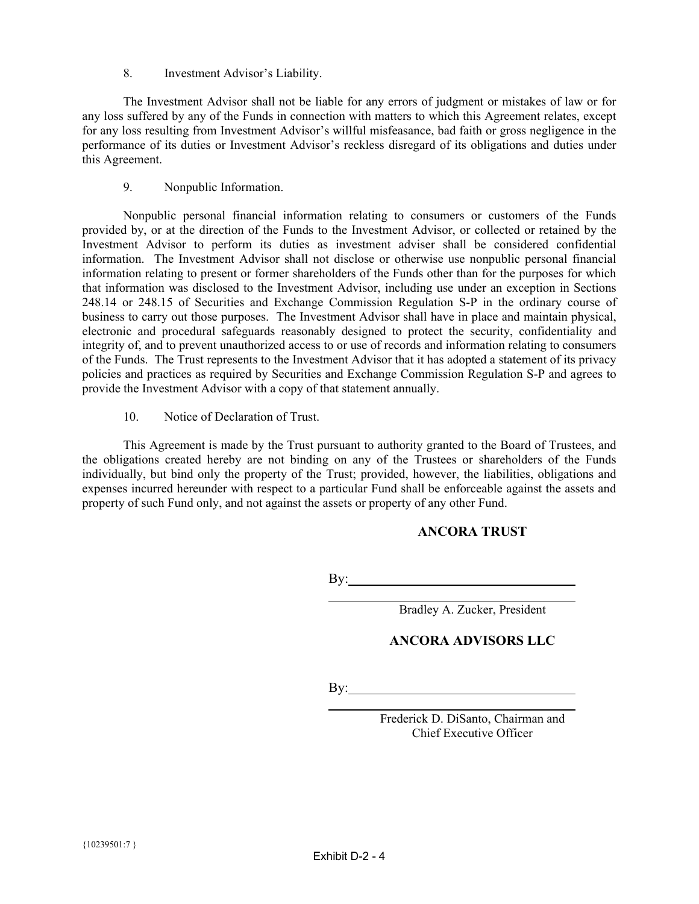8. Investment Advisor's Liability.

The Investment Advisor shall not be liable for any errors of judgment or mistakes of law or for any loss suffered by any of the Funds in connection with matters to which this Agreement relates, except for any loss resulting from Investment Advisor's willful misfeasance, bad faith or gross negligence in the performance of its duties or Investment Advisor's reckless disregard of its obligations and duties under this Agreement.

9. Nonpublic Information.

Nonpublic personal financial information relating to consumers or customers of the Funds provided by, or at the direction of the Funds to the Investment Advisor, or collected or retained by the Investment Advisor to perform its duties as investment adviser shall be considered confidential information. The Investment Advisor shall not disclose or otherwise use nonpublic personal financial information relating to present or former shareholders of the Funds other than for the purposes for which that information was disclosed to the Investment Advisor, including use under an exception in Sections 248.14 or 248.15 of Securities and Exchange Commission Regulation S-P in the ordinary course of business to carry out those purposes. The Investment Advisor shall have in place and maintain physical, electronic and procedural safeguards reasonably designed to protect the security, confidentiality and integrity of, and to prevent unauthorized access to or use of records and information relating to consumers of the Funds. The Trust represents to the Investment Advisor that it has adopted a statement of its privacy policies and practices as required by Securities and Exchange Commission Regulation S-P and agrees to provide the Investment Advisor with a copy of that statement annually.

10. Notice of Declaration of Trust.

This Agreement is made by the Trust pursuant to authority granted to the Board of Trustees, and the obligations created hereby are not binding on any of the Trustees or shareholders of the Funds individually, but bind only the property of the Trust; provided, however, the liabilities, obligations and expenses incurred hereunder with respect to a particular Fund shall be enforceable against the assets and property of such Fund only, and not against the assets or property of any other Fund.

### **ANCORA TRUST**

By:

Bradley A. Zucker, President

### **ANCORA ADVISORS LLC**

By:

l

l

Frederick D. DiSanto, Chairman and Chief Executive Officer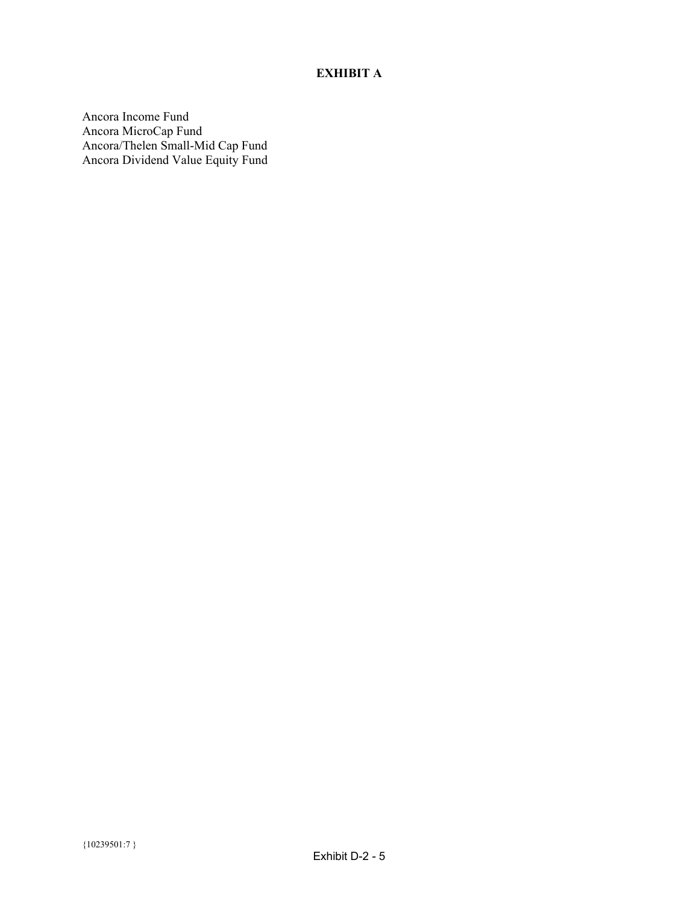# **EXHIBIT A**

Ancora Income Fund Ancora MicroCap Fund Ancora/Thelen Small-Mid Cap Fund Ancora Dividend Value Equity Fund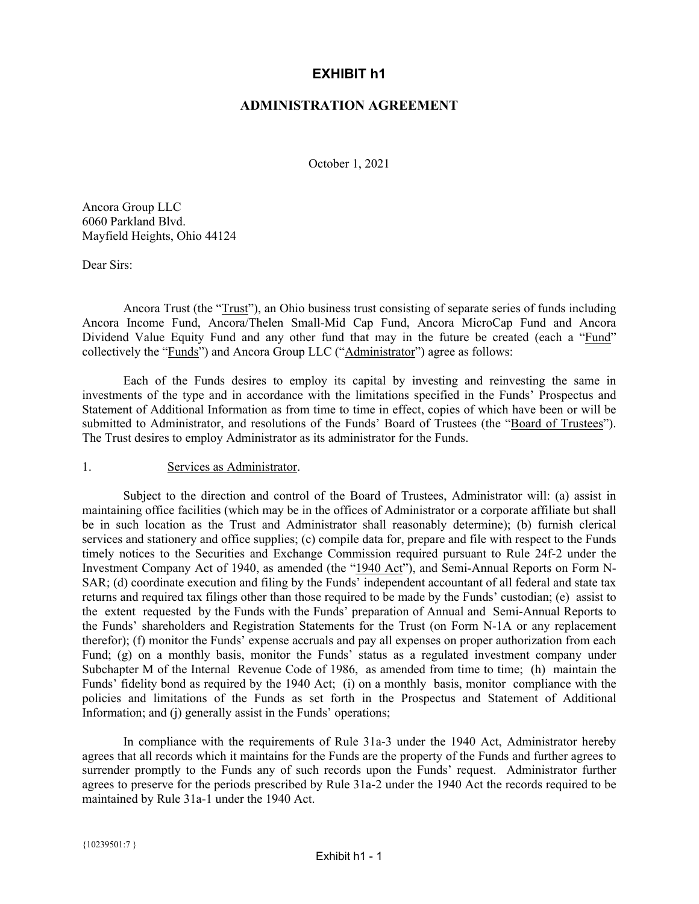## **EXHIBIT h1**

### **ADMINISTRATION AGREEMENT**

October 1, 2021

<span id="page-38-0"></span>Ancora Group LLC 6060 Parkland Blvd. Mayfield Heights, Ohio 44124

Dear Sirs:

Ancora Trust (the "Trust"), an Ohio business trust consisting of separate series of funds including Ancora Income Fund, Ancora/Thelen Small-Mid Cap Fund, Ancora MicroCap Fund and Ancora Dividend Value Equity Fund and any other fund that may in the future be created (each a "Fund" collectively the "Funds") and Ancora Group LLC ("Administrator") agree as follows:

Each of the Funds desires to employ its capital by investing and reinvesting the same in investments of the type and in accordance with the limitations specified in the Funds' Prospectus and Statement of Additional Information as from time to time in effect, copies of which have been or will be submitted to Administrator, and resolutions of the Funds' Board of Trustees (the "Board of Trustees"). The Trust desires to employ Administrator as its administrator for the Funds.

### 1. Services as Administrator.

Subject to the direction and control of the Board of Trustees, Administrator will: (a) assist in maintaining office facilities (which may be in the offices of Administrator or a corporate affiliate but shall be in such location as the Trust and Administrator shall reasonably determine); (b) furnish clerical services and stationery and office supplies; (c) compile data for, prepare and file with respect to the Funds timely notices to the Securities and Exchange Commission required pursuant to Rule 24f-2 under the Investment Company Act of 1940, as amended (the "1940 Act"), and Semi-Annual Reports on Form N-SAR; (d) coordinate execution and filing by the Funds' independent accountant of all federal and state tax returns and required tax filings other than those required to be made by the Funds' custodian; (e) assist to the extent requested by the Funds with the Funds' preparation of Annual and Semi-Annual Reports to the Funds' shareholders and Registration Statements for the Trust (on Form N-1A or any replacement therefor); (f) monitor the Funds' expense accruals and pay all expenses on proper authorization from each Fund; (g) on a monthly basis, monitor the Funds' status as a regulated investment company under Subchapter M of the Internal Revenue Code of 1986, as amended from time to time; (h) maintain the Funds' fidelity bond as required by the 1940 Act; (i) on a monthly basis, monitor compliance with the policies and limitations of the Funds as set forth in the Prospectus and Statement of Additional Information; and (j) generally assist in the Funds' operations;

In compliance with the requirements of Rule 31a-3 under the 1940 Act, Administrator hereby agrees that all records which it maintains for the Funds are the property of the Funds and further agrees to surrender promptly to the Funds any of such records upon the Funds' request. Administrator further agrees to preserve for the periods prescribed by Rule 31a-2 under the 1940 Act the records required to be maintained by Rule 31a-1 under the 1940 Act.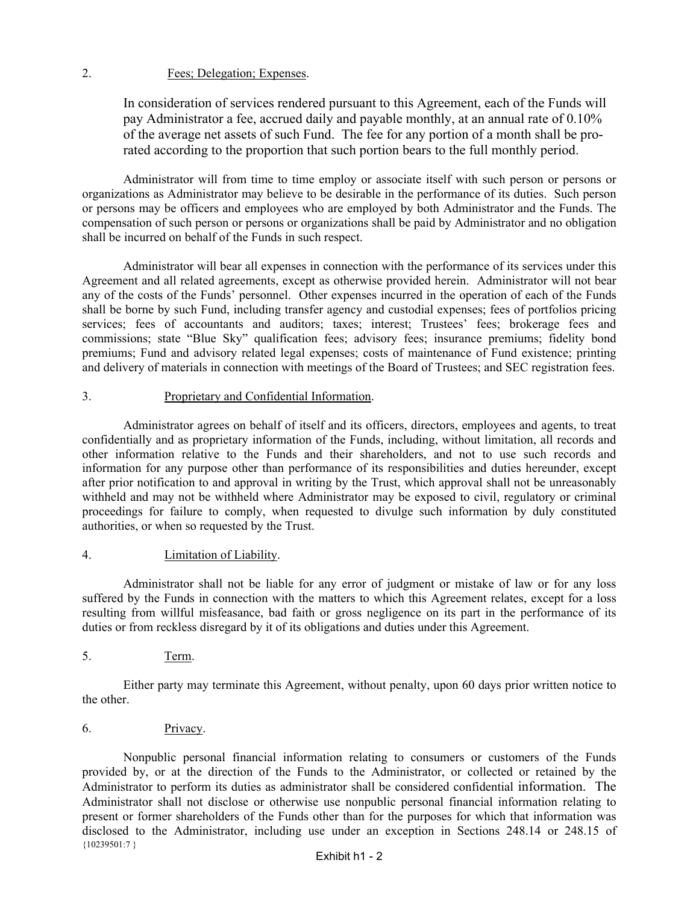### 2. Fees; Delegation; Expenses.

In consideration of services rendered pursuant to this Agreement, each of the Funds will pay Administrator a fee, accrued daily and payable monthly, at an annual rate of 0.10% of the average net assets of such Fund. The fee for any portion of a month shall be prorated according to the proportion that such portion bears to the full monthly period.

Administrator will from time to time employ or associate itself with such person or persons or organizations as Administrator may believe to be desirable in the performance of its duties. Such person or persons may be officers and employees who are employed by both Administrator and the Funds. The compensation of such person or persons or organizations shall be paid by Administrator and no obligation shall be incurred on behalf of the Funds in such respect.

Administrator will bear all expenses in connection with the performance of its services under this Agreement and all related agreements, except as otherwise provided herein. Administrator will not bear any of the costs of the Funds' personnel. Other expenses incurred in the operation of each of the Funds shall be borne by such Fund, including transfer agency and custodial expenses; fees of portfolios pricing services; fees of accountants and auditors; taxes; interest; Trustees' fees; brokerage fees and commissions; state "Blue Sky" qualification fees; advisory fees; insurance premiums; fidelity bond premiums; Fund and advisory related legal expenses; costs of maintenance of Fund existence; printing and delivery of materials in connection with meetings of the Board of Trustees; and SEC registration fees.

### 3. Proprietary and Confidential Information.

Administrator agrees on behalf of itself and its officers, directors, employees and agents, to treat confidentially and as proprietary information of the Funds, including, without limitation, all records and other information relative to the Funds and their shareholders, and not to use such records and information for any purpose other than performance of its responsibilities and duties hereunder, except after prior notification to and approval in writing by the Trust, which approval shall not be unreasonably withheld and may not be withheld where Administrator may be exposed to civil, regulatory or criminal proceedings for failure to comply, when requested to divulge such information by duly constituted authorities, or when so requested by the Trust.

### 4. Limitation of Liability.

Administrator shall not be liable for any error of judgment or mistake of law or for any loss suffered by the Funds in connection with the matters to which this Agreement relates, except for a loss resulting from willful misfeasance, bad faith or gross negligence on its part in the performance of its duties or from reckless disregard by it of its obligations and duties under this Agreement.

### 5. Term.

Either party may terminate this Agreement, without penalty, upon 60 days prior written notice to the other.

### 6. Privacy.

{10239501:7 } Nonpublic personal financial information relating to consumers or customers of the Funds provided by, or at the direction of the Funds to the Administrator, or collected or retained by the Administrator to perform its duties as administrator shall be considered confidential information. The Administrator shall not disclose or otherwise use nonpublic personal financial information relating to present or former shareholders of the Funds other than for the purposes for which that information was disclosed to the Administrator, including use under an exception in Sections 248.14 or 248.15 of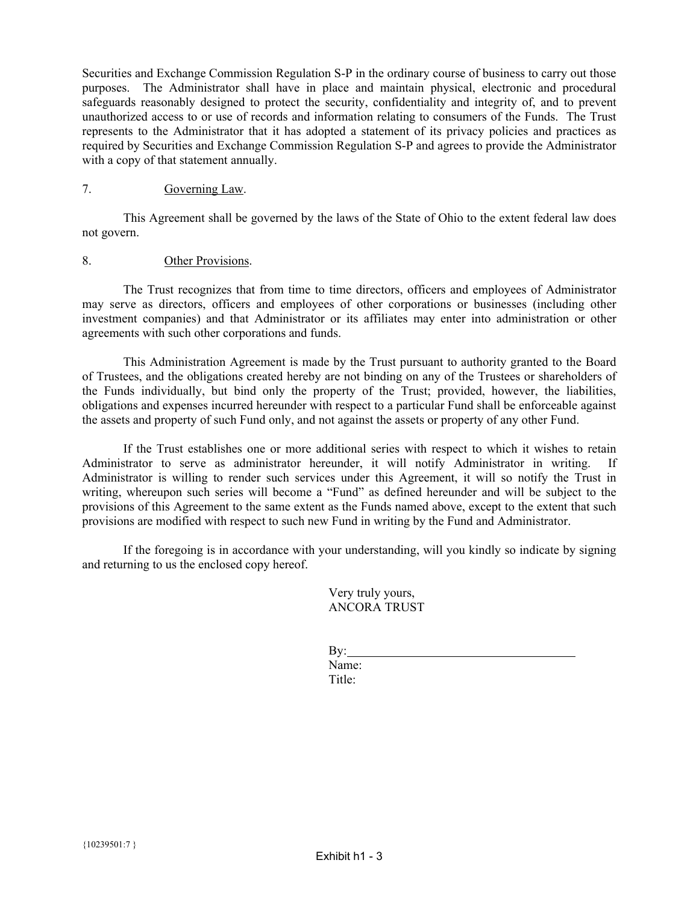Securities and Exchange Commission Regulation S-P in the ordinary course of business to carry out those purposes. The Administrator shall have in place and maintain physical, electronic and procedural safeguards reasonably designed to protect the security, confidentiality and integrity of, and to prevent unauthorized access to or use of records and information relating to consumers of the Funds. The Trust represents to the Administrator that it has adopted a statement of its privacy policies and practices as required by Securities and Exchange Commission Regulation S-P and agrees to provide the Administrator with a copy of that statement annually.

### 7. Governing Law.

This Agreement shall be governed by the laws of the State of Ohio to the extent federal law does not govern.

### 8. Other Provisions.

The Trust recognizes that from time to time directors, officers and employees of Administrator may serve as directors, officers and employees of other corporations or businesses (including other investment companies) and that Administrator or its affiliates may enter into administration or other agreements with such other corporations and funds.

This Administration Agreement is made by the Trust pursuant to authority granted to the Board of Trustees, and the obligations created hereby are not binding on any of the Trustees or shareholders of the Funds individually, but bind only the property of the Trust; provided, however, the liabilities, obligations and expenses incurred hereunder with respect to a particular Fund shall be enforceable against the assets and property of such Fund only, and not against the assets or property of any other Fund.

If the Trust establishes one or more additional series with respect to which it wishes to retain Administrator to serve as administrator hereunder, it will notify Administrator in writing. If Administrator is willing to render such services under this Agreement, it will so notify the Trust in writing, whereupon such series will become a "Fund" as defined hereunder and will be subject to the provisions of this Agreement to the same extent as the Funds named above, except to the extent that such provisions are modified with respect to such new Fund in writing by the Fund and Administrator.

If the foregoing is in accordance with your understanding, will you kindly so indicate by signing and returning to us the enclosed copy hereof.

> Very truly yours, ANCORA TRUST

| $\mathbf{By:}$ |  |  |
|----------------|--|--|
| Name:          |  |  |
| Title:         |  |  |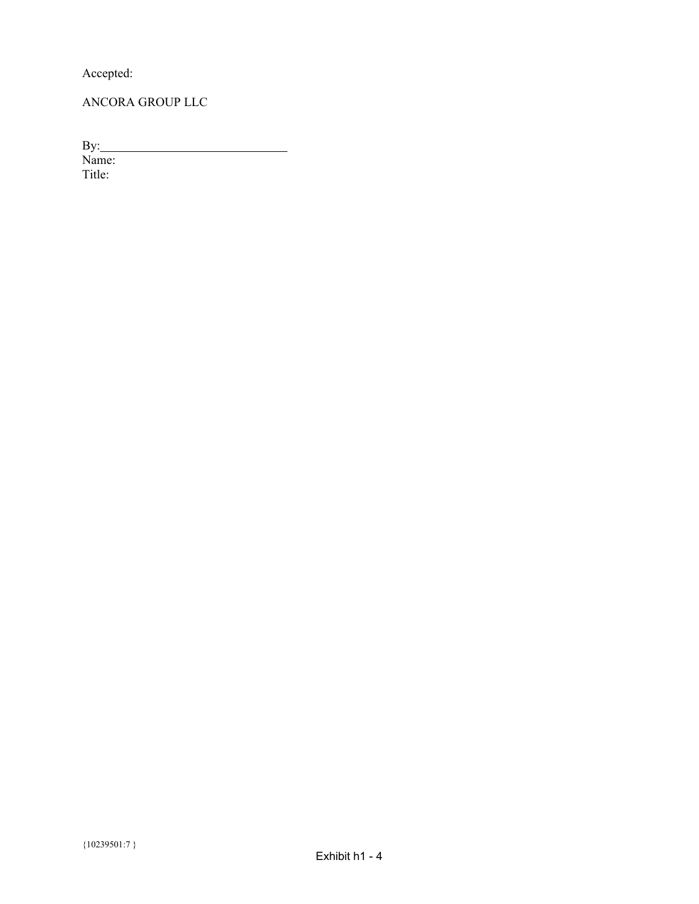Accepted:

ANCORA GROUP LLC

By:

Name: Title: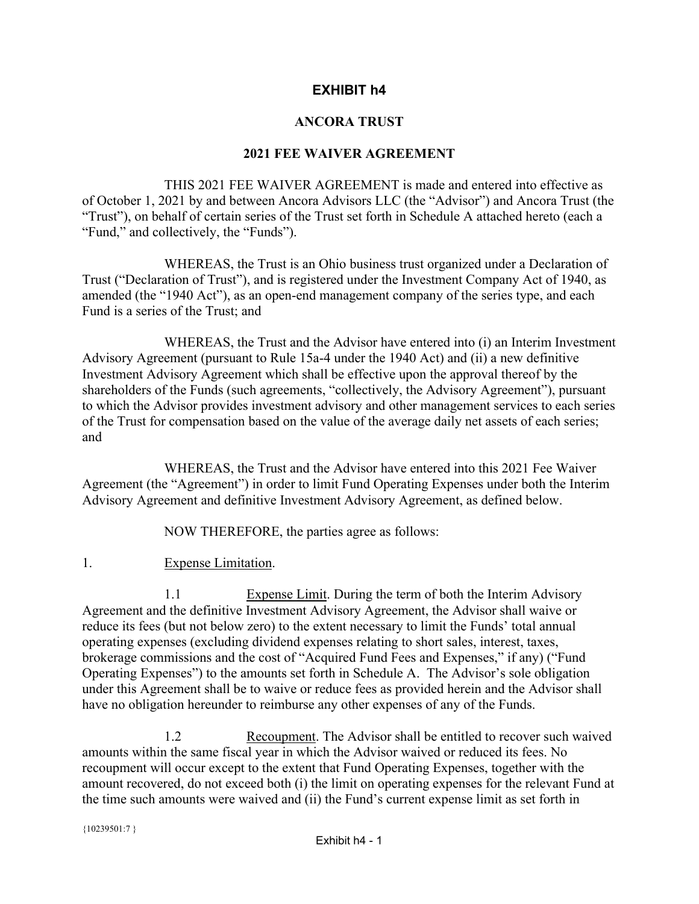# **EXHIBIT h4**

# **ANCORA TRUST**

# **2021 FEE WAIVER AGREEMENT**

<span id="page-42-0"></span> THIS 2021 FEE WAIVER AGREEMENT is made and entered into effective as of October 1, 2021 by and between Ancora Advisors LLC (the "Advisor") and Ancora Trust (the "Trust"), on behalf of certain series of the Trust set forth in Schedule A attached hereto (each a "Fund," and collectively, the "Funds").

 WHEREAS, the Trust is an Ohio business trust organized under a Declaration of Trust ("Declaration of Trust"), and is registered under the Investment Company Act of 1940, as amended (the "1940 Act"), as an open-end management company of the series type, and each Fund is a series of the Trust; and

 WHEREAS, the Trust and the Advisor have entered into (i) an Interim Investment Advisory Agreement (pursuant to Rule 15a-4 under the 1940 Act) and (ii) a new definitive Investment Advisory Agreement which shall be effective upon the approval thereof by the shareholders of the Funds (such agreements, "collectively, the Advisory Agreement"), pursuant to which the Advisor provides investment advisory and other management services to each series of the Trust for compensation based on the value of the average daily net assets of each series; and

 WHEREAS, the Trust and the Advisor have entered into this 2021 Fee Waiver Agreement (the "Agreement") in order to limit Fund Operating Expenses under both the Interim Advisory Agreement and definitive Investment Advisory Agreement, as defined below.

NOW THEREFORE, the parties agree as follows:

1. Expense Limitation.

1.1 Expense Limit. During the term of both the Interim Advisory Agreement and the definitive Investment Advisory Agreement, the Advisor shall waive or reduce its fees (but not below zero) to the extent necessary to limit the Funds' total annual operating expenses (excluding dividend expenses relating to short sales, interest, taxes, brokerage commissions and the cost of "Acquired Fund Fees and Expenses," if any) ("Fund Operating Expenses") to the amounts set forth in Schedule A. The Advisor's sole obligation under this Agreement shall be to waive or reduce fees as provided herein and the Advisor shall have no obligation hereunder to reimburse any other expenses of any of the Funds.

 1.2 Recoupment. The Advisor shall be entitled to recover such waived amounts within the same fiscal year in which the Advisor waived or reduced its fees. No recoupment will occur except to the extent that Fund Operating Expenses, together with the amount recovered, do not exceed both (i) the limit on operating expenses for the relevant Fund at the time such amounts were waived and (ii) the Fund's current expense limit as set forth in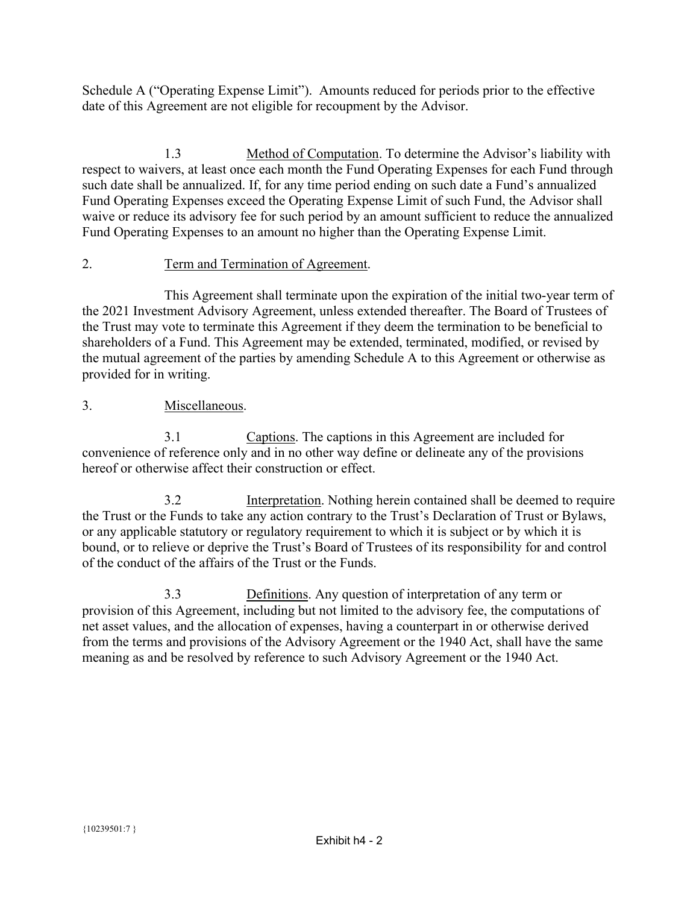Schedule A ("Operating Expense Limit"). Amounts reduced for periods prior to the effective date of this Agreement are not eligible for recoupment by the Advisor.

 1.3 Method of Computation. To determine the Advisor's liability with respect to waivers, at least once each month the Fund Operating Expenses for each Fund through such date shall be annualized. If, for any time period ending on such date a Fund's annualized Fund Operating Expenses exceed the Operating Expense Limit of such Fund, the Advisor shall waive or reduce its advisory fee for such period by an amount sufficient to reduce the annualized Fund Operating Expenses to an amount no higher than the Operating Expense Limit.

# 2. Term and Termination of Agreement.

 This Agreement shall terminate upon the expiration of the initial two-year term of the 2021 Investment Advisory Agreement, unless extended thereafter. The Board of Trustees of the Trust may vote to terminate this Agreement if they deem the termination to be beneficial to shareholders of a Fund. This Agreement may be extended, terminated, modified, or revised by the mutual agreement of the parties by amending Schedule A to this Agreement or otherwise as provided for in writing.

# 3. Miscellaneous.

 3.1 Captions. The captions in this Agreement are included for convenience of reference only and in no other way define or delineate any of the provisions hereof or otherwise affect their construction or effect.

 3.2 Interpretation. Nothing herein contained shall be deemed to require the Trust or the Funds to take any action contrary to the Trust's Declaration of Trust or Bylaws, or any applicable statutory or regulatory requirement to which it is subject or by which it is bound, or to relieve or deprive the Trust's Board of Trustees of its responsibility for and control of the conduct of the affairs of the Trust or the Funds.

 3.3 Definitions. Any question of interpretation of any term or provision of this Agreement, including but not limited to the advisory fee, the computations of net asset values, and the allocation of expenses, having a counterpart in or otherwise derived from the terms and provisions of the Advisory Agreement or the 1940 Act, shall have the same meaning as and be resolved by reference to such Advisory Agreement or the 1940 Act.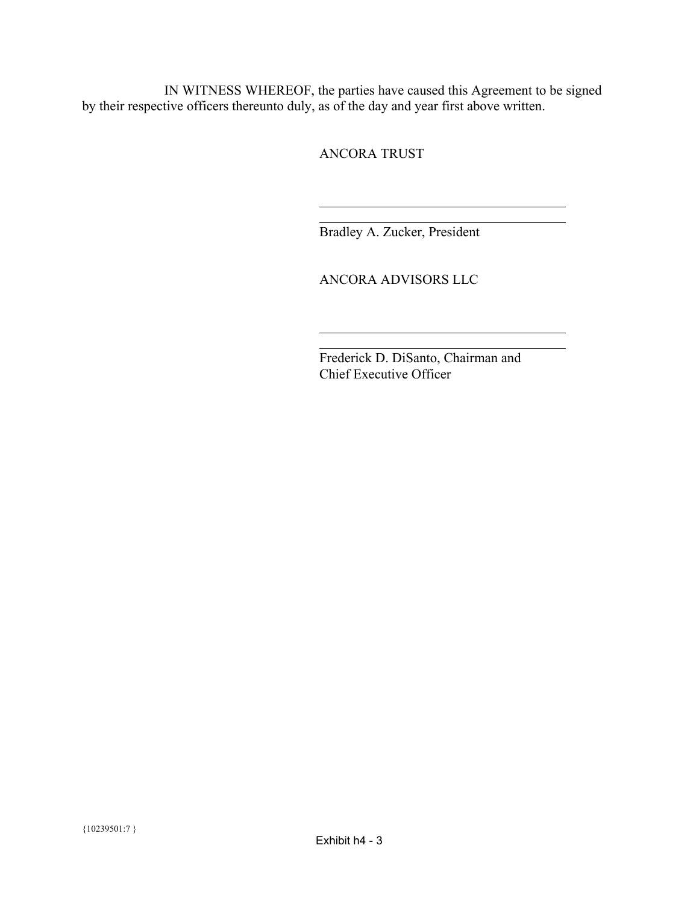IN WITNESS WHEREOF, the parties have caused this Agreement to be signed by their respective officers thereunto duly, as of the day and year first above written.

l

 $\overline{a}$ 

ANCORA TRUST

Bradley A. Zucker, President

ANCORA ADVISORS LLC

 Frederick D. DiSanto, Chairman and Chief Executive Officer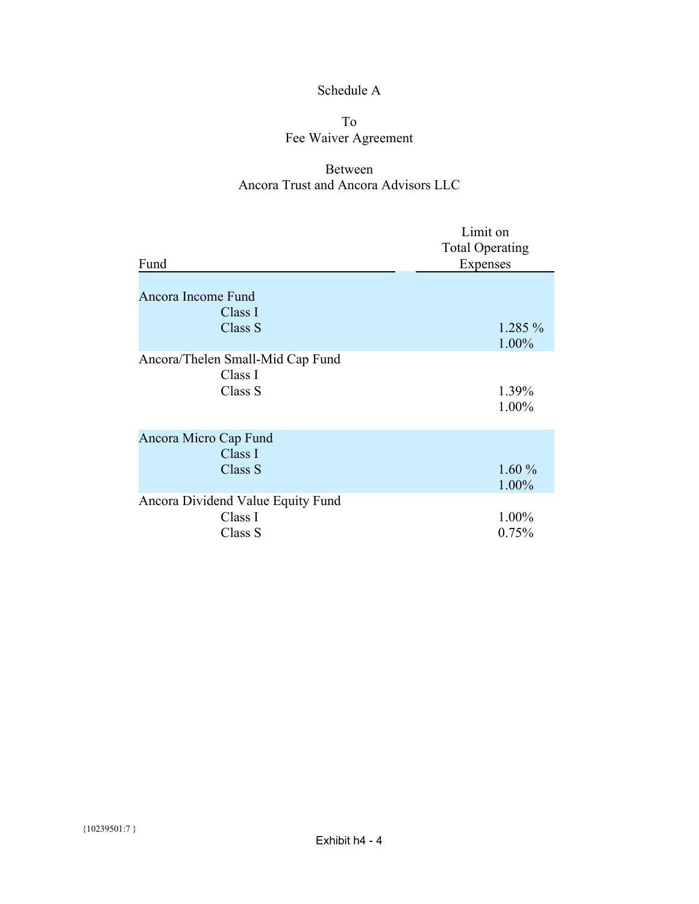# Schedule A

# To Fee Waiver Agreement

# Between Ancora Trust and Ancora Advisors LLC

| Fund                                                    | Limit on<br><b>Total Operating</b><br><b>Expenses</b> |
|---------------------------------------------------------|-------------------------------------------------------|
| Ancora Income Fund<br>Class I<br>Class S                | 1.285 %<br>1.00%                                      |
| Ancora/Thelen Small-Mid Cap Fund<br>Class I<br>Class S  | 1.39%<br>1.00%                                        |
| Ancora Micro Cap Fund<br>Class I<br>Class S             | 1.60%<br>1.00%                                        |
| Ancora Dividend Value Equity Fund<br>Class I<br>Class S | 1.00%<br>0.75%                                        |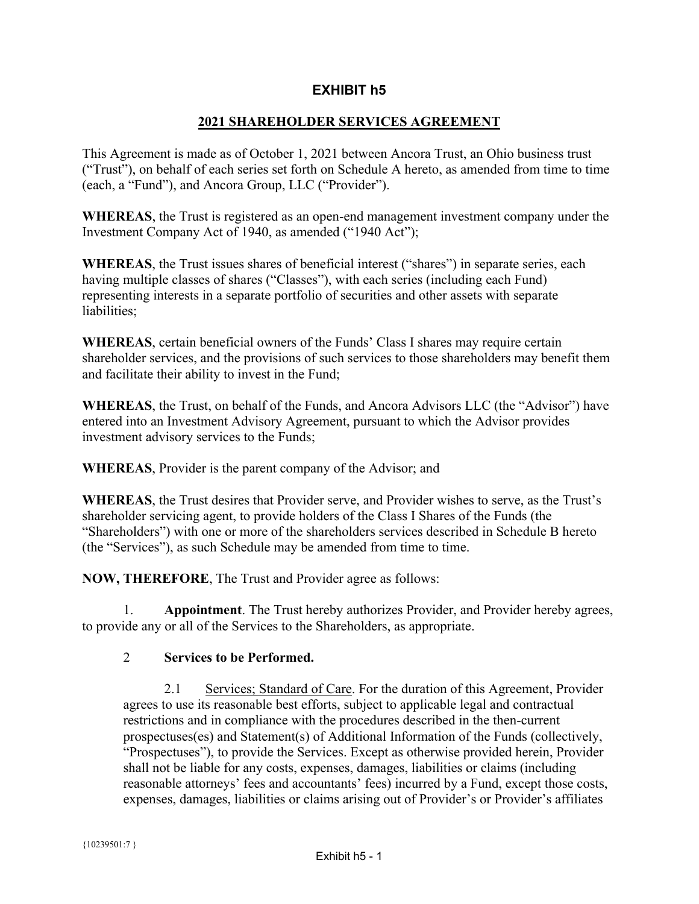# **EXHIBIT h5**

# **2021 SHAREHOLDER SERVICES AGREEMENT**

<span id="page-46-0"></span>This Agreement is made as of October 1, 2021 between Ancora Trust, an Ohio business trust ("Trust"), on behalf of each series set forth on Schedule A hereto, as amended from time to time (each, a "Fund"), and Ancora Group, LLC ("Provider").

**WHEREAS**, the Trust is registered as an open-end management investment company under the Investment Company Act of 1940, as amended ("1940 Act");

**WHEREAS**, the Trust issues shares of beneficial interest ("shares") in separate series, each having multiple classes of shares ("Classes"), with each series (including each Fund) representing interests in a separate portfolio of securities and other assets with separate liabilities:

**WHEREAS**, certain beneficial owners of the Funds' Class I shares may require certain shareholder services, and the provisions of such services to those shareholders may benefit them and facilitate their ability to invest in the Fund;

**WHEREAS**, the Trust, on behalf of the Funds, and Ancora Advisors LLC (the "Advisor") have entered into an Investment Advisory Agreement, pursuant to which the Advisor provides investment advisory services to the Funds;

**WHEREAS**, Provider is the parent company of the Advisor; and

**WHEREAS**, the Trust desires that Provider serve, and Provider wishes to serve, as the Trust's shareholder servicing agent, to provide holders of the Class I Shares of the Funds (the "Shareholders") with one or more of the shareholders services described in Schedule B hereto (the "Services"), as such Schedule may be amended from time to time.

**NOW, THEREFORE**, The Trust and Provider agree as follows:

1. **Appointment**. The Trust hereby authorizes Provider, and Provider hereby agrees, to provide any or all of the Services to the Shareholders, as appropriate.

# 2 **Services to be Performed.**

2.1 Services; Standard of Care. For the duration of this Agreement, Provider agrees to use its reasonable best efforts, subject to applicable legal and contractual restrictions and in compliance with the procedures described in the then-current prospectuses(es) and Statement(s) of Additional Information of the Funds (collectively, "Prospectuses"), to provide the Services. Except as otherwise provided herein, Provider shall not be liable for any costs, expenses, damages, liabilities or claims (including reasonable attorneys' fees and accountants' fees) incurred by a Fund, except those costs, expenses, damages, liabilities or claims arising out of Provider's or Provider's affiliates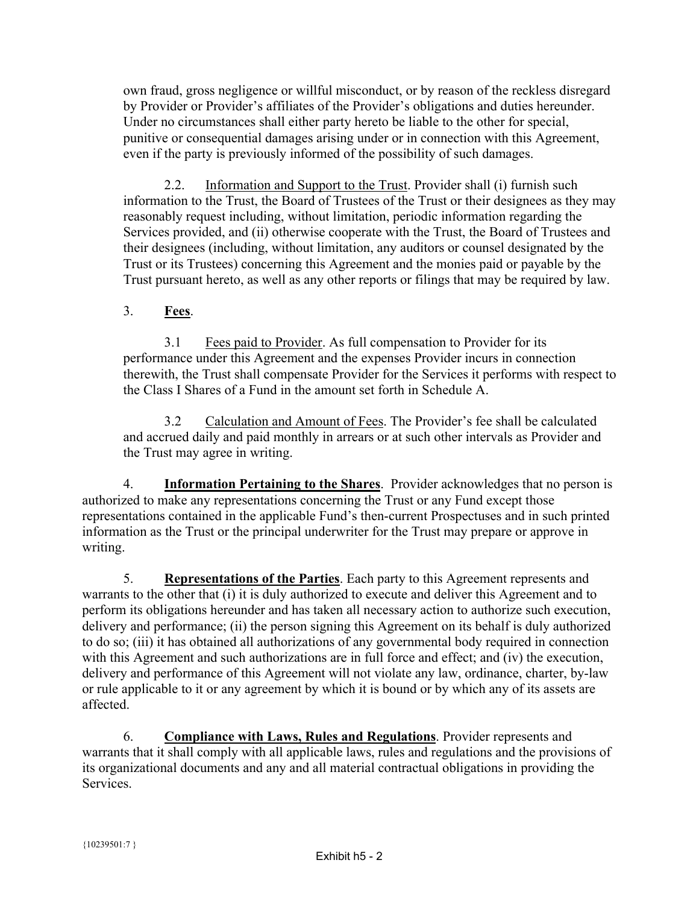own fraud, gross negligence or willful misconduct, or by reason of the reckless disregard by Provider or Provider's affiliates of the Provider's obligations and duties hereunder. Under no circumstances shall either party hereto be liable to the other for special, punitive or consequential damages arising under or in connection with this Agreement, even if the party is previously informed of the possibility of such damages.

2.2. Information and Support to the Trust. Provider shall (i) furnish such information to the Trust, the Board of Trustees of the Trust or their designees as they may reasonably request including, without limitation, periodic information regarding the Services provided, and (ii) otherwise cooperate with the Trust, the Board of Trustees and their designees (including, without limitation, any auditors or counsel designated by the Trust or its Trustees) concerning this Agreement and the monies paid or payable by the Trust pursuant hereto, as well as any other reports or filings that may be required by law.

# 3. **Fees**.

3.1 Fees paid to Provider. As full compensation to Provider for its performance under this Agreement and the expenses Provider incurs in connection therewith, the Trust shall compensate Provider for the Services it performs with respect to the Class I Shares of a Fund in the amount set forth in Schedule A.

3.2 Calculation and Amount of Fees. The Provider's fee shall be calculated and accrued daily and paid monthly in arrears or at such other intervals as Provider and the Trust may agree in writing.

4. **Information Pertaining to the Shares**. Provider acknowledges that no person is authorized to make any representations concerning the Trust or any Fund except those representations contained in the applicable Fund's then-current Prospectuses and in such printed information as the Trust or the principal underwriter for the Trust may prepare or approve in writing.

5. **Representations of the Parties**. Each party to this Agreement represents and warrants to the other that (i) it is duly authorized to execute and deliver this Agreement and to perform its obligations hereunder and has taken all necessary action to authorize such execution, delivery and performance; (ii) the person signing this Agreement on its behalf is duly authorized to do so; (iii) it has obtained all authorizations of any governmental body required in connection with this Agreement and such authorizations are in full force and effect; and (iv) the execution, delivery and performance of this Agreement will not violate any law, ordinance, charter, by-law or rule applicable to it or any agreement by which it is bound or by which any of its assets are affected.

6. **Compliance with Laws, Rules and Regulations**. Provider represents and warrants that it shall comply with all applicable laws, rules and regulations and the provisions of its organizational documents and any and all material contractual obligations in providing the Services.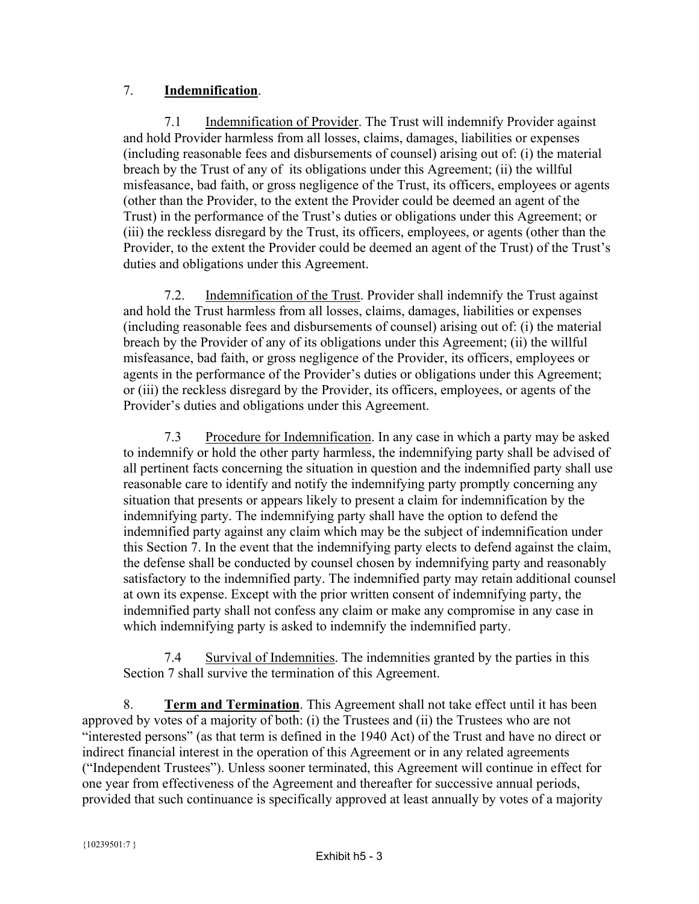# 7. **Indemnification**.

7.1 Indemnification of Provider. The Trust will indemnify Provider against and hold Provider harmless from all losses, claims, damages, liabilities or expenses (including reasonable fees and disbursements of counsel) arising out of: (i) the material breach by the Trust of any of its obligations under this Agreement; (ii) the willful misfeasance, bad faith, or gross negligence of the Trust, its officers, employees or agents (other than the Provider, to the extent the Provider could be deemed an agent of the Trust) in the performance of the Trust's duties or obligations under this Agreement; or (iii) the reckless disregard by the Trust, its officers, employees, or agents (other than the Provider, to the extent the Provider could be deemed an agent of the Trust) of the Trust's duties and obligations under this Agreement.

7.2. Indemnification of the Trust. Provider shall indemnify the Trust against and hold the Trust harmless from all losses, claims, damages, liabilities or expenses (including reasonable fees and disbursements of counsel) arising out of: (i) the material breach by the Provider of any of its obligations under this Agreement; (ii) the willful misfeasance, bad faith, or gross negligence of the Provider, its officers, employees or agents in the performance of the Provider's duties or obligations under this Agreement; or (iii) the reckless disregard by the Provider, its officers, employees, or agents of the Provider's duties and obligations under this Agreement.

7.3 Procedure for Indemnification. In any case in which a party may be asked to indemnify or hold the other party harmless, the indemnifying party shall be advised of all pertinent facts concerning the situation in question and the indemnified party shall use reasonable care to identify and notify the indemnifying party promptly concerning any situation that presents or appears likely to present a claim for indemnification by the indemnifying party. The indemnifying party shall have the option to defend the indemnified party against any claim which may be the subject of indemnification under this Section 7. In the event that the indemnifying party elects to defend against the claim, the defense shall be conducted by counsel chosen by indemnifying party and reasonably satisfactory to the indemnified party. The indemnified party may retain additional counsel at own its expense. Except with the prior written consent of indemnifying party, the indemnified party shall not confess any claim or make any compromise in any case in which indemnifying party is asked to indemnify the indemnified party.

7.4 Survival of Indemnities. The indemnities granted by the parties in this Section 7 shall survive the termination of this Agreement.

8. **Term and Termination**. This Agreement shall not take effect until it has been approved by votes of a majority of both: (i) the Trustees and (ii) the Trustees who are not "interested persons" (as that term is defined in the 1940 Act) of the Trust and have no direct or indirect financial interest in the operation of this Agreement or in any related agreements ("Independent Trustees"). Unless sooner terminated, this Agreement will continue in effect for one year from effectiveness of the Agreement and thereafter for successive annual periods, provided that such continuance is specifically approved at least annually by votes of a majority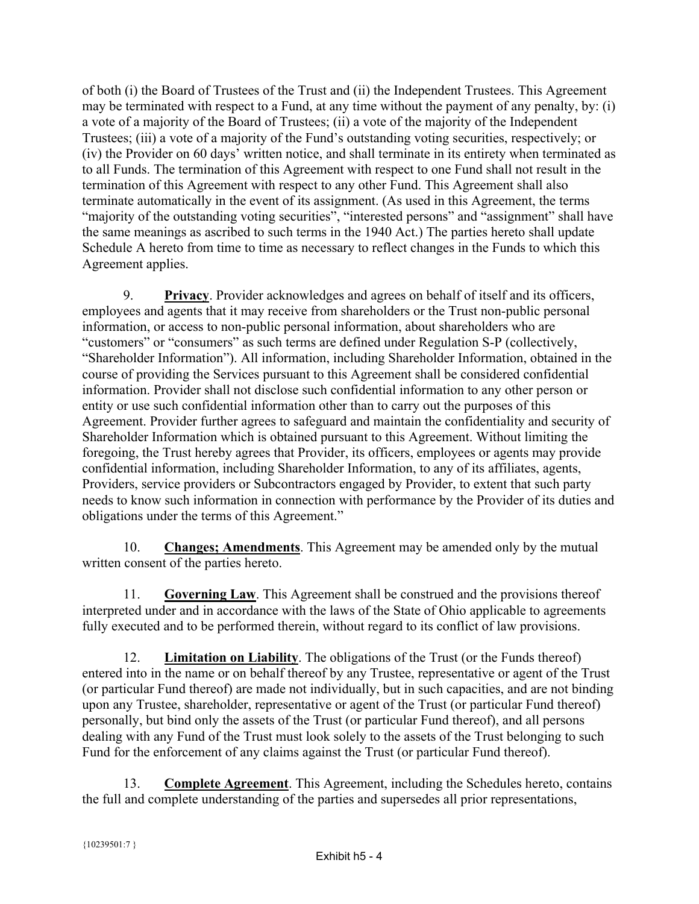of both (i) the Board of Trustees of the Trust and (ii) the Independent Trustees. This Agreement may be terminated with respect to a Fund, at any time without the payment of any penalty, by: (i) a vote of a majority of the Board of Trustees; (ii) a vote of the majority of the Independent Trustees; (iii) a vote of a majority of the Fund's outstanding voting securities, respectively; or (iv) the Provider on 60 days' written notice, and shall terminate in its entirety when terminated as to all Funds. The termination of this Agreement with respect to one Fund shall not result in the termination of this Agreement with respect to any other Fund. This Agreement shall also terminate automatically in the event of its assignment. (As used in this Agreement, the terms "majority of the outstanding voting securities", "interested persons" and "assignment" shall have the same meanings as ascribed to such terms in the 1940 Act.) The parties hereto shall update Schedule A hereto from time to time as necessary to reflect changes in the Funds to which this Agreement applies.

9. **Privacy**. Provider acknowledges and agrees on behalf of itself and its officers, employees and agents that it may receive from shareholders or the Trust non-public personal information, or access to non-public personal information, about shareholders who are "customers" or "consumers" as such terms are defined under Regulation S-P (collectively, "Shareholder Information"). All information, including Shareholder Information, obtained in the course of providing the Services pursuant to this Agreement shall be considered confidential information. Provider shall not disclose such confidential information to any other person or entity or use such confidential information other than to carry out the purposes of this Agreement. Provider further agrees to safeguard and maintain the confidentiality and security of Shareholder Information which is obtained pursuant to this Agreement. Without limiting the foregoing, the Trust hereby agrees that Provider, its officers, employees or agents may provide confidential information, including Shareholder Information, to any of its affiliates, agents, Providers, service providers or Subcontractors engaged by Provider, to extent that such party needs to know such information in connection with performance by the Provider of its duties and obligations under the terms of this Agreement."

10. **Changes; Amendments**. This Agreement may be amended only by the mutual written consent of the parties hereto.

11. **Governing Law**. This Agreement shall be construed and the provisions thereof interpreted under and in accordance with the laws of the State of Ohio applicable to agreements fully executed and to be performed therein, without regard to its conflict of law provisions.

12. **Limitation on Liability**. The obligations of the Trust (or the Funds thereof) entered into in the name or on behalf thereof by any Trustee, representative or agent of the Trust (or particular Fund thereof) are made not individually, but in such capacities, and are not binding upon any Trustee, shareholder, representative or agent of the Trust (or particular Fund thereof) personally, but bind only the assets of the Trust (or particular Fund thereof), and all persons dealing with any Fund of the Trust must look solely to the assets of the Trust belonging to such Fund for the enforcement of any claims against the Trust (or particular Fund thereof).

13. **Complete Agreement**. This Agreement, including the Schedules hereto, contains the full and complete understanding of the parties and supersedes all prior representations,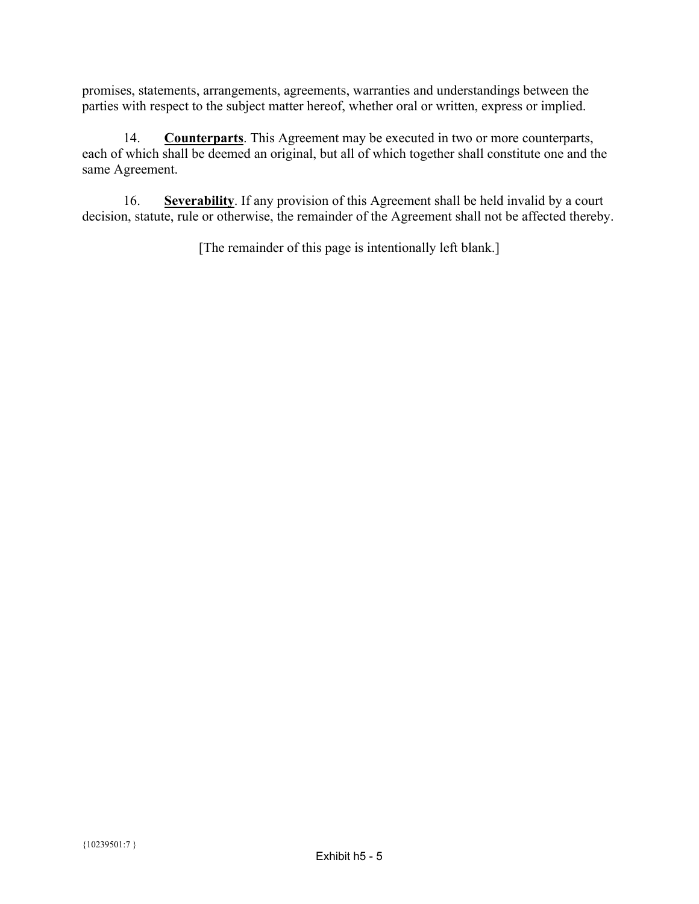promises, statements, arrangements, agreements, warranties and understandings between the parties with respect to the subject matter hereof, whether oral or written, express or implied.

14. **Counterparts**. This Agreement may be executed in two or more counterparts, each of which shall be deemed an original, but all of which together shall constitute one and the same Agreement.

16. **Severability**. If any provision of this Agreement shall be held invalid by a court decision, statute, rule or otherwise, the remainder of the Agreement shall not be affected thereby.

[The remainder of this page is intentionally left blank.]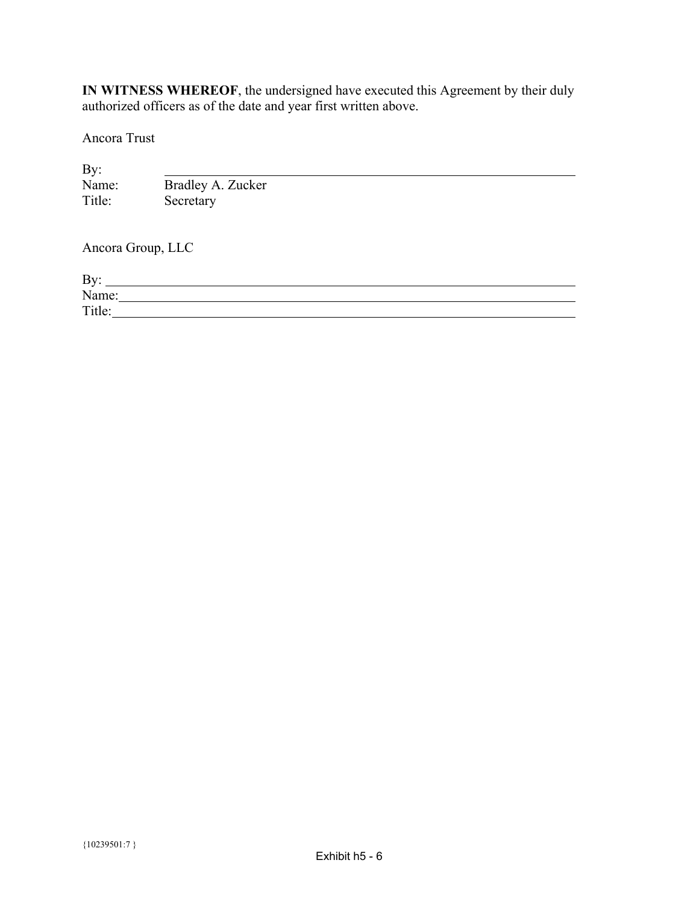**IN WITNESS WHEREOF**, the undersigned have executed this Agreement by their duly authorized officers as of the date and year first written above.

Ancora Trust

| By:               |                   |
|-------------------|-------------------|
| Name:             | Bradley A. Zucker |
| Title:            | Secretary         |
| Ancora Group, LLC |                   |
| By:               |                   |
| Name:             |                   |
| Title:            |                   |
|                   |                   |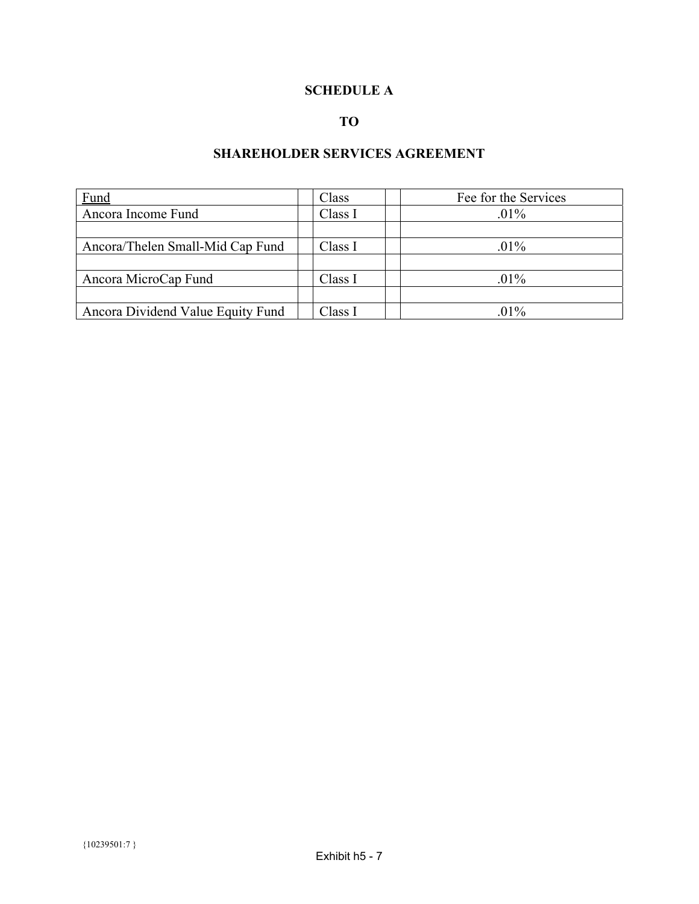# **SCHEDULE A**

# **TO**

# **SHAREHOLDER SERVICES AGREEMENT**

| Fund                              | Class   | Fee for the Services |
|-----------------------------------|---------|----------------------|
| Ancora Income Fund                | Class I | $.01\%$              |
|                                   |         |                      |
| Ancora/Thelen Small-Mid Cap Fund  | Class I | $.01\%$              |
|                                   |         |                      |
| Ancora MicroCap Fund              | Class I | $.01\%$              |
|                                   |         |                      |
| Ancora Dividend Value Equity Fund | Class I | $.01\%$              |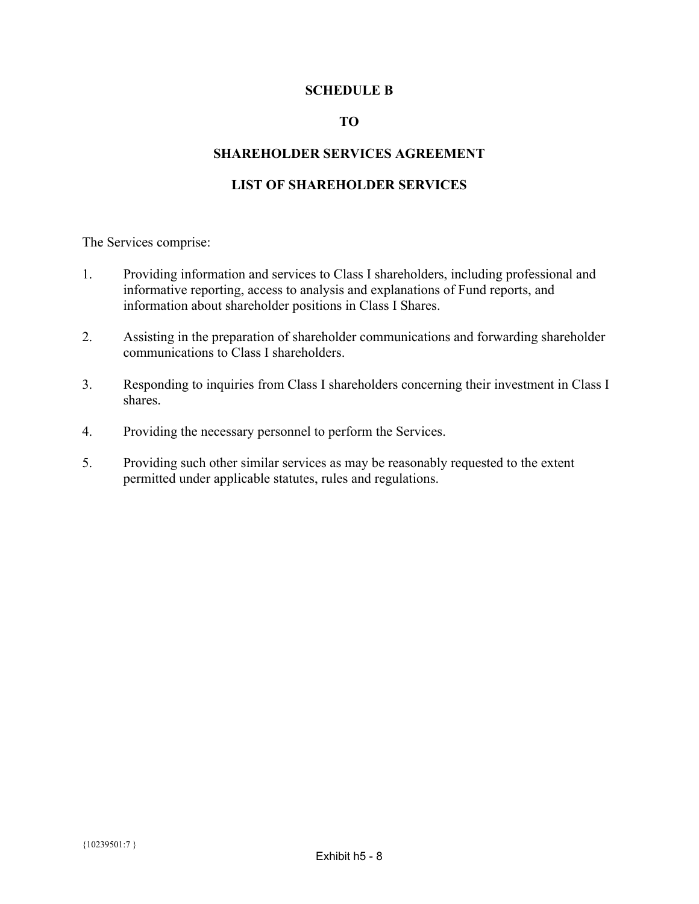### **SCHEDULE B**

### **TO**

### **SHAREHOLDER SERVICES AGREEMENT**

## **LIST OF SHAREHOLDER SERVICES**

The Services comprise:

- 1. Providing information and services to Class I shareholders, including professional and informative reporting, access to analysis and explanations of Fund reports, and information about shareholder positions in Class I Shares.
- 2. Assisting in the preparation of shareholder communications and forwarding shareholder communications to Class I shareholders.
- 3. Responding to inquiries from Class I shareholders concerning their investment in Class I shares.
- 4. Providing the necessary personnel to perform the Services.
- 5. Providing such other similar services as may be reasonably requested to the extent permitted under applicable statutes, rules and regulations.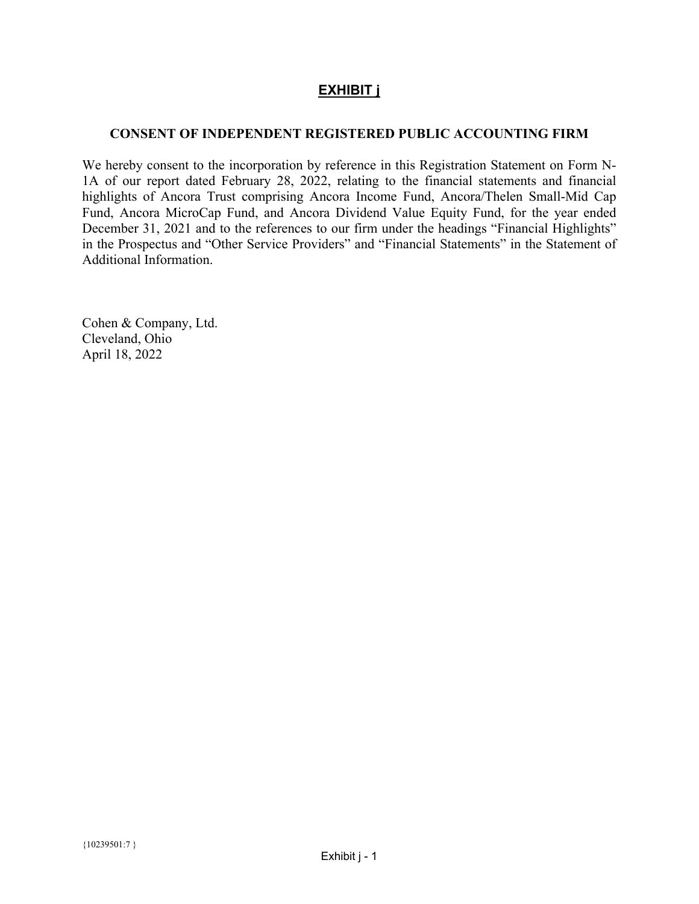# **EXHIBIT j**

# <span id="page-54-0"></span>**CONSENT OF INDEPENDENT REGISTERED PUBLIC ACCOUNTING FIRM**

We hereby consent to the incorporation by reference in this Registration Statement on Form N-1A of our report dated February 28, 2022, relating to the financial statements and financial highlights of Ancora Trust comprising Ancora Income Fund, Ancora/Thelen Small-Mid Cap Fund, Ancora MicroCap Fund, and Ancora Dividend Value Equity Fund, for the year ended December 31, 2021 and to the references to our firm under the headings "Financial Highlights" in the Prospectus and "Other Service Providers" and "Financial Statements" in the Statement of Additional Information.

Cohen & Company, Ltd. Cleveland, Ohio April 18, 2022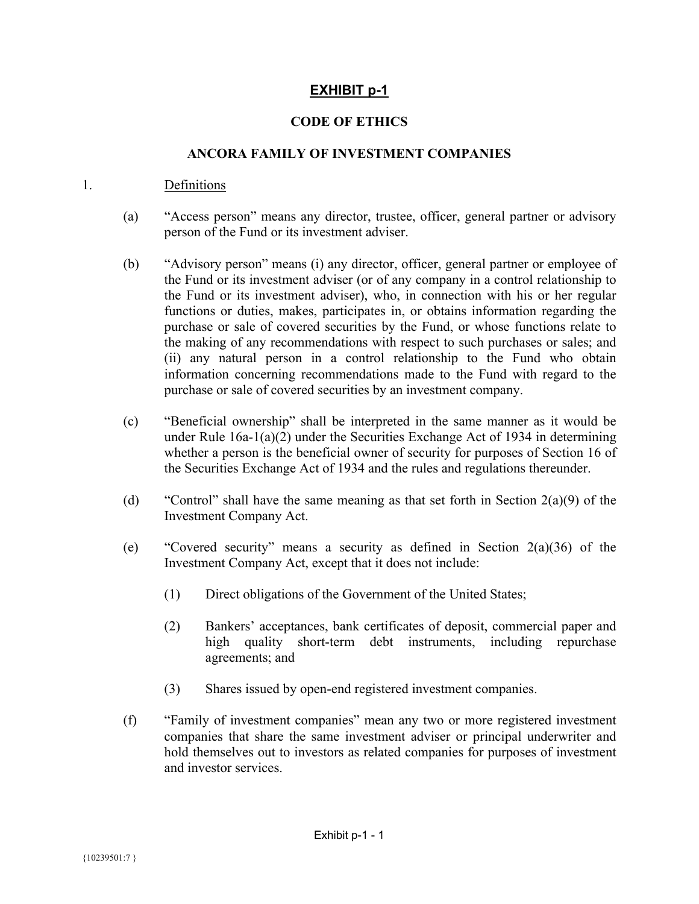# **EXHIBIT p-1**

# **CODE OF ETHICS**

### **ANCORA FAMILY OF INVESTMENT COMPANIES**

### <span id="page-55-0"></span>1. Definitions

- (a) "Access person" means any director, trustee, officer, general partner or advisory person of the Fund or its investment adviser.
- (b) "Advisory person" means (i) any director, officer, general partner or employee of the Fund or its investment adviser (or of any company in a control relationship to the Fund or its investment adviser), who, in connection with his or her regular functions or duties, makes, participates in, or obtains information regarding the purchase or sale of covered securities by the Fund, or whose functions relate to the making of any recommendations with respect to such purchases or sales; and (ii) any natural person in a control relationship to the Fund who obtain information concerning recommendations made to the Fund with regard to the purchase or sale of covered securities by an investment company.
- (c) "Beneficial ownership" shall be interpreted in the same manner as it would be under Rule  $16a-1(a)(2)$  under the Securities Exchange Act of 1934 in determining whether a person is the beneficial owner of security for purposes of Section 16 of the Securities Exchange Act of 1934 and the rules and regulations thereunder.
- (d) "Control" shall have the same meaning as that set forth in Section 2(a)(9) of the Investment Company Act.
- (e) "Covered security" means a security as defined in Section 2(a)(36) of the Investment Company Act, except that it does not include:
	- (1) Direct obligations of the Government of the United States;
	- (2) Bankers' acceptances, bank certificates of deposit, commercial paper and high quality short-term debt instruments, including repurchase agreements; and
	- (3) Shares issued by open-end registered investment companies.
- (f) "Family of investment companies" mean any two or more registered investment companies that share the same investment adviser or principal underwriter and hold themselves out to investors as related companies for purposes of investment and investor services.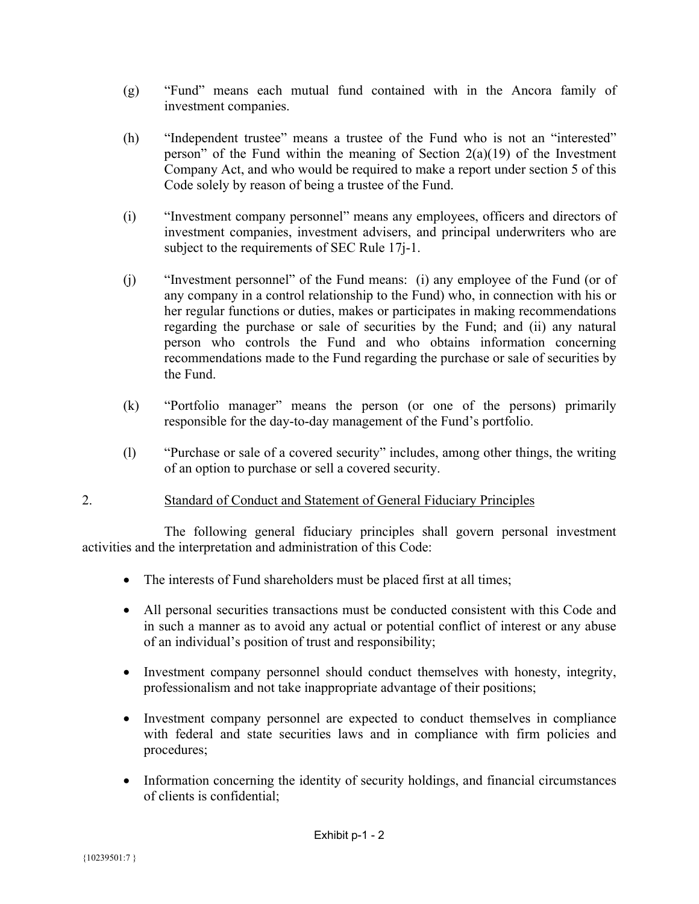- (g) "Fund" means each mutual fund contained with in the Ancora family of investment companies.
- (h) "Independent trustee" means a trustee of the Fund who is not an "interested" person" of the Fund within the meaning of Section  $2(a)(19)$  of the Investment Company Act, and who would be required to make a report under section 5 of this Code solely by reason of being a trustee of the Fund.
- (i) "Investment company personnel" means any employees, officers and directors of investment companies, investment advisers, and principal underwriters who are subject to the requirements of SEC Rule 17*j*-1.
- (j) "Investment personnel" of the Fund means: (i) any employee of the Fund (or of any company in a control relationship to the Fund) who, in connection with his or her regular functions or duties, makes or participates in making recommendations regarding the purchase or sale of securities by the Fund; and (ii) any natural person who controls the Fund and who obtains information concerning recommendations made to the Fund regarding the purchase or sale of securities by the Fund.
- (k) "Portfolio manager" means the person (or one of the persons) primarily responsible for the day-to-day management of the Fund's portfolio.
- (l) "Purchase or sale of a covered security" includes, among other things, the writing of an option to purchase or sell a covered security.

# 2. Standard of Conduct and Statement of General Fiduciary Principles

 The following general fiduciary principles shall govern personal investment activities and the interpretation and administration of this Code:

- The interests of Fund shareholders must be placed first at all times;
- All personal securities transactions must be conducted consistent with this Code and in such a manner as to avoid any actual or potential conflict of interest or any abuse of an individual's position of trust and responsibility;
- Investment company personnel should conduct themselves with honesty, integrity, professionalism and not take inappropriate advantage of their positions;
- Investment company personnel are expected to conduct themselves in compliance with federal and state securities laws and in compliance with firm policies and procedures;
- Information concerning the identity of security holdings, and financial circumstances of clients is confidential;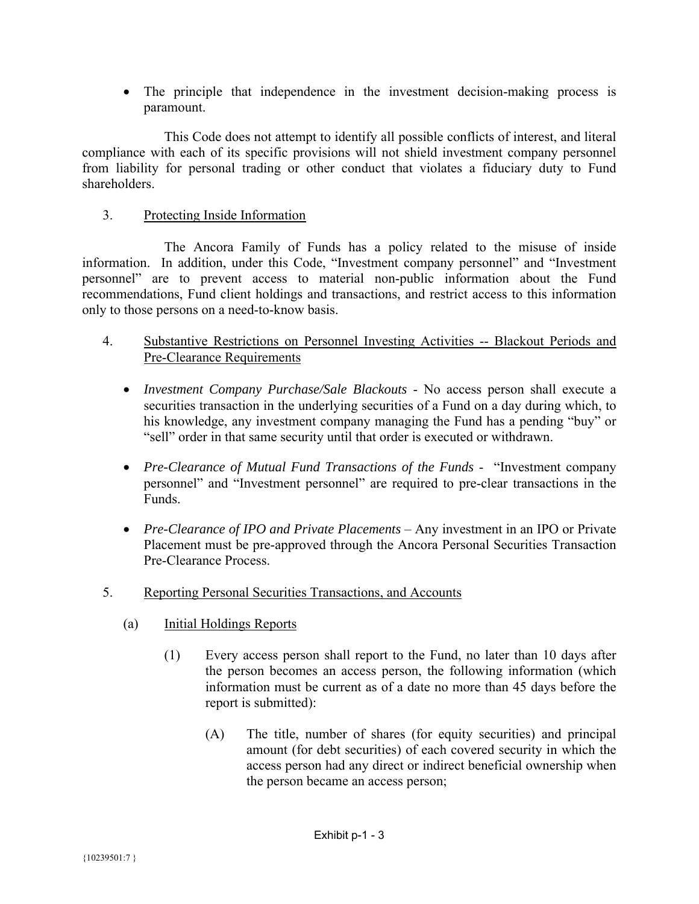The principle that independence in the investment decision-making process is paramount.

 This Code does not attempt to identify all possible conflicts of interest, and literal compliance with each of its specific provisions will not shield investment company personnel from liability for personal trading or other conduct that violates a fiduciary duty to Fund shareholders.

# 3. Protecting Inside Information

 The Ancora Family of Funds has a policy related to the misuse of inside information. In addition, under this Code, "Investment company personnel" and "Investment personnel" are to prevent access to material non-public information about the Fund recommendations, Fund client holdings and transactions, and restrict access to this information only to those persons on a need-to-know basis.

- 4. Substantive Restrictions on Personnel Investing Activities -- Blackout Periods and Pre-Clearance Requirements
	- *Investment Company Purchase/Sale Blackouts* No access person shall execute a securities transaction in the underlying securities of a Fund on a day during which, to his knowledge, any investment company managing the Fund has a pending "buy" or "sell" order in that same security until that order is executed or withdrawn.
	- *Pre-Clearance of Mutual Fund Transactions of the Funds* "Investment company personnel" and "Investment personnel" are required to pre-clear transactions in the Funds.
	- *Pre-Clearance of IPO and Private Placements* Any investment in an IPO or Private Placement must be pre-approved through the Ancora Personal Securities Transaction Pre-Clearance Process.
- 5. Reporting Personal Securities Transactions, and Accounts
	- (a) Initial Holdings Reports
		- (1) Every access person shall report to the Fund, no later than 10 days after the person becomes an access person, the following information (which information must be current as of a date no more than 45 days before the report is submitted):
			- (A) The title, number of shares (for equity securities) and principal amount (for debt securities) of each covered security in which the access person had any direct or indirect beneficial ownership when the person became an access person;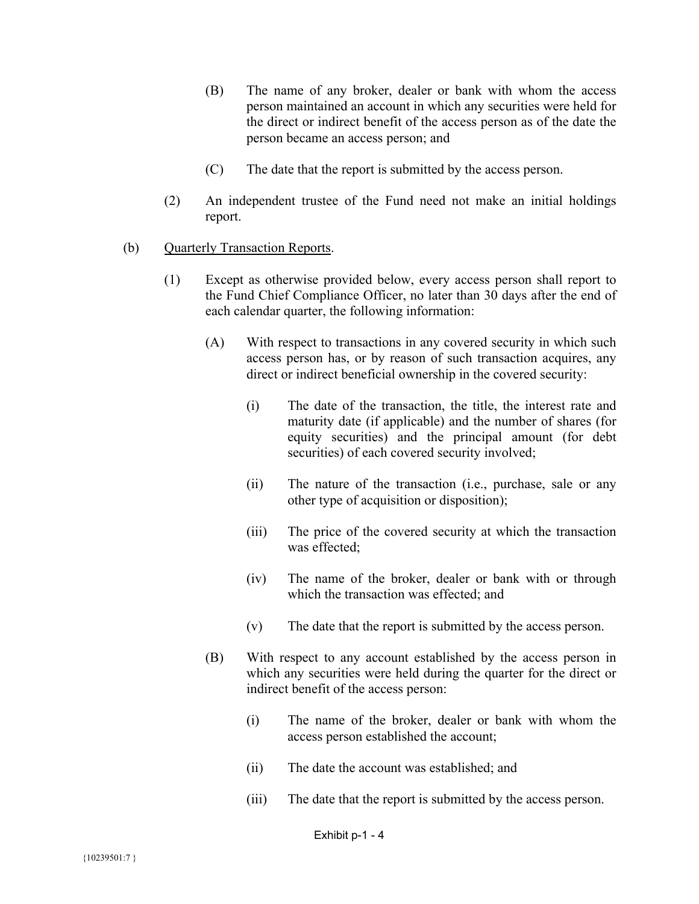- (B) The name of any broker, dealer or bank with whom the access person maintained an account in which any securities were held for the direct or indirect benefit of the access person as of the date the person became an access person; and
- (C) The date that the report is submitted by the access person.
- (2) An independent trustee of the Fund need not make an initial holdings report.
- (b) Quarterly Transaction Reports.
	- (1) Except as otherwise provided below, every access person shall report to the Fund Chief Compliance Officer, no later than 30 days after the end of each calendar quarter, the following information:
		- (A) With respect to transactions in any covered security in which such access person has, or by reason of such transaction acquires, any direct or indirect beneficial ownership in the covered security:
			- (i) The date of the transaction, the title, the interest rate and maturity date (if applicable) and the number of shares (for equity securities) and the principal amount (for debt securities) of each covered security involved;
			- (ii) The nature of the transaction (i.e., purchase, sale or any other type of acquisition or disposition);
			- (iii) The price of the covered security at which the transaction was effected;
			- (iv) The name of the broker, dealer or bank with or through which the transaction was effected; and
			- (v) The date that the report is submitted by the access person.
		- (B) With respect to any account established by the access person in which any securities were held during the quarter for the direct or indirect benefit of the access person:
			- (i) The name of the broker, dealer or bank with whom the access person established the account;
			- (ii) The date the account was established; and
			- (iii) The date that the report is submitted by the access person.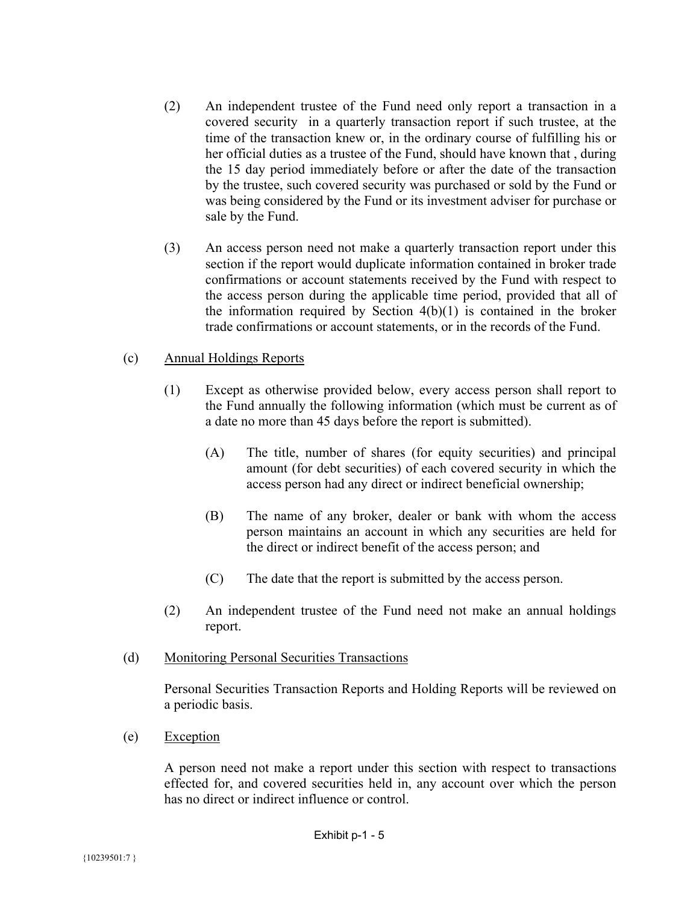- (2) An independent trustee of the Fund need only report a transaction in a covered security in a quarterly transaction report if such trustee, at the time of the transaction knew or, in the ordinary course of fulfilling his or her official duties as a trustee of the Fund, should have known that , during the 15 day period immediately before or after the date of the transaction by the trustee, such covered security was purchased or sold by the Fund or was being considered by the Fund or its investment adviser for purchase or sale by the Fund.
- (3) An access person need not make a quarterly transaction report under this section if the report would duplicate information contained in broker trade confirmations or account statements received by the Fund with respect to the access person during the applicable time period, provided that all of the information required by Section  $4(b)(1)$  is contained in the broker trade confirmations or account statements, or in the records of the Fund.

### (c) Annual Holdings Reports

- (1) Except as otherwise provided below, every access person shall report to the Fund annually the following information (which must be current as of a date no more than 45 days before the report is submitted).
	- (A) The title, number of shares (for equity securities) and principal amount (for debt securities) of each covered security in which the access person had any direct or indirect beneficial ownership;
	- (B) The name of any broker, dealer or bank with whom the access person maintains an account in which any securities are held for the direct or indirect benefit of the access person; and
	- (C) The date that the report is submitted by the access person.
- (2) An independent trustee of the Fund need not make an annual holdings report.

### (d) Monitoring Personal Securities Transactions

Personal Securities Transaction Reports and Holding Reports will be reviewed on a periodic basis.

(e) Exception

A person need not make a report under this section with respect to transactions effected for, and covered securities held in, any account over which the person has no direct or indirect influence or control.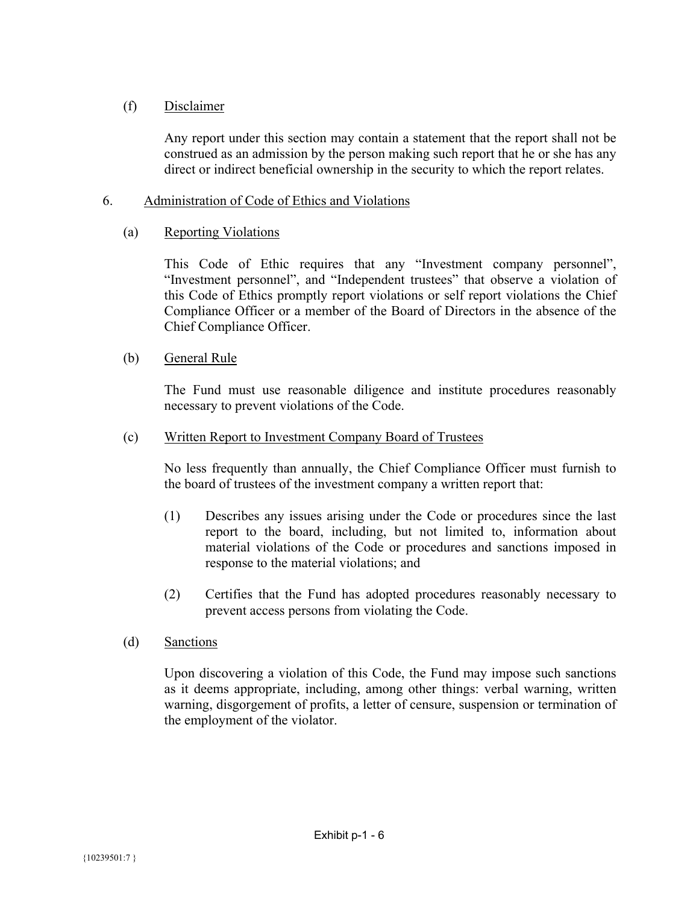# (f) Disclaimer

Any report under this section may contain a statement that the report shall not be construed as an admission by the person making such report that he or she has any direct or indirect beneficial ownership in the security to which the report relates.

# 6. Administration of Code of Ethics and Violations

# (a) Reporting Violations

This Code of Ethic requires that any "Investment company personnel", "Investment personnel", and "Independent trustees" that observe a violation of this Code of Ethics promptly report violations or self report violations the Chief Compliance Officer or a member of the Board of Directors in the absence of the Chief Compliance Officer.

# (b) General Rule

The Fund must use reasonable diligence and institute procedures reasonably necessary to prevent violations of the Code.

## (c) Written Report to Investment Company Board of Trustees

No less frequently than annually, the Chief Compliance Officer must furnish to the board of trustees of the investment company a written report that:

- (1) Describes any issues arising under the Code or procedures since the last report to the board, including, but not limited to, information about material violations of the Code or procedures and sanctions imposed in response to the material violations; and
- (2) Certifies that the Fund has adopted procedures reasonably necessary to prevent access persons from violating the Code.
- (d) Sanctions

Upon discovering a violation of this Code, the Fund may impose such sanctions as it deems appropriate, including, among other things: verbal warning, written warning, disgorgement of profits, a letter of censure, suspension or termination of the employment of the violator.